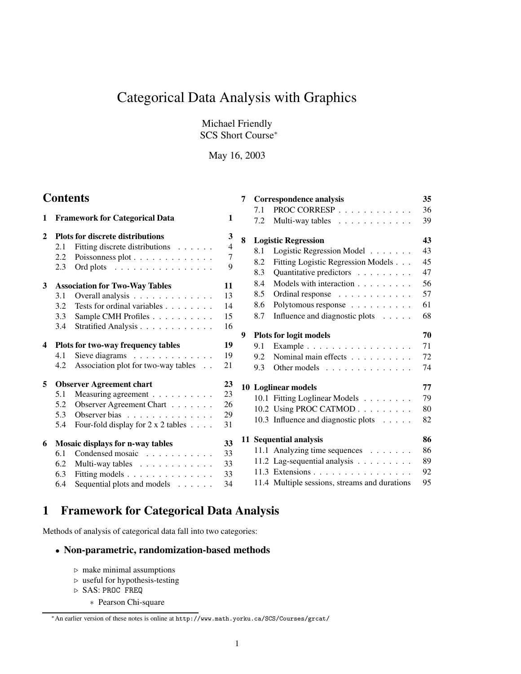# Categorical Data Analysis with Graphics

Michael Friendly SCS Short Course<sup>∗</sup>

May 16, 2003

# **Contents**

| $\mathbf{1}$   | <b>Framework for Categorical Data</b>   |                                           |                |  |  |  |
|----------------|-----------------------------------------|-------------------------------------------|----------------|--|--|--|
| $\mathbf{2}$   | <b>Plots for discrete distributions</b> |                                           |                |  |  |  |
|                | 2.1                                     | Fitting discrete distributions            | $\overline{4}$ |  |  |  |
|                | 2.2                                     | Poissonness plot                          | 7              |  |  |  |
|                | 2.3                                     | Ord plots                                 | 9              |  |  |  |
| 3 <sup>1</sup> |                                         | <b>Association for Two-Way Tables</b>     | 11             |  |  |  |
|                | 3.1                                     | Overall analysis                          | 13             |  |  |  |
|                | 3.2                                     | Tests for ordinal variables               | 14             |  |  |  |
|                | 3.3                                     | Sample CMH Profiles                       | 15             |  |  |  |
|                | 3.4                                     | Stratified Analysis                       | 16             |  |  |  |
| 4              |                                         | Plots for two-way frequency tables        | 19             |  |  |  |
|                | 4.1                                     | Sieve diagrams $\ldots$ ,                 | 19             |  |  |  |
|                | 4.2                                     | Association plot for two-way tables       | 21             |  |  |  |
| 5              |                                         | <b>Observer Agreement chart</b>           | 23             |  |  |  |
|                | 5.1                                     | Measuring agreement                       | 23             |  |  |  |
|                | 5.2                                     | Observer Agreement Chart                  | 26             |  |  |  |
|                | 5.3                                     | Observer bias                             | 29             |  |  |  |
|                | 5.4                                     | Four-fold display for $2 \times 2$ tables | 31             |  |  |  |
| 6              |                                         | <b>Mosaic displays for n-way tables</b>   | 33             |  |  |  |
|                | 6.1                                     | Condensed mosaic                          | 33             |  |  |  |
|                | 6.2                                     | Multi-way tables                          | 33             |  |  |  |
|                | 6.3                                     | Fitting models                            | 33             |  |  |  |
|                | 6.4                                     | Sequential plots and models               | 34             |  |  |  |
|                |                                         |                                           |                |  |  |  |

| 7 |               | <b>Correspondence analysis</b>                | 35 |
|---|---------------|-----------------------------------------------|----|
|   | 7.1           | PROC CORRESP                                  | 36 |
|   | 7.2           | Multi-way tables                              | 39 |
| 8 |               | <b>Logistic Regression</b>                    | 43 |
|   | 8.1           | Logistic Regression Model                     | 43 |
|   | 8.2           | Fitting Logistic Regression Models            | 45 |
|   | 8.3           | Quantitative predictors                       | 47 |
|   | 8.4           | Models with interaction                       | 56 |
|   | 8.5           | Ordinal response                              | 57 |
|   | 8.6           | Polytomous response                           | 61 |
|   | 8.7           | Influence and diagnostic plots                | 68 |
| 9 |               | <b>Plots for logit models</b>                 | 70 |
|   | 9.1           | Example                                       | 71 |
|   | $9.2^{\circ}$ | Nominal main effects                          | 72 |
|   | 9.3           | Other models                                  | 74 |
|   |               | 10 Loglinear models                           | 77 |
|   |               | 10.1 Fitting Loglinear Models                 | 79 |
|   |               | 10.2 Using PROC CATMOD                        | 80 |
|   |               | 10.3 Influence and diagnostic plots           | 82 |
|   |               | 11 Sequential analysis                        | 86 |
|   |               | 11.1 Analyzing time sequences                 | 86 |
|   |               | 11.2 Lag-sequential analysis                  | 89 |
|   |               | 11.3 Extensions                               | 92 |
|   |               | 11.4 Multiple sessions, streams and durations | 95 |

# **1 Framework for Categorical Data Analysis**

Methods of analysis of categorical data fall into two categories:

# • **Non-parametric, randomization-based methods**

- $\triangleright$  make minimal assumptions
- $\triangleright$  useful for hypothesis-testing
- . SAS: PROC FREQ
	- ∗ Pearson Chi-square

<sup>∗</sup>An earlier version of these notes is online at http://www.math.yorku.ca/SCS/Courses/grcat/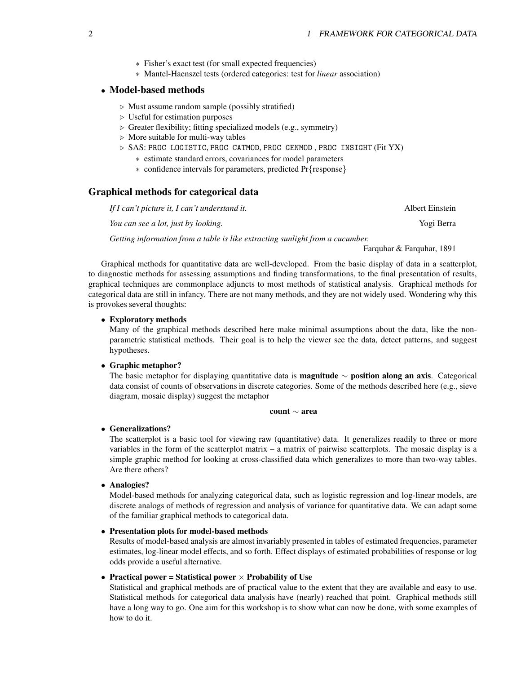- ∗ Fisher's exact test (for small expected frequencies)
- ∗ Mantel-Haenszel tests (ordered categories: test for *linear* association)

# • **Model-based methods**

- $\triangleright$  Must assume random sample (possibly stratified)
- $\triangleright$  Useful for estimation purposes
- $\triangleright$  Greater flexibility; fitting specialized models (e.g., symmetry)
- $\triangleright$  More suitable for multi-way tables
- $\triangleright$  SAS: PROC LOGISTIC, PROC CATMOD, PROC GENMOD, PROC INSIGHT (Fit YX)
	- ∗ estimate standard errors, covariances for model parameters
	- ∗ confidence intervals for parameters, predicted Pr{response}

# **Graphical methods for categorical data**

*If I can't picture it, I can't understand it.* Albert Einstein *You can see a lot, just by looking.* Yogi Berra

*Getting information from a table is like extracting sunlight from a cucumber.*

Farquhar & Farquhar, 1891

Graphical methods for quantitative data are well-developed. From the basic display of data in a scatterplot, to diagnostic methods for assessing assumptions and finding transformations, to the final presentation of results, graphical techniques are commonplace adjuncts to most methods of statistical analysis. Graphical methods for categorical data are still in infancy. There are not many methods, and they are not widely used. Wondering why this is provokes several thoughts:

#### • **Exploratory methods**

Many of the graphical methods described here make minimal assumptions about the data, like the nonparametric statistical methods. Their goal is to help the viewer see the data, detect patterns, and suggest hypotheses.

#### • **Graphic metaphor?**

The basic metaphor for displaying quantitative data is **magnitude** ∼ **position along an axis**. Categorical data consist of counts of observations in discrete categories. Some of the methods described here (e.g., sieve diagram, mosaic display) suggest the metaphor

#### **count** ∼ **area**

#### • **Generalizations?**

The scatterplot is a basic tool for viewing raw (quantitative) data. It generalizes readily to three or more variables in the form of the scatterplot matrix – a matrix of pairwise scatterplots. The mosaic display is a simple graphic method for looking at cross-classified data which generalizes to more than two-way tables. Are there others?

• **Analogies?**

Model-based methods for analyzing categorical data, such as logistic regression and log-linear models, are discrete analogs of methods of regression and analysis of variance for quantitative data. We can adapt some of the familiar graphical methods to categorical data.

### • **Presentation plots for model-based methods**

Results of model-based analysis are almost invariably presented in tables of estimated frequencies, parameter estimates, log-linear model effects, and so forth. Effect displays of estimated probabilities of response or log odds provide a useful alternative.

#### • **Practical power = Statistical power** × **Probability of Use**

Statistical and graphical methods are of practical value to the extent that they are available and easy to use. Statistical methods for categorical data analysis have (nearly) reached that point. Graphical methods still have a long way to go. One aim for this workshop is to show what can now be done, with some examples of how to do it.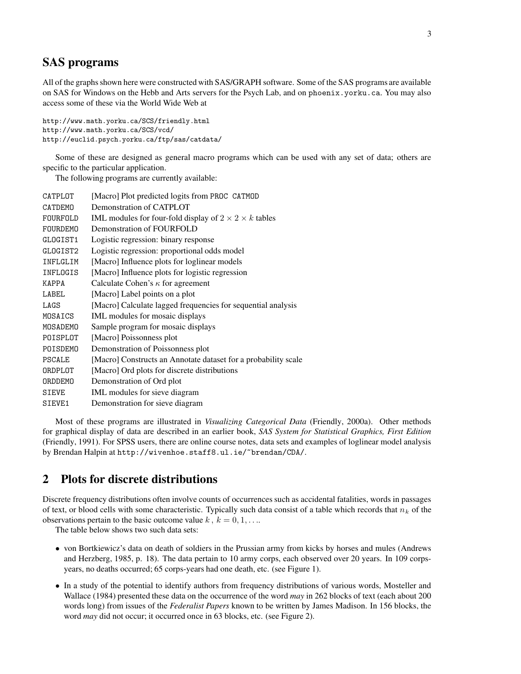# **SAS programs**

All of the graphsshown here were constructed with SAS/GRAPH software. Some of the SAS programs are available on SAS for Windows on the Hebb and Arts servers for the Psych Lab, and on phoenix.yorku.ca. You may also access some of these via the World Wide Web at

```
http://www.math.yorku.ca/SCS/friendly.html
http://www.math.yorku.ca/SCS/vcd/
http://euclid.psych.yorku.ca/ftp/sas/catdata/
```
Some of these are designed as general macro programs which can be used with any set of data; others are specific to the particular application.

The following programs are currently available:

| CATPLOT        | [Macro] Plot predicted logits from PROC CATMOD                    |
|----------------|-------------------------------------------------------------------|
| <b>CATDEMO</b> | Demonstration of CATPLOT                                          |
| FOURFOLD       | IML modules for four-fold display of $2 \times 2 \times k$ tables |
| FOURDEMO       | Demonstration of FOURFOLD                                         |
| GLOGIST1       | Logistic regression: binary response                              |
| GLOGIST2       | Logistic regression: proportional odds model                      |
| INFLGLIM       | [Macro] Influence plots for loglinear models                      |
| INFLOGIS       | [Macro] Influence plots for logistic regression                   |
| KAPPA          | Calculate Cohen's $\kappa$ for agreement                          |
| LABEL          | [Macro] Label points on a plot                                    |
| LAGS           | [Macro] Calculate lagged frequencies for sequential analysis      |
| MOSAICS        | IML modules for mosaic displays                                   |
| MOSADEMO       | Sample program for mosaic displays                                |
| POISPLOT       | [Macro] Poissonness plot                                          |
| POISDEMO       | Demonstration of Poissonness plot                                 |
| <b>PSCALE</b>  | [Macro] Constructs an Annotate dataset for a probability scale    |
| ORDPLOT        | [Macro] Ord plots for discrete distributions                      |
| <b>ORDDEMO</b> | Demonstration of Ord plot                                         |
| SIEVE          | IML modules for sieve diagram                                     |
| SIEVE1         | Demonstration for sieve diagram                                   |
|                |                                                                   |

Most of these programs are illustrated in *Visualizing Categorical Data* (Friendly, 2000a). Other methods for graphical display of data are described in an earlier book, *SAS System for Statistical Graphics, First Edition* (Friendly, 1991). For SPSS users, there are online course notes, data sets and examples of loglinear model analysis by Brendan Halpin at http://wivenhoe.staff8.ul.ie/~brendan/CDA/.

# **2 Plots for discrete distributions**

Discrete frequency distributions often involve counts of occurrences such as accidental fatalities, words in passages of text, or blood cells with some characteristic. Typically such data consist of a table which records that  $n_k$  of the observations pertain to the basic outcome value  $k, k = 0, 1, \ldots$ .

The table below shows two such data sets:

- von Bortkiewicz's data on death of soldiers in the Prussian army from kicks by horses and mules (Andrews and Herzberg, 1985, p. 18). The data pertain to 10 army corps, each observed over 20 years. In 109 corpsyears, no deaths occurred; 65 corps-years had one death, etc. (see Figure 1).
- In a study of the potential to identify authors from frequency distributions of various words, Mosteller and Wallace (1984) presented these data on the occurrence of the word *may* in 262 blocks of text (each about 200 words long) from issues of the *Federalist Papers* known to be written by James Madison. In 156 blocks, the word *may* did not occur; it occurred once in 63 blocks, etc. (see Figure 2).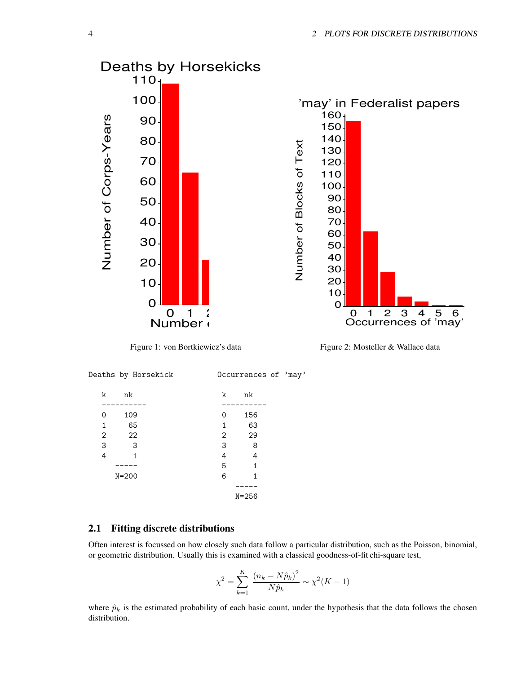

Figure 2: Mosteller & Wallace data



# **2.1 Fitting discrete distributions**

Often interest is focussed on how closely such data follow a particular distribution, such as the Poisson, binomial, or geometric distribution. Usually this is examined with a classical goodness-of-fit chi-square test,

$$
\chi^2 = \sum_{k=1}^{K} \frac{(n_k - N\hat{p}_k)^2}{N\hat{p}_k} \sim \chi^2(K - 1)
$$

where  $\hat{p}_k$  is the estimated probability of each basic count, under the hypothesis that the data follows the chosen distribution.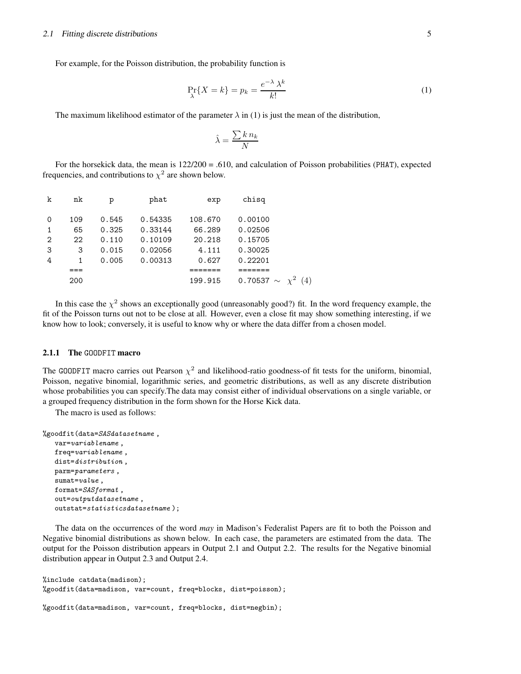For example, for the Poisson distribution, the probability function is

$$
\Pr_{\lambda}\{X = k\} = p_k = \frac{e^{-\lambda} \lambda^k}{k!}
$$
 (1)

The maximum likelihood estimator of the parameter  $\lambda$  in (1) is just the mean of the distribution,

$$
\hat{\lambda} = \frac{\sum k \, n_k}{N}
$$

For the horsekick data, the mean is  $122/200 = .610$ , and calculation of Poisson probabilities (PHAT), expected frequencies, and contributions to  $\chi^2$  are shown below.

| k              | nk  | р     | phat    | exp     | chisq                     |  |
|----------------|-----|-------|---------|---------|---------------------------|--|
| $\Omega$       | 109 | 0.545 | 0.54335 | 108.670 | 0.00100                   |  |
| $\mathbf{1}$   | 65  | 0.325 | 0.33144 | 66.289  | 0.02506                   |  |
| $\overline{2}$ | 22  | 0.110 | 0.10109 | 20.218  | 0.15705                   |  |
| -3             | 3   | 0.015 | 0.02056 | 4.111   | 0.30025                   |  |
| $\overline{4}$ | 1   | 0.005 | 0.00313 | 0.627   | 0.22201                   |  |
|                |     |       |         |         |                           |  |
|                | 200 |       |         | 199.915 | 0.70537 $\sim \chi^2$ (4) |  |
|                |     |       |         |         |                           |  |

In this case the  $\chi^2$  shows an exceptionally good (unreasonably good?) fit. In the word frequency example, the fit of the Poisson turns out not to be close at all. However, even a close fit may show something interesting, if we know how to look; conversely, it is useful to know why or where the data differ from a chosen model.

#### **2.1.1 The** GOODFIT **macro**

The GOODFIT macro carries out Pearson  $\chi^2$  and likelihood-ratio goodness-of fit tests for the uniform, binomial, Poisson, negative binomial, logarithmic series, and geometric distributions, as well as any discrete distribution whose probabilities you can specify.The data may consist either of individual observations on a single variable, or a grouped frequency distribution in the form shown for the Horse Kick data.

The macro is used as follows:

```
%goodfit(data=SASdatasetname ,
   var=variablename ,
   freq=variablename ,
   dist=distribution ,
   parm=parameters ,
   sumat=value ,
   format=SASformat ,
   out=outputdatasetname ,
   outstat=statisticsdatasetname );
```
The data on the occurrences of the word *may* in Madison's Federalist Papers are fit to both the Poisson and Negative binomial distributions as shown below. In each case, the parameters are estimated from the data. The output for the Poisson distribution appears in Output 2.1 and Output 2.2. The results for the Negative binomial distribution appear in Output 2.3 and Output 2.4.

```
%include catdata(madison);
%goodfit(data=madison, var=count, freq=blocks, dist=poisson);
%goodfit(data=madison, var=count, freq=blocks, dist=negbin);
```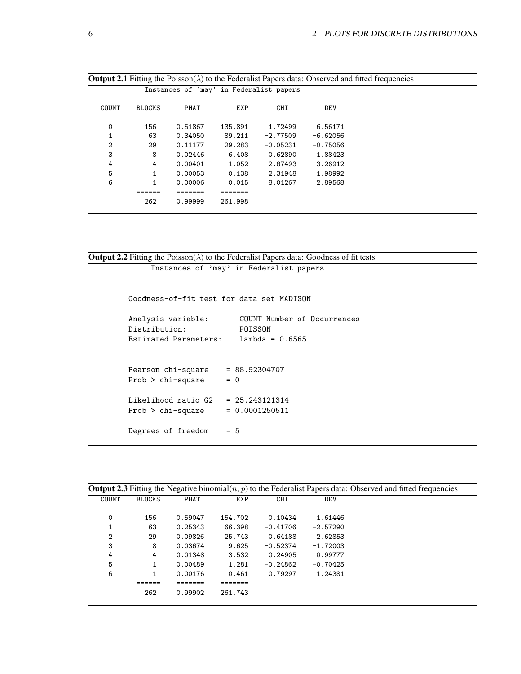| <b>Output 2.1</b> Fitting the Poisson( $\lambda$ ) to the Federalist Papers data: Observed and fitted frequencies |               |         |         |                                         |            |  |  |
|-------------------------------------------------------------------------------------------------------------------|---------------|---------|---------|-----------------------------------------|------------|--|--|
|                                                                                                                   |               |         |         | Instances of 'may' in Federalist papers |            |  |  |
| COUNT                                                                                                             | <b>BLOCKS</b> | PHAT    | EXP     | <b>CHI</b>                              | <b>DEV</b> |  |  |
| 0                                                                                                                 | 156           | 0.51867 | 135.891 | 1.72499                                 | 6.56171    |  |  |
|                                                                                                                   | 63            | 0.34050 | 89.211  | $-2.77509$                              | $-6.62056$ |  |  |
| 2                                                                                                                 | 29            | 0.11177 | 29.283  | $-0.05231$                              | $-0.75056$ |  |  |
| 3                                                                                                                 | 8             | 0.02446 | 6.408   | 0.62890                                 | 1.88423    |  |  |
| 4                                                                                                                 | 4             | 0.00401 | 1.052   | 2.87493                                 | 3.26912    |  |  |
| 5                                                                                                                 | 1             | 0.00053 | 0.138   | 2.31948                                 | 1.98992    |  |  |
| 6                                                                                                                 | 1             | 0.00006 | 0.015   | 8.01267                                 | 2.89568    |  |  |
|                                                                                                                   |               |         |         |                                         |            |  |  |
|                                                                                                                   | 262           | 0.99999 | 261.998 |                                         |            |  |  |
|                                                                                                                   |               |         |         |                                         |            |  |  |

```
Output 2.2 Fitting the Poisson(\lambda) to the Federalist Papers data: Goodness of fit tests
```
Instances of 'may' in Federalist papers

Goodness-of-fit test for data set MADISON

| Analysis variable:<br>Distribution:<br>Estimated Parameters: | COUNT Number of Occurrences<br>POISSON<br>$lambda = 0.6565$ |
|--------------------------------------------------------------|-------------------------------------------------------------|
| Pearson chi-square<br>$Prob$ > chi-square                    | $= 88.92304707$<br>$= 0$                                    |
| Likelihood ratio G2<br>$Prob > chi-square$                   | $= 25.243121314$<br>$= 0.0001250511$                        |
| Degrees of freedom                                           | = 5                                                         |

| <b>Output 2.3</b> Fitting the Negative binomial $(n, p)$ to the Federalist Papers data: Observed and fitted frequencies |               |         |         |            |            |  |
|-------------------------------------------------------------------------------------------------------------------------|---------------|---------|---------|------------|------------|--|
| COUNT                                                                                                                   | <b>BLOCKS</b> | PHAT    | EXP     | <b>CHI</b> | DEV        |  |
| 0                                                                                                                       | 156           | 0.59047 | 154.702 | 0.10434    | 1.61446    |  |
|                                                                                                                         | 63            | 0.25343 | 66.398  | $-0.41706$ | $-2.57290$ |  |
| 2                                                                                                                       | 29            | 0.09826 | 25.743  | 0.64188    | 2.62853    |  |
| 3                                                                                                                       | 8             | 0.03674 | 9.625   | $-0.52374$ | $-1.72003$ |  |
| 4                                                                                                                       | 4             | 0.01348 | 3.532   | 0.24905    | 0.99777    |  |
| 5                                                                                                                       |               | 0.00489 | 1.281   | $-0.24862$ | $-0.70425$ |  |
| 6                                                                                                                       |               | 0.00176 | 0.461   | 0.79297    | 1.24381    |  |
|                                                                                                                         |               |         |         |            |            |  |
|                                                                                                                         | 262           | 0.99902 | 261.743 |            |            |  |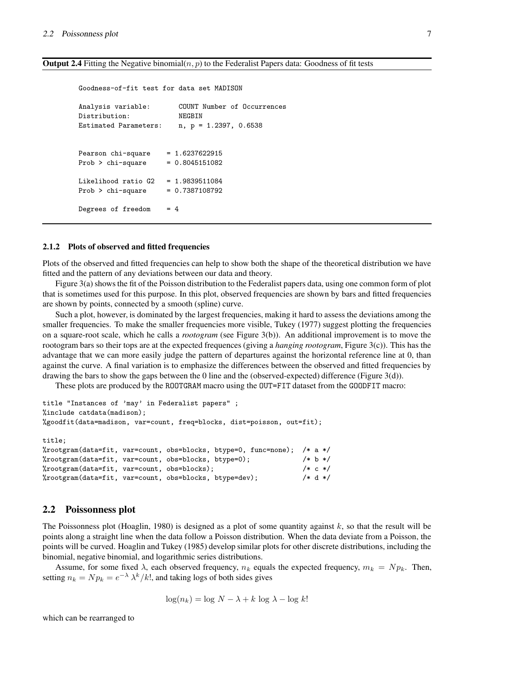#### **Output 2.4** Fitting the Negative binomial $(n, p)$  to the Federalist Papers data: Goodness of fit tests

Goodness-of-fit test for data set MADISON Analysis variable: COUNT Number of Occurrences Distribution: NEGBIN Estimated Parameters: n, p = 1.2397, 0.6538 Pearson  $chi$ -square = 1.6237622915  $Prob > chi-square = 0.8045151082$ Likelihood ratio G2 = 1.9839511084 Prob > chi-square =  $0.7387108792$ Degrees of freedom = 4

#### **2.1.2 Plots of observed and fitted frequencies**

Plots of the observed and fitted frequencies can help to show both the shape of the theoretical distribution we have fitted and the pattern of any deviations between our data and theory.

Figure 3(a) shows the fit of the Poisson distribution to the Federalist papers data, using one common form of plot that is sometimes used for this purpose. In this plot, observed frequencies are shown by bars and fitted frequencies are shown by points, connected by a smooth (spline) curve.

Such a plot, however, is dominated by the largest frequencies, making it hard to assess the deviations among the smaller frequencies. To make the smaller frequencies more visible, Tukey (1977) suggest plotting the frequencies on a square-root scale, which he calls a *rootogram* (see Figure 3(b)). An additional improvement is to move the rootogram bars so their tops are at the expected frequences (giving a *hanging rootogram*, Figure 3(c)). This has the advantage that we can more easily judge the pattern of departures against the horizontal reference line at 0, than against the curve. A final variation is to emphasize the differences between the observed and fitted frequencies by drawing the bars to show the gaps between the 0 line and the (observed-expected) difference (Figure 3(d)).

These plots are produced by the ROOTGRAM macro using the OUT=FIT dataset from the GOODFIT macro:

```
title "Instances of 'may' in Federalist papers" ;
%include catdata(madison);
%goodfit(data=madison, var=count, freq=blocks, dist=poisson, out=fit);
title;
%rootgram(data=fit, var=count, obs=blocks, btype=0, func=none); /* a */
%rootgram(data=fit, var=count, obs=blocks, btype=0); /* b */
%rootgram(data=fit, var=count, obs=blocks); /* c */
%rootgram(data=fit, var=count, obs=blocks, btype=dev); /* d */
```
# **2.2 Poissonness plot**

The Poissonness plot (Hoaglin, 1980) is designed as a plot of some quantity against  $k$ , so that the result will be points along a straight line when the data follow a Poisson distribution. When the data deviate from a Poisson, the points will be curved. Hoaglin and Tukey (1985) develop similar plots for other discrete distributions, including the binomial, negative binomial, and logarithmic series distributions.

Assume, for some fixed  $\lambda$ , each observed frequency,  $n_k$  equals the expected frequency,  $m_k = N p_k$ . Then, setting  $n_k = N p_k = e^{-\lambda} \lambda^k / k!$ , and taking logs of both sides gives

$$
\log(n_k) = \log N - \lambda + k \log \lambda - \log k!
$$

which can be rearranged to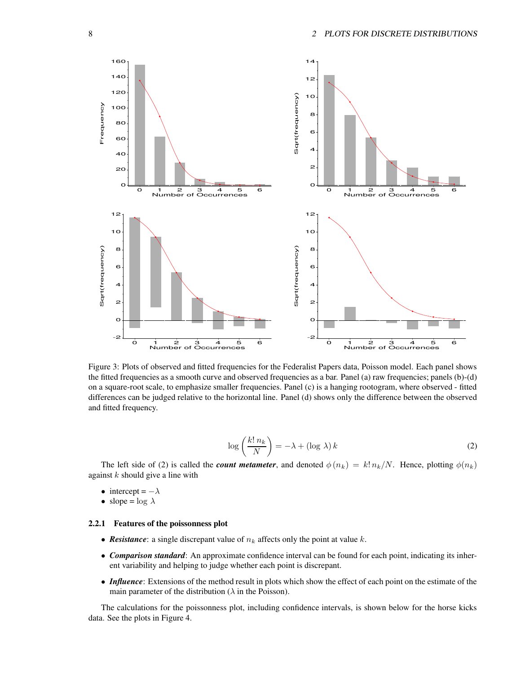

Figure 3: Plots of observed and fitted frequencies for the Federalist Papers data, Poisson model. Each panel shows the fitted frequencies as a smooth curve and observed frequencies as a bar. Panel (a) raw frequencies; panels (b)-(d) on a square-root scale, to emphasize smaller frequencies. Panel (c) is a hanging rootogram, where observed - fitted differences can be judged relative to the horizontal line. Panel (d) shows only the difference between the observed and fitted frequency.

$$
\log\left(\frac{k! \, n_k}{N}\right) = -\lambda + (\log \lambda) \, k \tag{2}
$$

The left side of (2) is called the *count metameter*, and denoted  $\phi(n_k) = k! n_k/N$ . Hence, plotting  $\phi(n_k)$ against  $k$  should give a line with

- intercept =  $-\lambda$
- slope =  $\log \lambda$

#### **2.2.1 Features of the poissonness plot**

- **Resistance**: a single discrepant value of  $n_k$  affects only the point at value k.
- *Comparison standard*: An approximate confidence interval can be found for each point, indicating its inherent variability and helping to judge whether each point is discrepant.
- *Influence*: Extensions of the method result in plots which show the effect of each point on the estimate of the main parameter of the distribution ( $\lambda$  in the Poisson).

The calculations for the poissonness plot, including confidence intervals, is shown below for the horse kicks data. See the plots in Figure 4.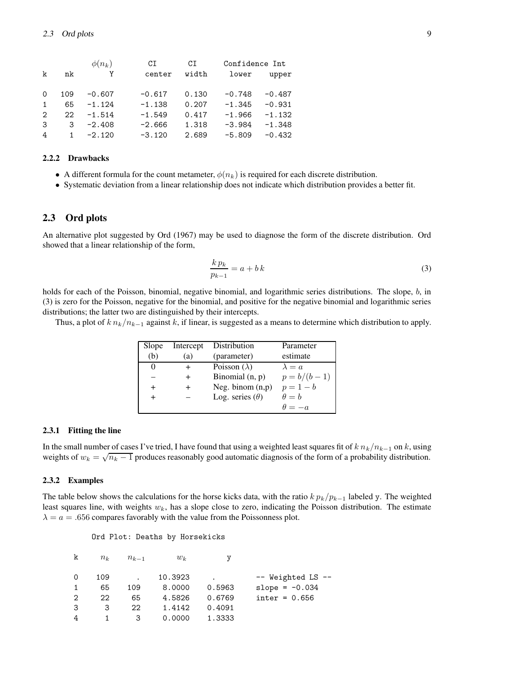|              | $\phi(n_k)$ | CI       | CI    | Confidence Int |          |
|--------------|-------------|----------|-------|----------------|----------|
| nk           | Y           | center   | width | lower          | upper    |
| 109          | $-0.607$    | $-0.617$ | 0.130 | $-0.748$       | $-0.487$ |
| 65           | $-1.124$    | $-1.138$ | 0.207 | $-1.345$       | $-0.931$ |
| 22           | $-1.514$    | $-1.549$ | 0.417 | $-1.966$       | $-1.132$ |
| 3            | $-2.408$    | $-2.666$ | 1.318 | $-3.984$       | $-1.348$ |
| $\mathbf{1}$ | $-2.120$    | $-3.120$ | 2.689 | $-5.809$       | $-0.432$ |
|              |             |          |       |                |          |

# **2.2.2 Drawbacks**

- A different formula for the count metameter,  $\phi(n_k)$  is required for each discrete distribution.
- Systematic deviation from a linear relationship does not indicate which distribution provides a better fit.

### **2.3 Ord plots**

An alternative plot suggested by Ord (1967) may be used to diagnose the form of the discrete distribution. Ord showed that a linear relationship of the form,

$$
\frac{k p_k}{p_{k-1}} = a + b k \tag{3}
$$

holds for each of the Poisson, binomial, negative binomial, and logarithmic series distributions. The slope, b, in (3) is zero for the Poisson, negative for the binomial, and positive for the negative binomial and logarithmic series distributions; the latter two are distinguished by their intercepts.

Thus, a plot of  $k n_k/n_{k-1}$  against k, if linear, is suggested as a means to determine which distribution to apply.

| Slope     | Intercept      | Distribution           | Parameter     |
|-----------|----------------|------------------------|---------------|
| (b)       | (a)            | (parameter)            | estimate      |
| $\theta$  |                | Poisson $(\lambda)$    | $\lambda = a$ |
|           | $\overline{+}$ | Binomial $(n, p)$      | $p = b/(b-1)$ |
| $\ddot{}$ | $\ddot{}$      | Neg. binom $(n,p)$     | $p = 1 - b$   |
| $^{+}$    |                | Log. series $(\theta)$ | $\theta = b$  |
|           |                |                        | $\theta = -a$ |

#### **2.3.1 Fitting the line**

In the small number of cases I've tried, I have found that using a weighted least squares fit of  $k n_k/n_{k-1}$  on k, using weights of  $w_k = \sqrt{n_k - 1}$  produces reasonably good automatic diagnosis of the form of a probability distribution.

#### **2.3.2 Examples**

The table below shows the calculations for the horse kicks data, with the ratio  $k p_k/p_{k-1}$  labeled y. The weighted least squares line, with weights  $w_k$ , has a slope close to zero, indicating the Poisson distribution. The estimate  $\lambda = a = .656$  compares favorably with the value from the Poissonness plot.

Ord Plot: Deaths by Horsekicks

| k | $n_k$ | $n_{k-1}$ | $w_k$   |           |                       |
|---|-------|-----------|---------|-----------|-----------------------|
| 0 | 109   |           | 10.3923 | $\bullet$ | $--$ Weighted LS $--$ |
|   | 65    | 109       | 8,0000  | 0.5963    | slope = $-0.034$      |
| 2 | 22    | 65        | 4.5826  | 0.6769    | $inter = 0.656$       |
| 3 | 3     | 22        | 1.4142  | 0.4091    |                       |
| 4 |       | 3         | 0.0000  | 1.3333    |                       |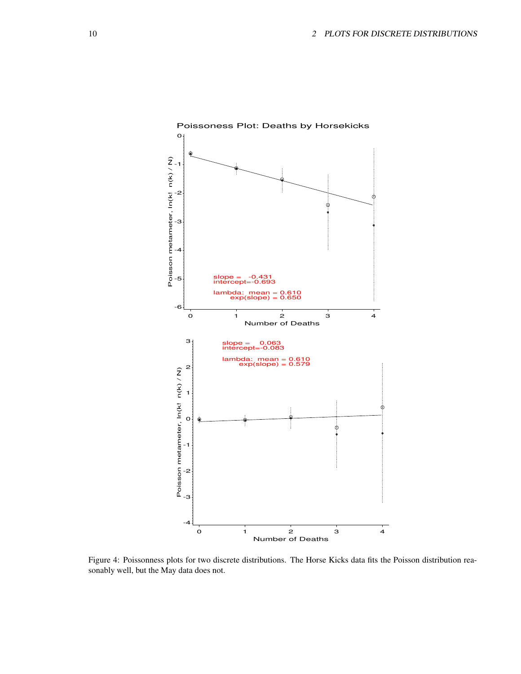

Figure 4: Poissonness plots for two discrete distributions. The Horse Kicks data fits the Poisson distribution reasonably well, but the May data does not.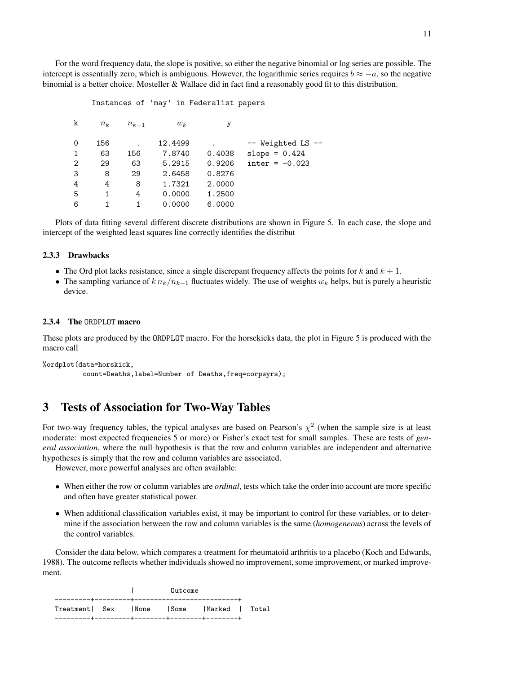For the word frequency data, the slope is positive, so either the negative binomial or log series are possible. The intercept is essentially zero, which is ambiguous. However, the logarithmic series requires  $b \approx -a$ , so the negative binomial is a better choice. Mosteller & Wallace did in fact find a reasonably good fit to this distribution.

#### Instances of 'may' in Federalist papers

| k            | $n_k$ | $n_{k-1}$ | $w_k$   | у      |                         |
|--------------|-------|-----------|---------|--------|-------------------------|
|              |       |           | 12.4499 |        |                         |
| 0            | 156   |           |         |        | $--$ Weighted LS $--$   |
| $\mathbf{1}$ | 63    | 156       | 7.8740  | 0.4038 | slope = $0.424$         |
| 2            | 29    | 63        | 5.2915  | 0.9206 | $\text{inter} = -0.023$ |
| 3            | 8     | 29        | 2.6458  | 0.8276 |                         |
| 4            | 4     | 8         | 1.7321  | 2.0000 |                         |
| 5            |       | 4         | 0.0000  | 1.2500 |                         |
| 6            |       |           | 0.0000  | 6.0000 |                         |

Plots of data fitting several different discrete distributions are shown in Figure 5. In each case, the slope and intercept of the weighted least squares line correctly identifies the distribut

#### **2.3.3 Drawbacks**

- The Ord plot lacks resistance, since a single discrepant frequency affects the points for k and  $k + 1$ .
- The sampling variance of  $k n_k/n_{k-1}$  fluctuates widely. The use of weights  $w_k$  helps, but is purely a heuristic device.

#### **2.3.4 The** ORDPLOT **macro**

These plots are produced by the ORDPLOT macro. For the horsekicks data, the plot in Figure 5 is produced with the macro call

```
%ordplot(data=horskick,
          count=Deaths,label=Number of Deaths,freq=corpsyrs);
```
# **3 Tests of Association for Two-Way Tables**

For two-way frequency tables, the typical analyses are based on Pearson's  $\chi^2$  (when the sample size is at least moderate: most expected frequencies 5 or more) or Fisher's exact test for small samples. These are tests of *general association*, where the null hypothesis is that the row and column variables are independent and alternative hypotheses is simply that the row and column variables are associated.

However, more powerful analyses are often available:

- When either the row or column variables are *ordinal*, tests which take the order into account are more specific and often have greater statistical power.
- When additional classification variables exist, it may be important to control for these variables, or to determine if the association between the row and column variables is the same (*homogeneous*) across the levels of the control variables.

Consider the data below, which compares a treatment for rheumatoid arthritis to a placebo (Koch and Edwards, 1988). The outcome reflects whether individuals showed no improvement, some improvement, or marked improvement.

|                                           |  | Outcome |  |  |
|-------------------------------------------|--|---------|--|--|
| Treatment Sex INone ISome IMarked I Total |  |         |  |  |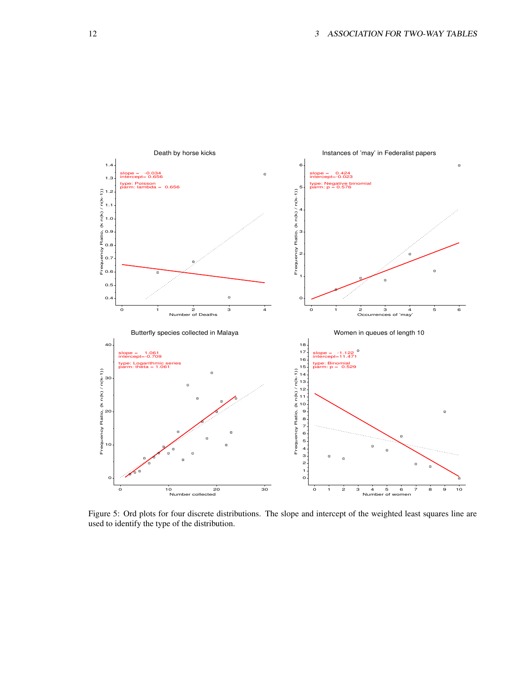

Figure 5: Ord plots for four discrete distributions. The slope and intercept of the weighted least squares line are used to identify the type of the distribution.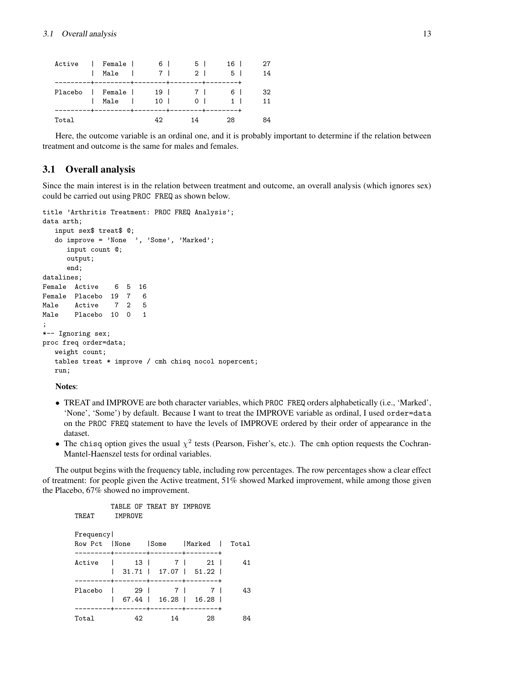| Active   Female           | Male          | $\begin{array}{ccc} \end{array}$ |     | 6 | 2 <sup>1</sup> | 5 | 16 <sup>1</sup><br>51  | 14       |
|---------------------------|---------------|----------------------------------|-----|---|----------------|---|------------------------|----------|
| Placebo   Female   19   7 | Male   10   0 |                                  |     |   |                |   | 61<br>$\sim$ 1 $\perp$ | 32<br>11 |
| Total                     |               |                                  | 42. |   | 14             |   | 28                     | 84       |

Here, the outcome variable is an ordinal one, and it is probably important to determine if the relation between treatment and outcome is the same for males and females.

# **3.1 Overall analysis**

Since the main interest is in the relation between treatment and outcome, an overall analysis (which ignores sex) could be carried out using PROC FREQ as shown below.

```
title 'Arthritis Treatment: PROC FREQ Analysis';
data arth;
  input sex$ treat$ @;
  do improve = 'None ', 'Some', 'Marked';
     input count @;
     output;
     end;
datalines;
Female Active 6 5 16
Female Placebo 19 7 6
Male Active 7 2 5
Male Placebo 10 0 1
;
*-- Ignoring sex;
proc freq order=data;
  weight count;
  tables treat * improve / cmh chisq nocol nopercent;
  run;
```
**Notes**:

- TREAT and IMPROVE are both character variables, which PROC FREQ orders alphabetically (i.e., 'Marked', 'None', 'Some') by default. Because I want to treat the IMPROVE variable as ordinal, I used order=data on the PROC FREQ statement to have the levels of IMPROVE ordered by their order of appearance in the dataset.
- The chisq option gives the usual  $\chi^2$  tests (Pearson, Fisher's, etc.). The cmh option requests the Cochran-Mantel-Haenszel tests for ordinal variables.

The output begins with the frequency table, including row percentages. The row percentages show a clear effect of treatment: for people given the Active treatment, 51% showed Marked improvement, while among those given the Placebo, 67% showed no improvement.

```
TABLE OF TREAT BY IMPROVE
TREAT IMPROVE
Frequency|
Row Pct |None |Some |Marked | Total
---------+--------+--------+--------+
Active | 13 | 7 | 21 | 41
     | 31.71 | 17.07 | 51.22 |
---------+--------+--------+--------+
Placebo | 29 | 7 | 7 | 43
   | 67.44 | 16.28 | 16.28 |
---------+--------+--------+--------+
Total 42 14 28 84
```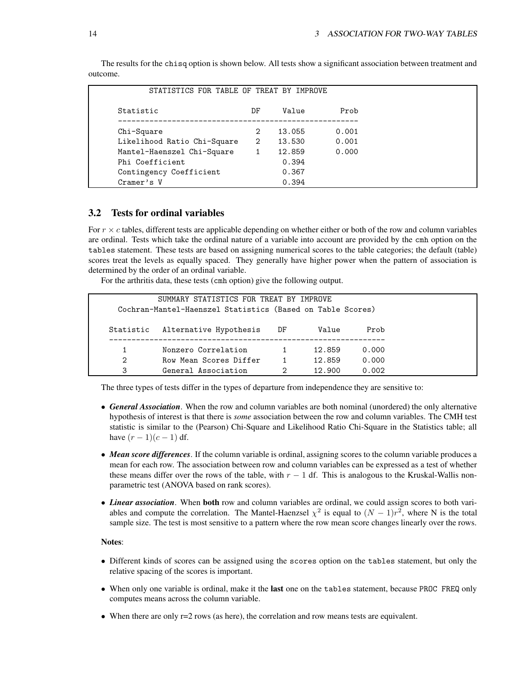| STATISTICS FOR TABLE OF TREAT BY IMPROVE |    |        |       |
|------------------------------------------|----|--------|-------|
| Statistic                                | DF | Value  | Prob  |
| Chi-Square                               | 2  | 13.055 | 0.001 |
| Likelihood Ratio Chi-Square              | 2  | 13.530 | 0.001 |
| Mantel-Haenszel Chi-Square               | 1  | 12.859 | 0.000 |
| Phi Coefficient                          |    | 0.394  |       |
| Contingency Coefficient                  |    | 0.367  |       |
| Cramer's V                               |    | 0.394  |       |

The results for the chisq option is shown below. All tests show a significant association between treatment and outcome.

# **3.2 Tests for ordinal variables**

For  $r \times c$  tables, different tests are applicable depending on whether either or both of the row and column variables are ordinal. Tests which take the ordinal nature of a variable into account are provided by the cmh option on the tables statement. These tests are based on assigning numerical scores to the table categories; the default (table) scores treat the levels as equally spaced. They generally have higher power when the pattern of association is determined by the order of an ordinal variable.

For the arthritis data, these tests (cmh option) give the following output.

|           | SUMMARY STATISTICS FOR TREAT BY IMPROVE<br>Cochran-Mantel-Haenszel Statistics (Based on Table Scores) |    |        |       |
|-----------|-------------------------------------------------------------------------------------------------------|----|--------|-------|
| Statistic | Alternative Hypothesis                                                                                | DF | Value  | Prob  |
|           | Nonzero Correlation                                                                                   |    | 12.859 | 0.000 |
| 2         | Row Mean Scores Differ                                                                                | 1  | 12.859 | 0.000 |
| 3         | General Association                                                                                   | 2  | 12.900 | 0.002 |

The three types of tests differ in the types of departure from independence they are sensitive to:

- *General Association*. When the row and column variables are both nominal (unordered) the only alternative hypothesis of interest is that there is *some* association between the row and column variables. The CMH test statistic is similar to the (Pearson) Chi-Square and Likelihood Ratio Chi-Square in the Statistics table; all have  $(r - 1)(c - 1)$  df.
- *Mean score differences*. If the column variable is ordinal, assigning scores to the column variable produces a mean for each row. The association between row and column variables can be expressed as a test of whether these means differ over the rows of the table, with  $r - 1$  df. This is analogous to the Kruskal-Wallis nonparametric test (ANOVA based on rank scores).
- *Linear association*. When **both** row and column variables are ordinal, we could assign scores to both variables and compute the correlation. The Mantel-Haenzsel  $\chi^2$  is equal to  $(N-1)r^2$ , where N is the total sample size. The test is most sensitive to a pattern where the row mean score changes linearly over the rows.

#### **Notes**:

- Different kinds of scores can be assigned using the scores option on the tables statement, but only the relative spacing of the scores is important.
- When only one variable is ordinal, make it the **last** one on the tables statement, because PROC FREQ only computes means across the column variable.
- When there are only r=2 rows (as here), the correlation and row means tests are equivalent.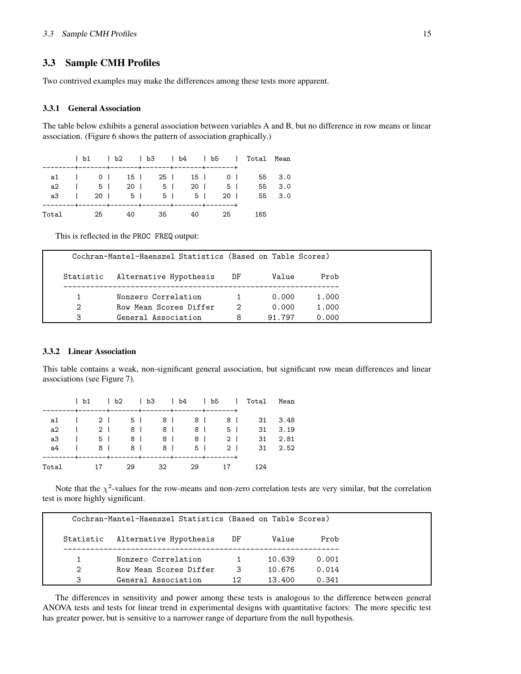# **3.3 Sample CMH Profiles**

Two contrived examples may make the differences among these tests more apparent.

#### **3.3.1 General Association**

The table below exhibits a general association between variables A and B, but no difference in row means or linear association. (Figure 6 shows the pattern of association graphically.)

|                                      |  |                          |  |  |  | b1   b2   b3   b4   b5   Total Mean |        |
|--------------------------------------|--|--------------------------|--|--|--|-------------------------------------|--------|
|                                      |  |                          |  |  |  | a1   0   15   25   15   0   55 3.0  |        |
|                                      |  | a2   5   20   5   20   5 |  |  |  |                                     | 55 3.0 |
| a 3   20   5   5   5   20   55   3.0 |  |                          |  |  |  |                                     |        |
| Total 25 40 35 40 25                 |  |                          |  |  |  | 165                                 |        |

This is reflected in the PROC FREQ output:

|           | Cochran-Mantel-Haenszel Statistics (Based on Table Scores) |    |        |       |
|-----------|------------------------------------------------------------|----|--------|-------|
| Statistic | Alternative Hypothesis                                     | DF | Value  | Prob  |
|           | Nonzero Correlation                                        |    | 0.000  | 1.000 |
| 2         | Row Mean Scores Differ                                     | 2  | 0.000  | 1.000 |
| 3         | General Association                                        | 8  | 91.797 | 0.000 |

### **3.3.2 Linear Association**

This table contains a weak, non-significant general association, but significant row mean differences and linear associations (see Figure 7).

|  |  | b1   b2   b3   b4   b5   Total Mean |  |  |
|--|--|-------------------------------------|--|--|
|  |  | a1   2   5   8   8   8   31 3.48    |  |  |
|  |  | a 2   2   8   8   8   5   31 3.19   |  |  |
|  |  | a 3   5   8   8   8   2   31 2.81   |  |  |
|  |  | a 4   8   8   8   5   2   31 2.52   |  |  |
|  |  |                                     |  |  |
|  |  | Total 17 29 32 29 17 124            |  |  |

Note that the  $\chi^2$ -values for the row-means and non-zero correlation tests are very similar, but the correlation test is more highly significant.

|           | Cochran-Mantel-Haenszel Statistics (Based on Table Scores) |    |        |       |
|-----------|------------------------------------------------------------|----|--------|-------|
| Statistic | Alternative Hypothesis                                     | DF | Value  | Prob  |
|           | Nonzero Correlation                                        |    | 10.639 | 0.001 |
| 2         | Row Mean Scores Differ                                     | 3  | 10.676 | 0.014 |
| З         | General Association                                        | 12 | 13.400 | 0.341 |

The differences in sensitivity and power among these tests is analogous to the difference between general ANOVA tests and tests for linear trend in experimental designs with quantitative factors: The more specific test has greater power, but is sensitive to a narrower range of departure from the null hypothesis.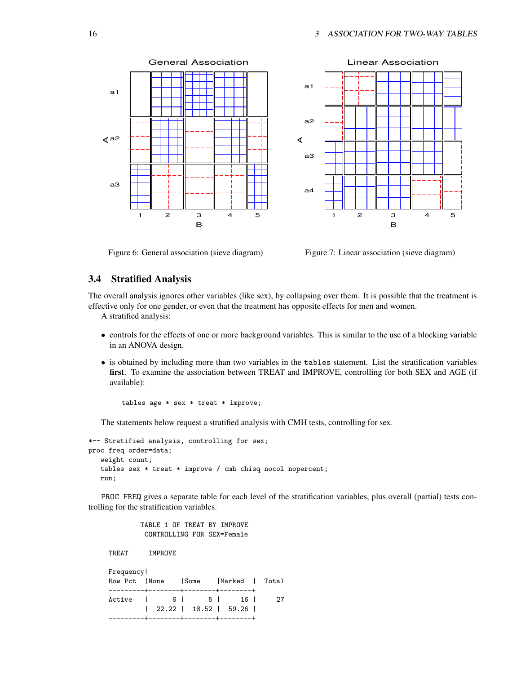

Figure 6: General association (sieve diagram)

Figure 7: Linear association (sieve diagram)

# **3.4 Stratified Analysis**

The overall analysis ignores other variables (like sex), by collapsing over them. It is possible that the treatment is effective only for one gender, or even that the treatment has opposite effects for men and women. A stratified analysis:

- controls for the effects of one or more background variables. This is similar to the use of a blocking variable in an ANOVA design.
- is obtained by including more than two variables in the tables statement. List the stratification variables **first**. To examine the association between TREAT and IMPROVE, controlling for both SEX and AGE (if available):

tables age \* sex \* treat \* improve;

The statements below request a stratified analysis with CMH tests, controlling for sex.

```
*-- Stratified analysis, controlling for sex;
proc freq order=data;
  weight count;
  tables sex * treat * improve / cmh chisq nocol nopercent;
  run;
```
PROC FREQ gives a separate table for each level of the stratification variables, plus overall (partial) tests controlling for the stratification variables.

> TABLE 1 OF TREAT BY IMPROVE CONTROLLING FOR SEX=Female

TREAT IMPROVE

| Frequency                            |  |  |                               |    |
|--------------------------------------|--|--|-------------------------------|----|
| Row Pct INone                        |  |  | Some  Marked   Total          |    |
| ---------+--------+-------+--------- |  |  |                               |    |
| Active   6   5   16                  |  |  |                               | 27 |
|                                      |  |  | $\vert$ 22.22   18.52   59.26 |    |
|                                      |  |  | -+--------+--------+-------+  |    |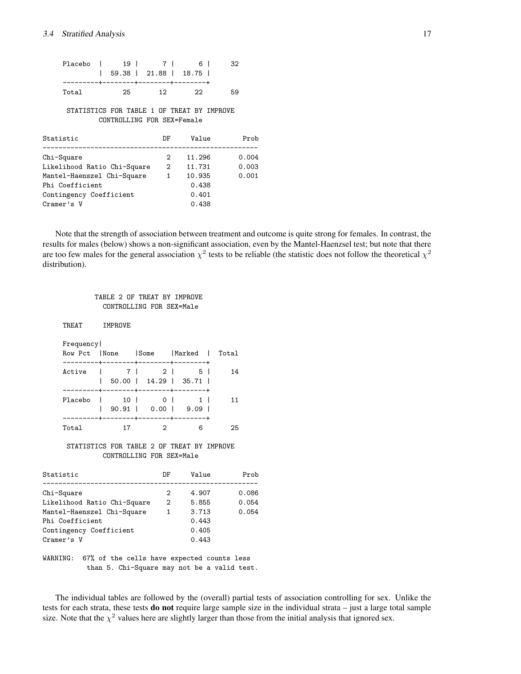| Placebo                                                                                                                             | 19 <sup>1</sup> | 7 I<br>59.38   21.88   18.75                                             | 6 I                                                   | 32                      |
|-------------------------------------------------------------------------------------------------------------------------------------|-----------------|--------------------------------------------------------------------------|-------------------------------------------------------|-------------------------|
| Total                                                                                                                               | 25              | ---------+--------+--------+-------+<br>12 <sup>1</sup>                  | 22                                                    | 59                      |
|                                                                                                                                     |                 | STATISTICS FOR TABLE 1 OF TREAT BY IMPROVE<br>CONTROLLING FOR SEX=Female |                                                       |                         |
| Statistic                                                                                                                           |                 | DF                                                                       | Value                                                 | Prob                    |
| Chi-Square<br>Likelihood Ratio Chi-Square<br>Mantel-Haenszel Chi-Square<br>Phi Coefficient<br>Contingency Coefficient<br>Cramer's V |                 | $2^{\circ}$<br>$\overline{2}$<br>$1 \quad$                               | 11.296<br>11.731<br>10.935<br>0.438<br>0.401<br>0.438 | 0.004<br>0.003<br>0.001 |

Note that the strength of association between treatment and outcome is quite strong for females. In contrast, the results for males (below) shows a non-significant association, even by the Mantel-Haenzsel test; but note that there are too few males for the general association  $\chi^2$  tests to be reliable (the statistic does not follow the theoretical  $\chi^2$ distribution).

#### TABLE 2 OF TREAT BY IMPROVE CONTROLLING FOR SEX=Male

TREAT IMPROVE Frequency| Row Pct |None |Some |Marked | Total ---------+--------+--------+--------+ Active | 7 | 2 | 5 | 14 | 50.00 | 14.29 | 35.71 | ---------+--------+--------+--------+ Placebo | 10 | 0 | 1 | 11 | 90.91 | 0.00 | 9.09 | ---------+--------+--------+--------+ Total 17 2 6 25

#### STATISTICS FOR TABLE 2 OF TREAT BY IMPROVE CONTROLLING FOR SEX=Male

| Statistic                   | DF            | Value | Prob  |
|-----------------------------|---------------|-------|-------|
|                             |               |       |       |
| Chi-Square                  | $\mathcal{D}$ | 4.907 | 0.086 |
| Likelihood Ratio Chi-Square | 2             | 5.855 | 0.054 |
| Mantel-Haenszel Chi-Square  | 1             | 3.713 | 0.054 |
| Phi Coefficient             |               | 0.443 |       |
| Contingency Coefficient     |               | 0.405 |       |
| Cramer's V                  |               | 0.443 |       |

WARNING: 67% of the cells have expected counts less than 5. Chi-Square may not be a valid test.

The individual tables are followed by the (overall) partial tests of association controlling for sex. Unlike the tests for each strata, these tests **do not** require large sample size in the individual strata – just a large total sample size. Note that the  $\chi^2$  values here are slightly larger than those from the initial analysis that ignored sex.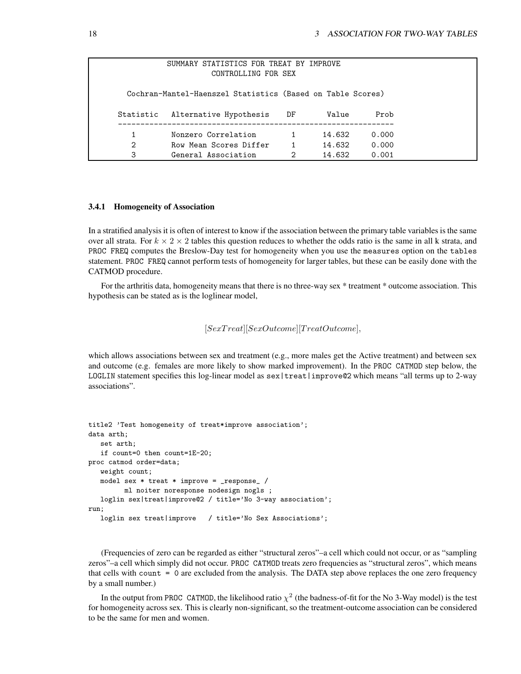|           | SUMMARY STATISTICS FOR TREAT BY IMPROVE<br>CONTROLLING FOR SEX |                |        |       |
|-----------|----------------------------------------------------------------|----------------|--------|-------|
|           | Cochran-Mantel-Haenszel Statistics (Based on Table Scores)     |                |        |       |
| Statistic | Alternative Hypothesis                                         | DF             | Value  | Prob  |
|           | Nonzero Correlation                                            |                | 14.632 | 0.000 |
| 2         | Row Mean Scores Differ                                         | $\overline{1}$ | 14.632 | 0.000 |
| 3         | General Association                                            | 2              | 14.632 | 0.001 |

#### **3.4.1 Homogeneity of Association**

In a stratified analysis it is often of interest to know if the association between the primary table variables is the same over all strata. For  $k \times 2 \times 2$  tables this question reduces to whether the odds ratio is the same in all k strata, and PROC FREQ computes the Breslow-Day test for homogeneity when you use the measures option on the tables statement. PROC FREQ cannot perform tests of homogeneity for larger tables, but these can be easily done with the CATMOD procedure.

For the arthritis data, homogeneity means that there is no three-way sex \* treatment \* outcome association. This hypothesis can be stated as is the loglinear model,

```
[SexTreat][SexOutcome][TreatOutcome],
```
which allows associations between sex and treatment (e.g., more males get the Active treatment) and between sex and outcome (e.g. females are more likely to show marked improvement). In the PROC CATMOD step below, the LOGLIN statement specifies this log-linear model as sex|treat|improve@2 which means "all terms up to 2-way associations".

```
title2 'Test homogeneity of treat*improve association';
data arth;
   set arth;
   if count=0 then count=1E-20;
proc catmod order=data;
   weight count;
   model sex * treat * improve = _response_ /
         ml noiter noresponse nodesign nogls ;
   loglin sex|treat|improve@2 / title='No 3-way association';
run;
   loglin sex treat|improve / title='No Sex Associations';
```
(Frequencies of zero can be regarded as either "structural zeros"–a cell which could not occur, or as "sampling zeros"–a cell which simply did not occur. PROC CATMOD treats zero frequencies as "structural zeros", which means that cells with count = 0 are excluded from the analysis. The DATA step above replaces the one zero frequency by a small number.)

In the output from PROC CATMOD, the likelihood ratio  $\chi^2$  (the badness-of-fit for the No 3-Way model) is the test for homogeneity across sex. This is clearly non-significant, so the treatment-outcome association can be considered to be the same for men and women.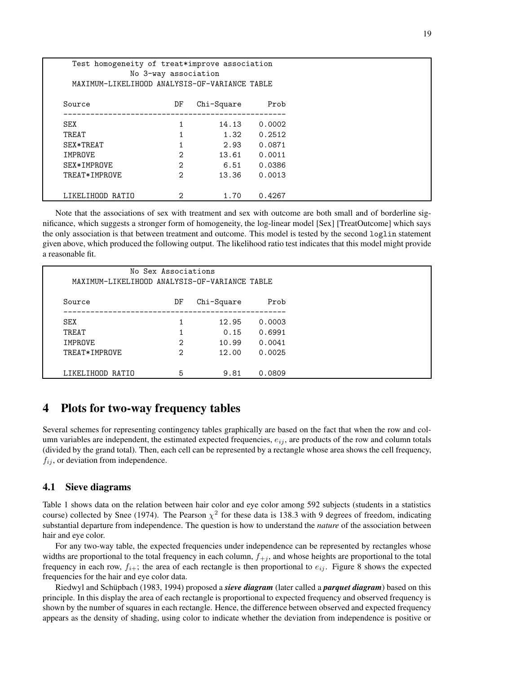| Test homogeneity of treat*improve association<br>No 3-way association<br>MAXIMUM-LIKELIHOOD ANALYSIS-OF-VARIANCE TABLE |                |            |        |  |  |
|------------------------------------------------------------------------------------------------------------------------|----------------|------------|--------|--|--|
| Source                                                                                                                 | DF             | Chi-Square | Prob   |  |  |
| SEX                                                                                                                    | 1              | 14.13      | 0.0002 |  |  |
| TREAT                                                                                                                  | 1              | 1.32       | 0.2512 |  |  |
| SEX*TREAT                                                                                                              |                | 2.93       | 0.0871 |  |  |
| IMPROVE                                                                                                                | $\overline{2}$ | 13.61      | 0.0011 |  |  |
| SEX*IMPROVE                                                                                                            | $\mathfrak{D}$ | 6.51       | 0.0386 |  |  |
| TREAT*IMPROVE                                                                                                          | $\overline{2}$ | 13.36      | 0.0013 |  |  |
| LIKELIHOOD RATIO                                                                                                       | 2              | 1.70       | 0.4267 |  |  |

Note that the associations of sex with treatment and sex with outcome are both small and of borderline significance, which suggests a stronger form of homogeneity, the log-linear model [Sex] [TreatOutcome] which says the only association is that between treatment and outcome. This model is tested by the second loglin statement given above, which produced the following output. The likelihood ratio test indicates that this model might provide a reasonable fit.

| No Sex Associations<br>MAXIMUM-LIKELIHOOD ANALYSIS-OF-VARIANCE TABLE |                |            |        |  |
|----------------------------------------------------------------------|----------------|------------|--------|--|
| Source                                                               | DF             | Chi-Square | Prob   |  |
| SEX                                                                  |                | 12.95      | 0.0003 |  |
| TREAT                                                                |                | 0.15       | 0.6991 |  |
| IMPROVE                                                              | 2              | 10.99      | 0.0041 |  |
| TREAT*IMPROVE                                                        | $\mathfrak{D}$ | 12.00      | 0.0025 |  |
| LIKELIHOOD RATIO                                                     | 5              | 9.81       | 0.0809 |  |

# **4 Plots for two-way frequency tables**

Several schemes for representing contingency tables graphically are based on the fact that when the row and column variables are independent, the estimated expected frequencies,  $e_{ij}$ , are products of the row and column totals (divided by the grand total). Then, each cell can be represented by a rectangle whose area shows the cell frequency,  $f_{ij}$ , or deviation from independence.

# **4.1 Sieve diagrams**

Table 1 shows data on the relation between hair color and eye color among 592 subjects (students in a statistics course) collected by Snee (1974). The Pearson  $\chi^2$  for these data is 138.3 with 9 degrees of freedom, indicating substantial departure from independence. The question is how to understand the *nature* of the association between hair and eye color.

For any two-way table, the expected frequencies under independence can be represented by rectangles whose widths are proportional to the total frequency in each column,  $f_{+j}$ , and whose heights are proportional to the total frequency in each row,  $f_{i+}$ ; the area of each rectangle is then proportional to  $e_{ij}$ . Figure 8 shows the expected frequencies for the hair and eye color data.

Riedwyl and Schüpbach (1983, 1994) proposed a *sieve diagram* (later called a *parquet diagram*) based on this principle. In this display the area of each rectangle is proportional to expected frequency and observed frequency is shown by the number of squares in each rectangle. Hence, the difference between observed and expected frequency appears as the density of shading, using color to indicate whether the deviation from independence is positive or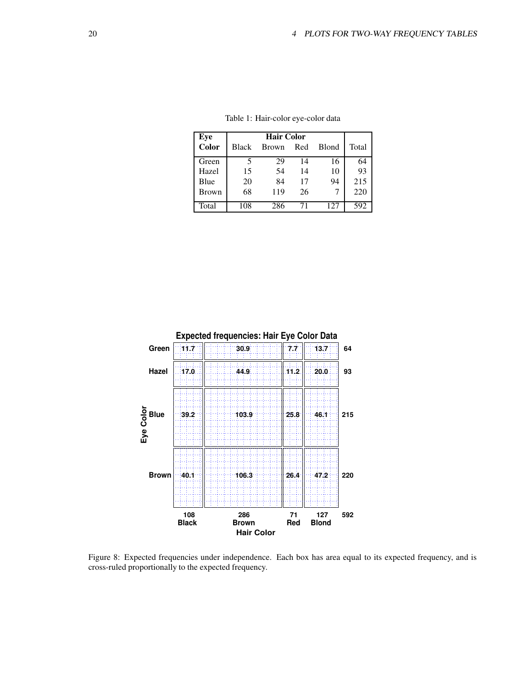| Eye          |              | <b>Hair Color</b> |     |              |       |  |  |
|--------------|--------------|-------------------|-----|--------------|-------|--|--|
| Color        | <b>Black</b> | <b>Brown</b>      | Red | <b>Blond</b> | Total |  |  |
| Green        | 5            | 29                | 14  | 16           | 64    |  |  |
| Hazel        | 15           | 54                | 14  | 10           | 93    |  |  |
| Blue         | 20           | 84                | 17  | 94           | 215   |  |  |
| <b>Brown</b> | 68           | 119               | 26  |              | 220   |  |  |
| Total        | 108          | 286               | 71  | 127          | 592   |  |  |

Table 1: Hair-color eye-color data



Figure 8: Expected frequencies under independence. Each box has area equal to its expected frequency, and is cross-ruled proportionally to the expected frequency.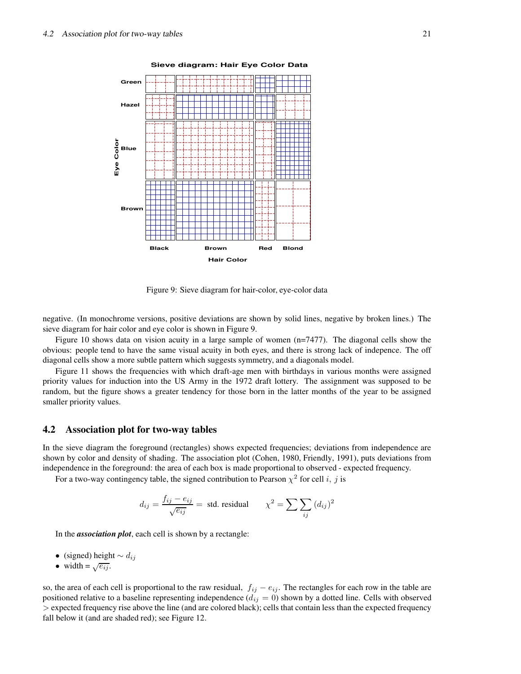

**Sieve diagram: Hair Eye Color Data**

Figure 9: Sieve diagram for hair-color, eye-color data

negative. (In monochrome versions, positive deviations are shown by solid lines, negative by broken lines.) The sieve diagram for hair color and eye color is shown in Figure 9.

Figure 10 shows data on vision acuity in a large sample of women (n=7477). The diagonal cells show the obvious: people tend to have the same visual acuity in both eyes, and there is strong lack of indepence. The off diagonal cells show a more subtle pattern which suggests symmetry, and a diagonals model.

Figure 11 shows the frequencies with which draft-age men with birthdays in various months were assigned priority values for induction into the US Army in the 1972 draft lottery. The assignment was supposed to be random, but the figure shows a greater tendency for those born in the latter months of the year to be assigned smaller priority values.

### **4.2 Association plot for two-way tables**

In the sieve diagram the foreground (rectangles) shows expected frequencies; deviations from independence are shown by color and density of shading. The association plot (Cohen, 1980, Friendly, 1991), puts deviations from independence in the foreground: the area of each box is made proportional to observed - expected frequency.

For a two-way contingency table, the signed contribution to Pearson  $\chi^2$  for cell i, j is

$$
d_{ij} = \frac{f_{ij} - e_{ij}}{\sqrt{e_{ij}}} = \text{ std. residual} \qquad \chi^2 = \sum \sum_{ij} (d_{ij})^2
$$

In the *association plot*, each cell is shown by a rectangle:

- (signed) height  $\sim d_{ij}$
- width =  $\sqrt{e_{ij}}$ .

so, the area of each cell is proportional to the raw residual,  $f_{ij} - e_{ij}$ . The rectangles for each row in the table are positioned relative to a baseline representing independence  $(d_{ij} = 0)$  shown by a dotted line. Cells with observed > expected frequency rise above the line (and are colored black); cells that contain less than the expected frequency fall below it (and are shaded red); see Figure 12.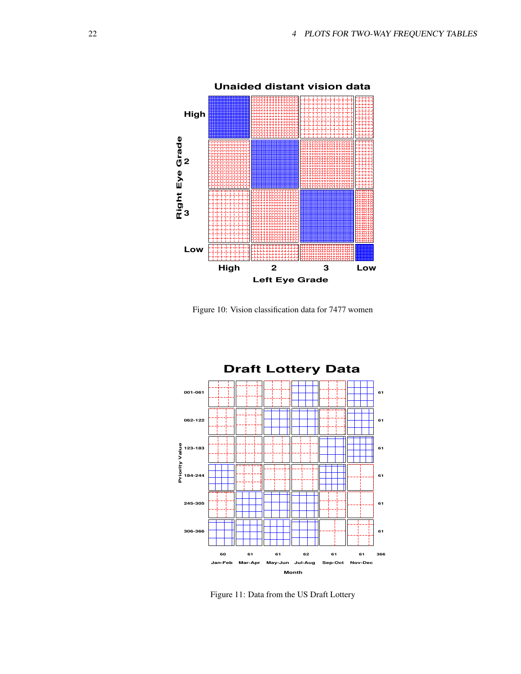

Figure 10: Vision classification data for 7477 women



Figure 11: Data from the US Draft Lottery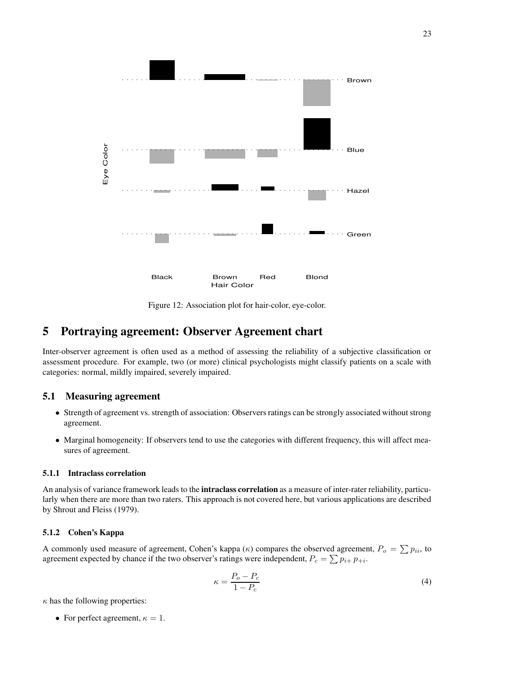

Figure 12: Association plot for hair-color, eye-color.

# **5 Portraying agreement: Observer Agreement chart**

Inter-observer agreement is often used as a method of assessing the reliability of a subjective classification or assessment procedure. For example, two (or more) clinical psychologists might classify patients on a scale with categories: normal, mildly impaired, severely impaired.

### **5.1 Measuring agreement**

- Strength of agreement vs. strength of association: Observers ratings can be strongly associated without strong agreement.
- Marginal homogeneity: If observers tend to use the categories with different frequency, this will affect measures of agreement.

#### **5.1.1 Intraclass correlation**

An analysis of variance framework leads to the **intraclass correlation** as a measure of inter-rater reliability, particularly when there are more than two raters. This approach is not covered here, but various applications are described by Shrout and Fleiss (1979).

# **5.1.2 Cohen's Kappa**

A commonly used measure of agreement, Cohen's kappa ( $\kappa$ ) compares the observed agreement,  $P_o = \sum p_{ii}$ , to agreement expected by chance if the two observer's ratings were independent,  $P_c = \sum p_{i+} p_{+i}$ .

$$
\kappa = \frac{P_o - P_c}{1 - P_c} \tag{4}
$$

 $\kappa$  has the following properties:

• For perfect agreement,  $\kappa = 1$ .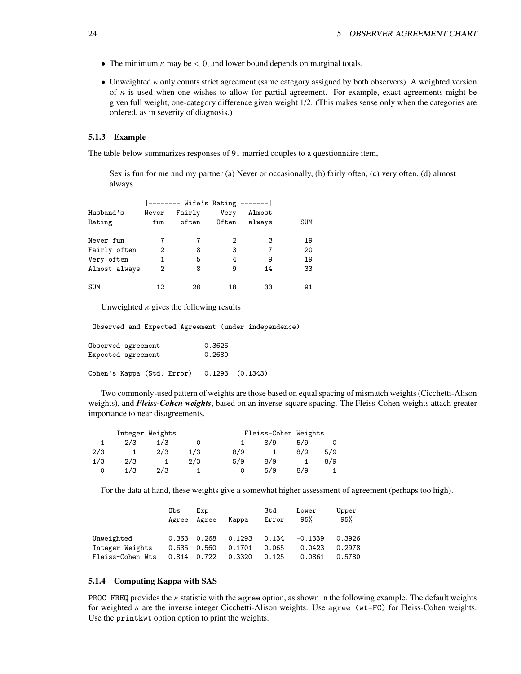- The minimum  $\kappa$  may be  $\lt 0$ , and lower bound depends on marginal totals.
- Unweighted  $\kappa$  only counts strict agreement (same category assigned by both observers). A weighted version of  $\kappa$  is used when one wishes to allow for partial agreement. For example, exact agreements might be given full weight, one-category difference given weight 1/2. (This makes sense only when the categories are ordered, as in severity of diagnosis.)

#### **5.1.3 Example**

The table below summarizes responses of 91 married couples to a questionnaire item,

Sex is fun for me and my partner (a) Never or occasionally, (b) fairly often, (c) very often, (d) almost always.

|               |       | -------- Wife's Rating ------- |       |        |     |
|---------------|-------|--------------------------------|-------|--------|-----|
| Husband's     | Never | Fairly                         | Very  | Almost |     |
| Rating        | fun   | often                          | Often | always | SUM |
|               |       |                                |       |        |     |
| Never fun     | 7     | 7                              | 2     | 3      | 19  |
| Fairly often  | 2     | 8                              | 3     | 7      | 20  |
| Very often    | 1     | 5                              | 4     | 9      | 19  |
| Almost always | 2     | 8                              | 9     | 14     | 33  |
|               |       |                                |       |        |     |
| <b>SUM</b>    | 12    | 28                             | 18    | 33     | 91  |

Unweighted  $\kappa$  gives the following results

Observed and Expected Agreement (under independence)

| Observed agreement | 0.3626 |  |
|--------------------|--------|--|
| Expected agreement | 0.2680 |  |
|                    |        |  |

Cohen's Kappa (Std. Error) 0.1293 (0.1343)

Two commonly-used pattern of weights are those based on equal spacing of mismatch weights (Cicchetti-Alison weights), and *Fleiss-Cohen weights*, based on an inverse-square spacing. The Fleiss-Cohen weights attach greater importance to near disagreements.

|     | Integer Weights |     |     |     | Fleiss-Cohen Weights |     |     |
|-----|-----------------|-----|-----|-----|----------------------|-----|-----|
|     | 2/3             | 1/3 |     |     | 8/9                  | 5/9 |     |
| 2/3 |                 | 2/3 | 1/3 | 8/9 |                      | 8/9 | 5/9 |
| 1/3 | 2/3             |     | 2/3 | 5/9 | 8/9                  |     | 8/9 |
|     | 1/3             | 2/3 |     |     | 5/9                  | 8/9 |     |

For the data at hand, these weights give a somewhat higher assessment of agreement (perhaps too high).

|                  | Obs   | Exp<br>Agree Agree | Kappa  | Std<br>Error | Lower<br>95% | Upper<br>95% |
|------------------|-------|--------------------|--------|--------------|--------------|--------------|
| Unweighted       |       | $0.363$ $0.268$    | 0.1293 | 0.134        | $-0.1339$    | 0.3926       |
| Integer Weights  |       | 0.635 0.560        | 0.1701 | 0.065        | 0.0423       | 0.2978       |
| Fleiss-Cohen Wts | 0.814 | 0.722              | 0.3320 | 0.125        | 0.0861       | 0.5780       |

#### **5.1.4 Computing Kappa with SAS**

PROC FREQ provides the  $\kappa$  statistic with the agree option, as shown in the following example. The default weights for weighted  $\kappa$  are the inverse integer Cicchetti-Alison weights. Use agree ( $wt=FC$ ) for Fleiss-Cohen weights. Use the printkwt option option to print the weights.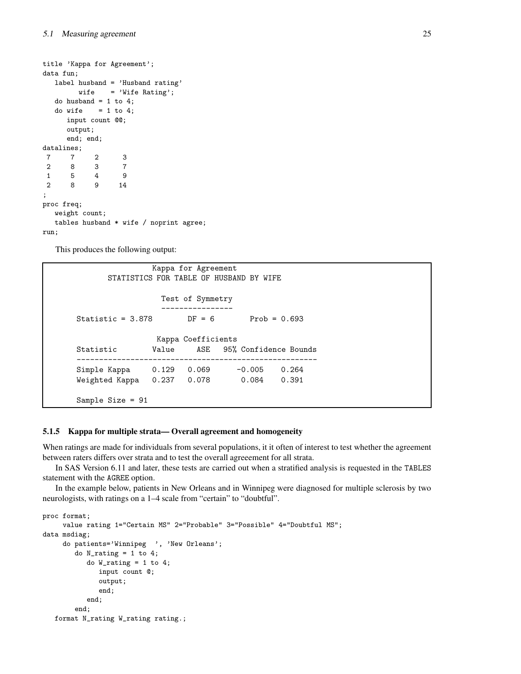```
title 'Kappa for Agreement';
data fun;
  label husband = 'Husband rating'
       wife = 'Wife Rating';
  do husband = 1 to 4;
  do wife = 1 to 4;
     input count @@;
     output;
     end; end;
datalines;
7 7 2 3
2 8 3 7
1 5 4 9
2 8 9 14
;
proc freq;
  weight count;
  tables husband * wife / noprint agree;
run;
```
This produces the following output:

```
Kappa for Agreement
      STATISTICS FOR TABLE OF HUSBAND BY WIFE
                Test of Symmetry
                ----------------
Statistic = 3.878 DF = 6 Prob = 0.693Kappa Coefficients
Statistic Value ASE 95% Confidence Bounds
------------------------------------------------------
Simple Kappa  0.129  0.069  -0.005  0.264
Weighted Kappa 0.237 0.078 0.084 0.391
Sample Size = 91
```
#### **5.1.5 Kappa for multiple strata— Overall agreement and homogeneity**

When ratings are made for individuals from several populations, it it often of interest to test whether the agreement between raters differs over strata and to test the overall agreeement for all strata.

In SAS Version 6.11 and later, these tests are carried out when a stratified analysis is requested in the TABLES statement with the AGREE option.

In the example below, patients in New Orleans and in Winnipeg were diagnosed for multiple sclerosis by two neurologists, with ratings on a 1–4 scale from "certain" to "doubtful".

```
proc format;
     value rating 1="Certain MS" 2="Probable" 3="Possible" 4="Doubtful MS";
data msdiag;
     do patients='Winnipeg ', 'New Orleans';
        do N\_rating = 1 to 4;do W_{\text{rating}} = 1 to 4;
              input count @;
               output;
               end;
           end;
        end;
   format N_rating W_rating rating.;
```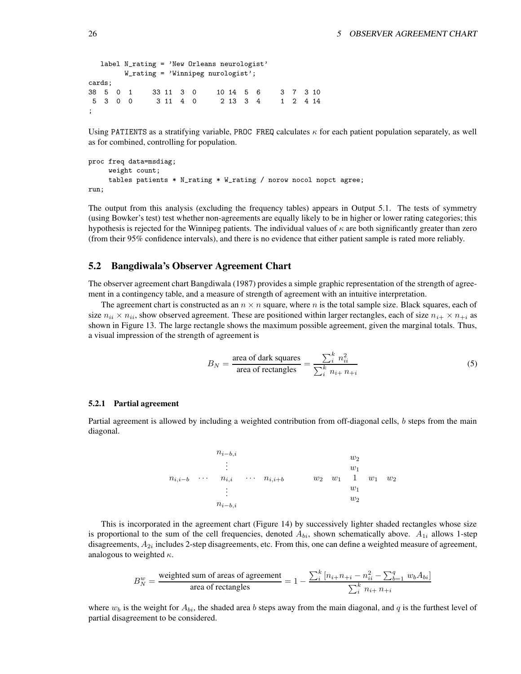```
label N_rating = 'New Orleans neurologist'
       W_rating = 'Winnipeg nurologist';
cards;
38 5 0 1 33 11 3 0 10 14 5 6 3 7 3 10
5 3 0 0 3 11 4 0 2 13 3 4 1 2 4 14
;
```
Using PATIENTS as a stratifying variable, PROC FREQ calculates  $\kappa$  for each patient population separately, as well as for combined, controlling for population.

```
proc freq data=msdiag;
     weight count;
     tables patients * N_rating * W_rating / norow nocol nopct agree;
run;
```
The output from this analysis (excluding the frequency tables) appears in Output 5.1. The tests of symmetry (using Bowker's test) test whether non-agreements are equally likely to be in higher or lower rating categories; this hypothesis is rejected for the Winnipeg patients. The individual values of  $\kappa$  are both significantly greater than zero (from their 95% confidence intervals), and there is no evidence that either patient sample is rated more reliably.

# **5.2 Bangdiwala's Observer Agreement Chart**

The observer agreement chart Bangdiwala (1987) provides a simple graphic representation of the strength of agreement in a contingency table, and a measure of strength of agreement with an intuitive interpretation.

The agreement chart is constructed as an  $n \times n$  square, where n is the total sample size. Black squares, each of size  $n_{ii} \times n_{ii}$ , show observed agreement. These are positioned within larger rectangles, each of size  $n_{i+} \times n_{+i}$  as shown in Figure 13. The large rectangle shows the maximum possible agreement, given the marginal totals. Thus, a visual impression of the strength of agreement is

$$
B_N = \frac{\text{area of dark squares}}{\text{area of rectangles}} = \frac{\sum_{i}^{k} n_{ii}^2}{\sum_{i}^{k} n_{i+} n_{+i}}
$$
(5)

#### **5.2.1 Partial agreement**

Partial agreement is allowed by including a weighted contribution from off-diagonal cells, b steps from the main diagonal.

|             |          | $n_{i-b,i}$               |                      |       |       | $w_2$ |       |       |
|-------------|----------|---------------------------|----------------------|-------|-------|-------|-------|-------|
|             |          | ٠<br>$\bullet$<br>$\cdot$ |                      |       |       | $w_1$ |       |       |
| $n_{i,i-b}$ | $\cdots$ | $n_{i,i}$                 | $\cdots$ $n_{i,i+b}$ | $w_2$ | $w_1$ | 1     | $w_1$ | $w_2$ |
|             |          | ٠<br>٠                    |                      |       |       | $w_1$ |       |       |
|             |          | $\cdot$                   |                      |       |       | $w_2$ |       |       |
|             |          | $n_{i-b,i}$               |                      |       |       |       |       |       |

This is incorporated in the agreement chart (Figure 14) by successively lighter shaded rectangles whose size is proportional to the sum of the cell frequencies, denoted  $A_{bi}$ , shown schematically above.  $A_{1i}$  allows 1-step disagreements,  $A_{2i}$  includes 2-step disagreements, etc. From this, one can define a weighted measure of agreement, analogous to weighted  $\kappa$ .

$$
B_N^w = \frac{\text{weighted sum of areas of agreement}}{\text{area of rectangles}} = 1 - \frac{\sum_{i}^{k} \left[ n_{i+}n_{+i} - n_{ii}^2 - \sum_{b=1}^{q} w_b A_{bi} \right]}{\sum_{i}^{k} n_{i+} n_{+i}}
$$

where  $w_b$  is the weight for  $A_{bi}$ , the shaded area b steps away from the main diagonal, and q is the furthest level of partial disagreement to be considered.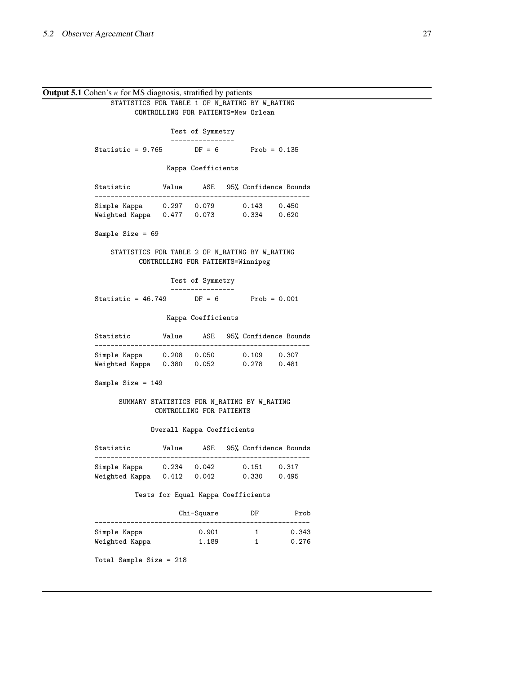**Output 5.1** Cohen's  $\kappa$  for MS diagnosis, stratified by patients STATISTICS FOR TABLE 1 OF N\_RATING BY W\_RATING CONTROLLING FOR PATIENTS=New Orlean Test of Symmetry ---------------- Statistic =  $9.765$  DF =  $6$  Prob =  $0.135$ Kappa Coefficients Statistic Value ASE 95% Confidence Bounds ------------------------------------------------------ Simple Kappa 0.297 0.079 0.143 0.450 Weighted Kappa 0.477 0.073 0.334 0.620 Sample Size = 69 STATISTICS FOR TABLE 2 OF N\_RATING BY W\_RATING CONTROLLING FOR PATIENTS=Winnipeg Test of Symmetry ---------------- Statistic =  $46.749$  DF =  $6$  Prob =  $0.001$ Kappa Coefficients Statistic Value ASE 95% Confidence Bounds ------------------------------------------------------ Simple Kappa 0.208 0.050 0.109 0.307 Weighted Kappa 0.380 0.052 0.278 0.481 Sample Size = 149 SUMMARY STATISTICS FOR N\_RATING BY W\_RATING CONTROLLING FOR PATIENTS Overall Kappa Coefficients Statistic Value ASE 95% Confidence Bounds ------------------------------------------------------ Simple Kappa 0.234 0.042 0.151 0.317 Weighted Kappa 0.412 0.042 0.330 0.495 Tests for Equal Kappa Coefficients Chi-Square DF Prob ------------------------------------------------------ Simple Kappa 0.901 1 0.343 Weighted Kappa 1.189 1 0.276 Total Sample Size = 218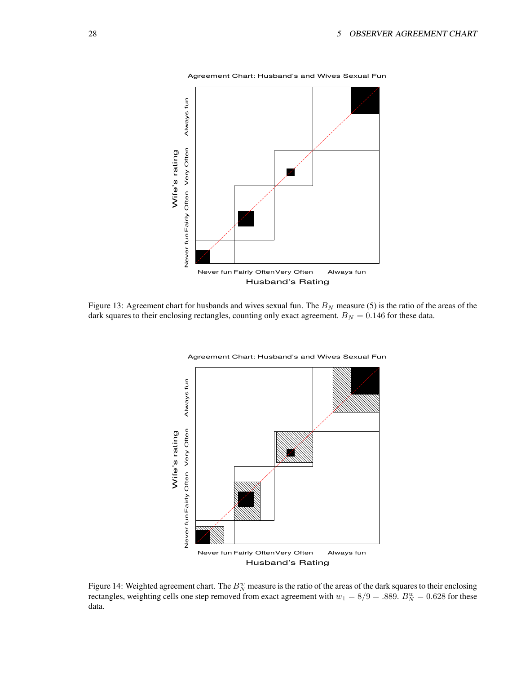

Agreement Chart: Husband's and Wives Sexual Fun

Figure 13: Agreement chart for husbands and wives sexual fun. The  $B<sub>N</sub>$  measure (5) is the ratio of the areas of the dark squares to their enclosing rectangles, counting only exact agreement.  $B_N = 0.146$  for these data.



Agreement Chart: Husband's and Wives Sexual Fun

Figure 14: Weighted agreement chart. The  $B_N^w$  measure is the ratio of the areas of the dark squares to their enclosing rectangles, weighting cells one step removed from exact agreement with  $w_1 = 8/9 = .889$ .  $B_N^w = 0.628$  for these data.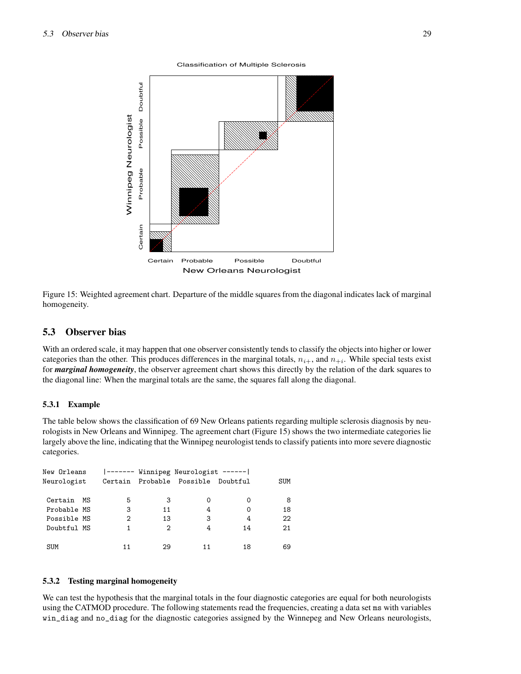Classification of Multiple Sclerosis



Figure 15: Weighted agreement chart. Departure of the middle squares from the diagonal indicates lack of marginal homogeneity.

# **5.3 Observer bias**

With an ordered scale, it may happen that one observer consistently tends to classify the objects into higher or lower categories than the other. This produces differences in the marginal totals,  $n_{i+}$ , and  $n_{+i}$ . While special tests exist for *marginal homogeneity*, the observer agreement chart shows this directly by the relation of the dark squares to the diagonal line: When the marginal totals are the same, the squares fall along the diagonal.

#### **5.3.1 Example**

The table below shows the classification of 69 New Orleans patients regarding multiple sclerosis diagnosis by neurologists in New Orleans and Winnipeg. The agreement chart (Figure 15) shows the two intermediate categories lie largely above the line, indicating that the Winnipeg neurologist tends to classify patients into more severe diagnostic categories.

| New Orleans<br>Neurologist |    |    |    | ------- Winnipeg Neurologist ------ <br>Certain Probable Possible | Doubtful | SUM |
|----------------------------|----|----|----|-------------------------------------------------------------------|----------|-----|
|                            |    |    |    |                                                                   |          |     |
| Certain                    | MS | 5  | 3  | Ω                                                                 | Ω        | 8   |
| Probable MS                |    | 3  | 11 | 4                                                                 | Ω        | 18  |
| Possible MS                |    | 2  | 13 | 3                                                                 | 4        | 22  |
| Doubtful MS                |    |    | 2  | 4                                                                 | 14       | 21  |
|                            |    |    |    |                                                                   |          |     |
| <b>SUM</b>                 |    | 11 | 29 |                                                                   | 18       | 69  |

#### **5.3.2 Testing marginal homogeneity**

We can test the hypothesis that the marginal totals in the four diagnostic categories are equal for both neurologists using the CATMOD procedure. The following statements read the frequencies, creating a data set ms with variables win\_diag and no\_diag for the diagnostic categories assigned by the Winnepeg and New Orleans neurologists,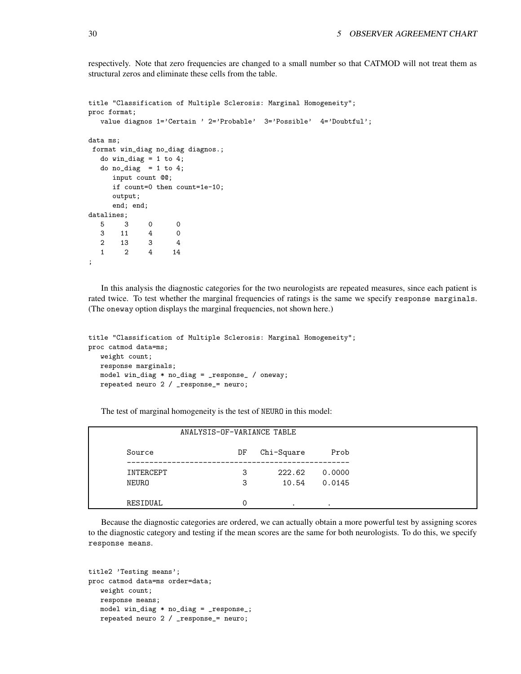respectively. Note that zero frequencies are changed to a small number so that CATMOD will not treat them as structural zeros and eliminate these cells from the table.

```
title "Classification of Multiple Sclerosis: Marginal Homogeneity";
proc format;
  value diagnos 1='Certain ' 2='Probable' 3='Possible' 4='Doubtful';
data ms;
format win_diag no_diag diagnos.;
  do win\_diag = 1 to 4;
  do no_diag = 1 to 4;
     input count @@;
     if count=0 then count=1e-10;
     output;
     end; end;
datalines;
  5 3 0 0
  3 11 4 0
  2 13 3 4
  1 2 4 14
;
```
In this analysis the diagnostic categories for the two neurologists are repeated measures, since each patient is rated twice. To test whether the marginal frequencies of ratings is the same we specify response marginals. (The oneway option displays the marginal frequencies, not shown here.)

```
title "Classification of Multiple Sclerosis: Marginal Homogeneity";
proc catmod data=ms;
  weight count;
  response marginals;
   model win_diag * no_diag = _response_ / oneway;
   repeated neuro 2 / _response_= neuro;
```
The test of marginal homogeneity is the test of NEURO in this model:

|           | ANALYSIS-OF-VARIANCE TABLE |            |           |  |  |  |  |
|-----------|----------------------------|------------|-----------|--|--|--|--|
| Source    | DF                         | Chi-Square | Prob      |  |  |  |  |
| INTERCEPT | 3                          | 222.62     | 0.0000    |  |  |  |  |
| NEURO     | 3                          | 10.54      | 0.0145    |  |  |  |  |
| RESIDUAL  |                            | $\bullet$  | $\bullet$ |  |  |  |  |

Because the diagnostic categories are ordered, we can actually obtain a more powerful test by assigning scores to the diagnostic category and testing if the mean scores are the same for both neurologists. To do this, we specify response means.

```
title2 'Testing means';
proc catmod data=ms order=data;
  weight count;
  response means;
  model win_diag * no_diag = _response_;
   repeated neuro 2 / _response_= neuro;
```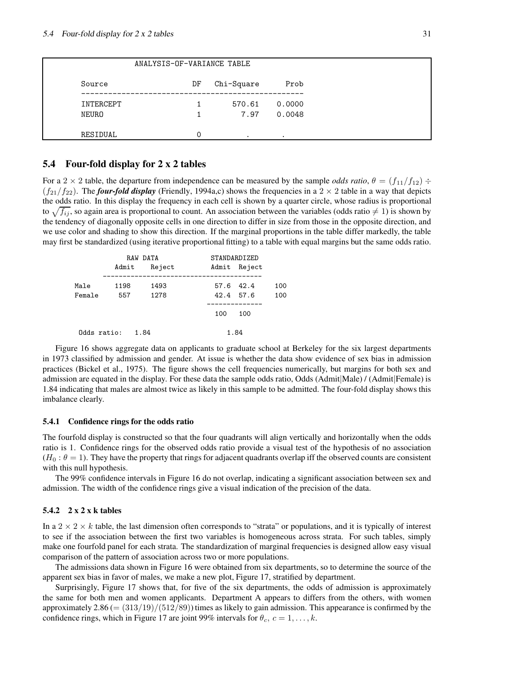|           | ANALYSIS-OF-VARIANCE TABLE |            |        |
|-----------|----------------------------|------------|--------|
| Source    | DF                         | Chi-Square | Prob   |
| INTERCEPT |                            | 570.61     | 0.0000 |
| NEURO     |                            | 7.97       | 0.0048 |
| RESIDUAL  | 0                          | $\bullet$  |        |

# **5.4 Four-fold display for 2 x 2 tables**

For a 2  $\times$  2 table, the departure from independence can be measured by the sample *odds ratio*,  $\theta = (f_{11}/f_{12}) \div$  $(f_{21}/f_{22})$ . The *four-fold display* (Friendly, 1994a,c) shows the frequencies in a 2  $\times$  2 table in a way that depicts the odds ratio. In this display the frequency in each cell is shown by a quarter circle, whose radius is proportional to  $\sqrt{f_{ij}}$ , so again area is proportional to count. An association between the variables (odds ratio  $\neq 1$ ) is shown by the tendency of diagonally opposite cells in one direction to differ in size from those in the opposite direction, and we use color and shading to show this direction. If the marginal proportions in the table differ markedly, the table may first be standardized (using iterative proportional fitting) to a table with equal margins but the same odds ratio.

|             | RAW DATA |        | STANDARDIZED |              |     |
|-------------|----------|--------|--------------|--------------|-----|
|             | Admit    | Reject |              | Admit Reject |     |
| Male        | 1198     | 1493   | 57.6 42.4    |              | 100 |
| Female      | 557      | 1278   | 42.4 57.6    |              | 100 |
|             |          |        | 100          | 100          |     |
| Odds ratio: | 1.84     |        | 1.84         |              |     |

Figure 16 shows aggregate data on applicants to graduate school at Berkeley for the six largest departments in 1973 classified by admission and gender. At issue is whether the data show evidence of sex bias in admission practices (Bickel et al., 1975). The figure shows the cell frequencies numerically, but margins for both sex and admission are equated in the display. For these data the sample odds ratio, Odds (Admit|Male) / (Admit|Female) is 1.84 indicating that males are almost twice as likely in this sample to be admitted. The four-fold display shows this imbalance clearly.

#### **5.4.1 Confidence rings for the odds ratio**

The fourfold display is constructed so that the four quadrants will align vertically and horizontally when the odds ratio is 1. Confidence rings for the observed odds ratio provide a visual test of the hypothesis of no association  $(H_0: \theta = 1)$ . They have the property that rings for adjacent quadrants overlap iff the observed counts are consistent with this null hypothesis.

The 99% confidence intervals in Figure 16 do not overlap, indicating a significant association between sex and admission. The width of the confidence rings give a visual indication of the precision of the data.

#### **5.4.2 2 x 2 x k tables**

In a  $2 \times 2 \times k$  table, the last dimension often corresponds to "strata" or populations, and it is typically of interest to see if the association between the first two variables is homogeneous across strata. For such tables, simply make one fourfold panel for each strata. The standardization of marginal frequencies is designed allow easy visual comparison of the pattern of association across two or more populations.

The admissions data shown in Figure 16 were obtained from six departments, so to determine the source of the apparent sex bias in favor of males, we make a new plot, Figure 17, stratified by department.

Surprisingly, Figure 17 shows that, for five of the six departments, the odds of admission is approximately the same for both men and women applicants. Department A appears to differs from the others, with women approximately  $2.86 = (313/19)/(512/89)$  times as likely to gain admission. This appearance is confirmed by the confidence rings, which in Figure 17 are joint 99% intervals for  $\theta_c$ ,  $c = 1, \ldots, k$ .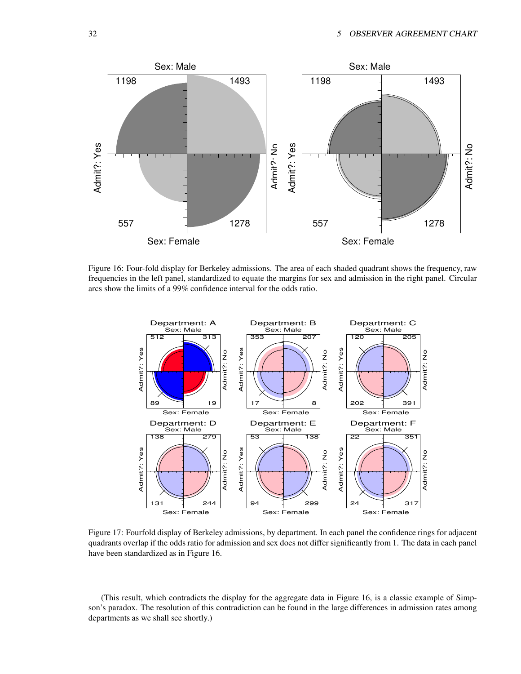

Figure 16: Four-fold display for Berkeley admissions. The area of each shaded quadrant shows the frequency, raw frequencies in the left panel, standardized to equate the margins for sex and admission in the right panel. Circular arcs show the limits of a 99% confidence interval for the odds ratio.



Figure 17: Fourfold display of Berkeley admissions, by department. In each panel the confidence rings for adjacent quadrants overlap if the odds ratio for admission and sex does not differ significantly from 1. The data in each panel have been standardized as in Figure 16.

(This result, which contradicts the display for the aggregate data in Figure 16, is a classic example of Simpson's paradox. The resolution of this contradiction can be found in the large differences in admission rates among departments as we shall see shortly.)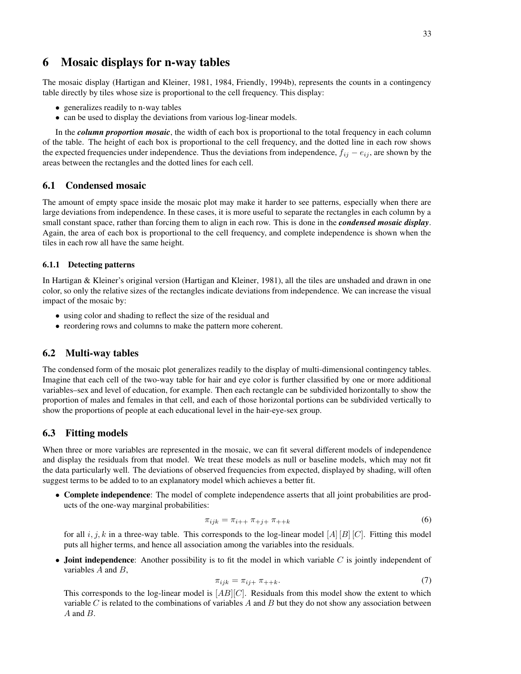# **6 Mosaic displays for n-way tables**

The mosaic display (Hartigan and Kleiner, 1981, 1984, Friendly, 1994b), represents the counts in a contingency table directly by tiles whose size is proportional to the cell frequency. This display:

- generalizes readily to n-way tables
- can be used to display the deviations from various log-linear models.

In the *column proportion mosaic*, the width of each box is proportional to the total frequency in each column of the table. The height of each box is proportional to the cell frequency, and the dotted line in each row shows the expected frequencies under independence. Thus the deviations from independence,  $f_{ij} - e_{ij}$ , are shown by the areas between the rectangles and the dotted lines for each cell.

# **6.1 Condensed mosaic**

The amount of empty space inside the mosaic plot may make it harder to see patterns, especially when there are large deviations from independence. In these cases, it is more useful to separate the rectangles in each column by a small constant space, rather than forcing them to align in each row. This is done in the *condensed mosaic display*. Again, the area of each box is proportional to the cell frequency, and complete independence is shown when the tiles in each row all have the same height.

#### **6.1.1 Detecting patterns**

In Hartigan & Kleiner's original version (Hartigan and Kleiner, 1981), all the tiles are unshaded and drawn in one color, so only the relative sizes of the rectangles indicate deviations from independence. We can increase the visual impact of the mosaic by:

- using color and shading to reflect the size of the residual and
- reordering rows and columns to make the pattern more coherent.

### **6.2 Multi-way tables**

The condensed form of the mosaic plot generalizes readily to the display of multi-dimensional contingency tables. Imagine that each cell of the two-way table for hair and eye color is further classified by one or more additional variables–sex and level of education, for example. Then each rectangle can be subdivided horizontally to show the proportion of males and females in that cell, and each of those horizontal portions can be subdivided vertically to show the proportions of people at each educational level in the hair-eye-sex group.

#### **6.3 Fitting models**

When three or more variables are represented in the mosaic, we can fit several different models of independence and display the residuals from that model. We treat these models as null or baseline models, which may not fit the data particularly well. The deviations of observed frequencies from expected, displayed by shading, will often suggest terms to be added to to an explanatory model which achieves a better fit.

• **Complete independence**: The model of complete independence asserts that all joint probabilities are products of the one-way marginal probabilities:

$$
\pi_{ijk} = \pi_{i++} \pi_{+j+} \pi_{++k} \tag{6}
$$

for all  $i, j, k$  in a three-way table. This corresponds to the log-linear model  $[A][B][C]$ . Fitting this model puts all higher terms, and hence all association among the variables into the residuals.

• **Joint independence**: Another possibility is to fit the model in which variable C is jointly independent of variables  $A$  and  $B$ ,

$$
\pi_{ijk} = \pi_{ij+} \pi_{++k}.\tag{7}
$$

This corresponds to the log-linear model is  $[AB][C]$ . Residuals from this model show the extent to which variable  $C$  is related to the combinations of variables  $A$  and  $B$  but they do not show any association between  $A$  and  $B$ .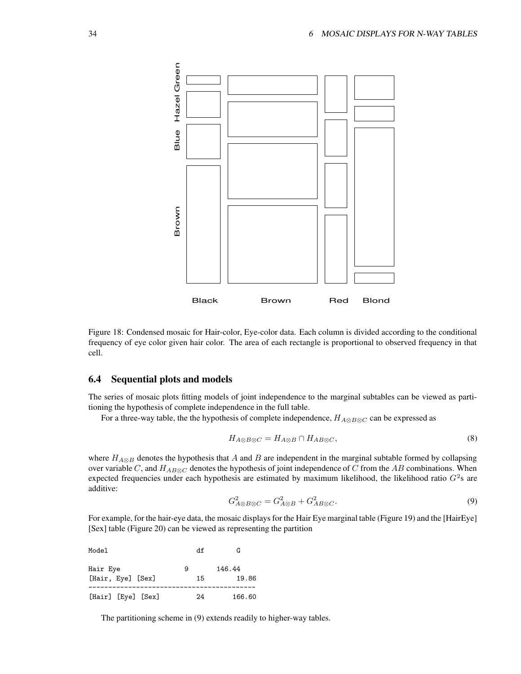

Figure 18: Condensed mosaic for Hair-color, Eye-color data. Each column is divided according to the conditional frequency of eye color given hair color. The area of each rectangle is proportional to observed frequency in that cell.

# **6.4 Sequential plots and models**

The series of mosaic plots fitting models of joint independence to the marginal subtables can be viewed as partitioning the hypothesis of complete independence in the full table.

For a three-way table, the the hypothesis of complete independence,  $H_{A\otimes B\otimes C}$  can be expressed as

$$
H_{A\otimes B\otimes C} = H_{A\otimes B} \cap H_{AB\otimes C},\tag{8}
$$

where  $H_{A\otimes B}$  denotes the hypothesis that A and B are independent in the marginal subtable formed by collapsing over variable C, and  $H_{AB\otimes C}$  denotes the hypothesis of joint independence of C from the AB combinations. When expected frequencies under each hypothesis are estimated by maximum likelihood, the likelihood ratio  $G^2$ s are additive:

$$
G_{A\otimes B\otimes C}^2 = G_{A\otimes B}^2 + G_{AB\otimes C}^2. \tag{9}
$$

For example, for the hair-eye data, the mosaic displays for the Hair Eye marginal table (Figure 19) and the [HairEye] [Sex] table (Figure 20) can be viewed as representing the partition

| Model                         | df      | G               |
|-------------------------------|---------|-----------------|
| Hair Eye<br>[Hair, Eye] [Sex] | 9<br>15 | 146.44<br>19.86 |
| [Hair] [Eye] [Sex]            | 24      | 166.60          |

The partitioning scheme in (9) extends readily to higher-way tables.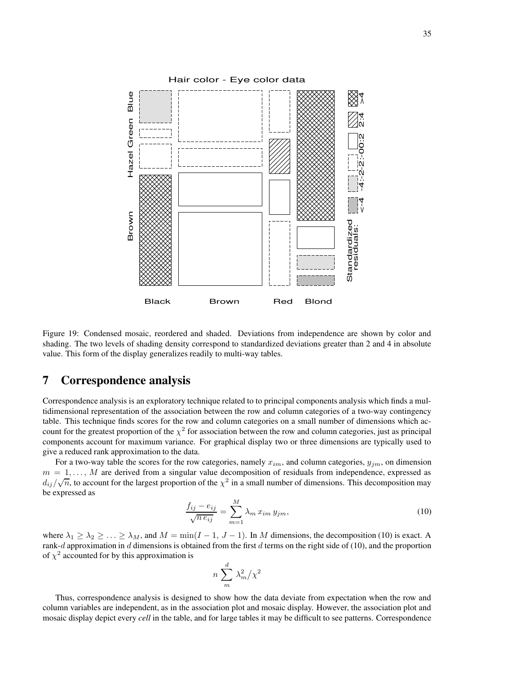

Figure 19: Condensed mosaic, reordered and shaded. Deviations from independence are shown by color and shading. The two levels of shading density correspond to standardized deviations greater than 2 and 4 in absolute value. This form of the display generalizes readily to multi-way tables.

# **7 Correspondence analysis**

Correspondence analysis is an exploratory technique related to to principal components analysis which finds a multidimensional representation of the association between the row and column categories of a two-way contingency table. This technique finds scores for the row and column categories on a small number of dimensions which account for the greatest proportion of the  $\chi^2$  for association between the row and column categories, just as principal components account for maximum variance. For graphical display two or three dimensions are typically used to give a reduced rank approximation to the data.

For a two-way table the scores for the row categories, namely  $x_{im}$ , and column categories,  $y_{im}$ , on dimension  $m = 1, \ldots, M$  are derived from a singular value decomposition of residuals from independence, expressed as  $d_{ij}/\sqrt{n}$ , to account for the largest proportion of the  $\chi^2$  in a small number of dimensions. This decomposition may be expressed as

$$
\frac{f_{ij} - e_{ij}}{\sqrt{n e_{ij}}} = \sum_{m=1}^{M} \lambda_m x_{im} y_{jm},\tag{10}
$$

where  $\lambda_1 \geq \lambda_2 \geq \ldots \geq \lambda_M$ , and  $M = \min(I - 1, J - 1)$ . In M dimensions, the decomposition (10) is exact. A rank-d approximation in d dimensions is obtained from the first d terms on the right side of (10), and the proportion of  $\chi^2$  accounted for by this approximation is

$$
n\sum_{m}^{d}\lambda_{m}^{2}/\chi^{2}
$$

Thus, correspondence analysis is designed to show how the data deviate from expectation when the row and column variables are independent, as in the association plot and mosaic display. However, the association plot and mosaic display depict every *cell* in the table, and for large tables it may be difficult to see patterns. Correspondence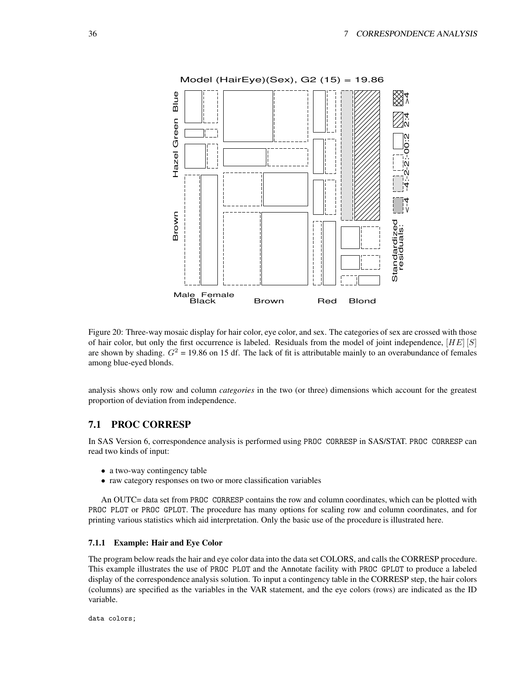

Figure 20: Three-way mosaic display for hair color, eye color, and sex. The categories of sex are crossed with those of hair color, but only the first occurrence is labeled. Residuals from the model of joint independence,  $[HE]$   $[S]$ are shown by shading.  $G<sup>2</sup> = 19.86$  on 15 df. The lack of fit is attributable mainly to an overabundance of females among blue-eyed blonds.

analysis shows only row and column *categories* in the two (or three) dimensions which account for the greatest proportion of deviation from independence.

# **7.1 PROC CORRESP**

In SAS Version 6, correspondence analysis is performed using PROC CORRESP in SAS/STAT. PROC CORRESP can read two kinds of input:

- a two-way contingency table
- raw category responses on two or more classification variables

An OUTC= data set from PROC CORRESP contains the row and column coordinates, which can be plotted with PROC PLOT or PROC GPLOT. The procedure has many options for scaling row and column coordinates, and for printing various statistics which aid interpretation. Only the basic use of the procedure is illustrated here.

#### **7.1.1 Example: Hair and Eye Color**

The program below reads the hair and eye color data into the data set COLORS, and calls the CORRESP procedure. This example illustrates the use of PROC PLOT and the Annotate facility with PROC GPLOT to produce a labeled display of the correspondence analysis solution. To input a contingency table in the CORRESP step, the hair colors (columns) are specified as the variables in the VAR statement, and the eye colors (rows) are indicated as the ID variable.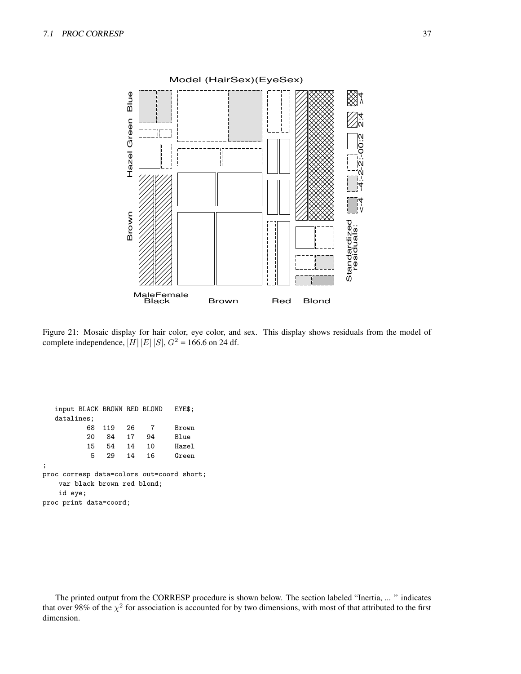

Figure 21: Mosaic display for hair color, eye color, and sex. This display shows residuals from the model of complete independence,  $[H][E][S], G<sup>2</sup> = 166.6$  on 24 df.

input BLACK BROWN RED BLOND EYE\$; datalines; 68 119 26 7 Brown 20 84 17 94 Blue 15 54 14 10 Hazel 5 29 14 16 Green ; proc corresp data=colors out=coord short; var black brown red blond; id eye; proc print data=coord;

The printed output from the CORRESP procedure is shown below. The section labeled "Inertia, ... " indicates that over 98% of the  $\chi^2$  for association is accounted for by two dimensions, with most of that attributed to the first dimension.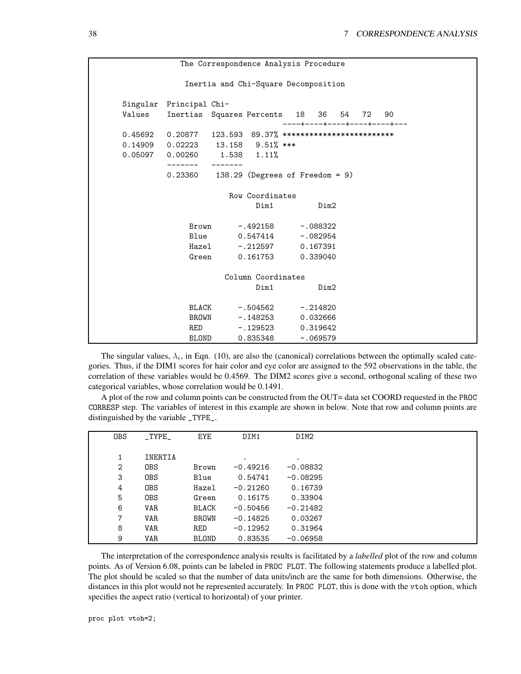```
The Correspondence Analysis Procedure
           Inertia and Chi-Square Decomposition
Singular Principal Chi-
Values Inertias Squares Percents 18 36 54 72 90
                              ----+----+----+----+----+---
0.45692 0.20877 123.593 89.37% *************************
0.14909 0.02223 13.158 9.51% ***
0.05097 0.00260 1.538 1.11%
        ------- -------
        0.23360 138.29 (Degrees of Freedom = 9)
                    Row Coordinates
                         Dim1 Dim2
            Brown -.492158 -.088322
            Blue 0.547414 -.082954
            Hazel -.212597 0.167391
            Green  0.161753  0.339040
                   Column Coordinates
                         Dim1 Dim2
            BLACK -.504562 -.214820
            BROWN -.148253 0.032666
            RED -.129523 0.319642
            BLOND   0.835348   -.069579
```
The singular values,  $\lambda_i$ , in Eqn. (10), are also the (canonical) correlations between the optimally scaled categories. Thus, if the DIM1 scores for hair color and eye color are assigned to the 592 observations in the table, the correlation of these variables would be 0.4569. The DIM2 scores give a second, orthogonal scaling of these two categorical variables, whose correlation would be 0.1491.

A plot of the row and column points can be constructed from the OUT= data set COORD requested in the PROC CORRESP step. The variables of interest in this example are shown in below. Note that row and column points are distinguished by the variable \_TYPE\_.

| <b>OBS</b>   | $\_$ TYPE $\_$ | <b>EYE</b>   | DIM1       | DIM2       |  |
|--------------|----------------|--------------|------------|------------|--|
|              |                |              |            |            |  |
|              | INERTIA        |              |            | $\bullet$  |  |
| 2            | <b>OBS</b>     | Brown        | $-0.49216$ | $-0.08832$ |  |
| 3            | <b>OBS</b>     | Blue         | 0.54741    | $-0.08295$ |  |
| 4            | <b>OBS</b>     | Hazel        | $-0.21260$ | 0.16739    |  |
| 5            | <b>OBS</b>     | Green        | 0.16175    | 0.33904    |  |
| 6            | <b>VAR</b>     | <b>BLACK</b> | $-0.50456$ | $-0.21482$ |  |
| $\mathbf{7}$ | <b>VAR</b>     | <b>BROWN</b> | $-0.14825$ | 0.03267    |  |
| 8            | VAR            | RED          | $-0.12952$ | 0.31964    |  |
| 9            | <b>VAR</b>     | <b>BLOND</b> | 0.83535    | $-0.06958$ |  |

The interpretation of the correspondence analysis results is facilitated by a *labelled* plot of the row and column points. As of Version 6.08, points can be labeled in PROC PLOT. The following statements produce a labelled plot. The plot should be scaled so that the number of data units/inch are the same for both dimensions. Otherwise, the distances in this plot would not be represented accurately. In PROC PLOT, this is done with the vtoh option, which specifies the aspect ratio (vertical to horizontal) of your printer.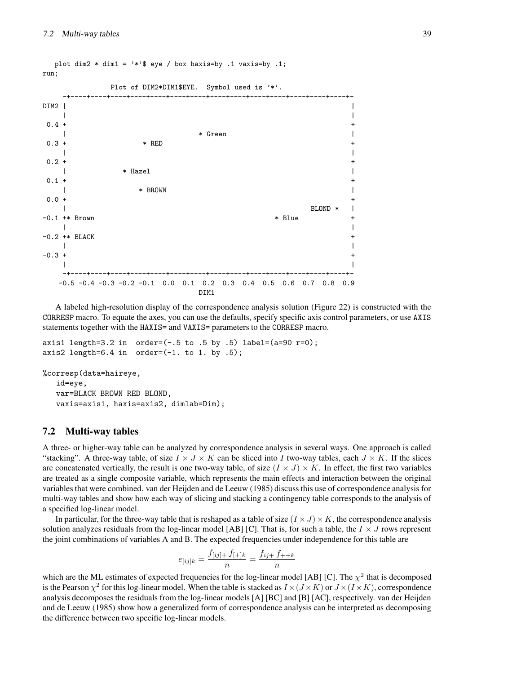

A labeled high-resolution display of the correspondence analysis solution (Figure 22) is constructed with the CORRESP macro. To equate the axes, you can use the defaults, specify specific axis control parameters, or use AXIS statements together with the HAXIS= and VAXIS= parameters to the CORRESP macro.

axis1 length=3.2 in order= $(-.5 \text{ to } .5 \text{ by } .5)$  label= $(a=90 \text{ r=0})$ ; axis2 length=6.4 in order= $(-1. \text{ to } 1. \text{ by } .5)$ ;

%corresp(data=haireye,

id=eye, var=BLACK BROWN RED BLOND, vaxis=axis1, haxis=axis2, dimlab=Dim);

#### **7.2 Multi-way tables**

A three- or higher-way table can be analyzed by correspondence analysis in several ways. One approach is called "stacking". A three-way table, of size  $I \times J \times K$  can be sliced into I two-way tables, each  $J \times K$ . If the slices are concatenated vertically, the result is one two-way table, of size  $(I \times J) \times K$ . In effect, the first two variables are treated as a single composite variable, which represents the main effects and interaction between the original variables that were combined. van der Heijden and de Leeuw (1985) discuss this use of correspondence analysis for multi-way tables and show how each way of slicing and stacking a contingency table corresponds to the analysis of a specified log-linear model.

In particular, for the three-way table that is reshaped as a table of size  $(I \times J) \times K$ , the correspondence analysis solution analyzes residuals from the log-linear model [AB] [C]. That is, for such a table, the  $I \times J$  rows represent the joint combinations of variables A and B. The expected frequencies under independence for this table are

$$
e_{[ij]k} = \frac{f_{[ij]+} f_{[+]k}}{n} = \frac{f_{ij+} f_{++k}}{n}
$$

which are the ML estimates of expected frequencies for the log-linear model [AB] [C]. The  $\chi^2$  that is decomposed is the Pearson  $\chi^2$  for this log-linear model. When the table is stacked as  $I \times (J \times K)$  or  $J \times (I \times K)$ , correspondence analysis decomposes the residuals from the log-linear models [A] [BC] and [B] [AC], respectively. van der Heijden and de Leeuw (1985) show how a generalized form of correspondence analysis can be interpreted as decomposing the difference between two specific log-linear models.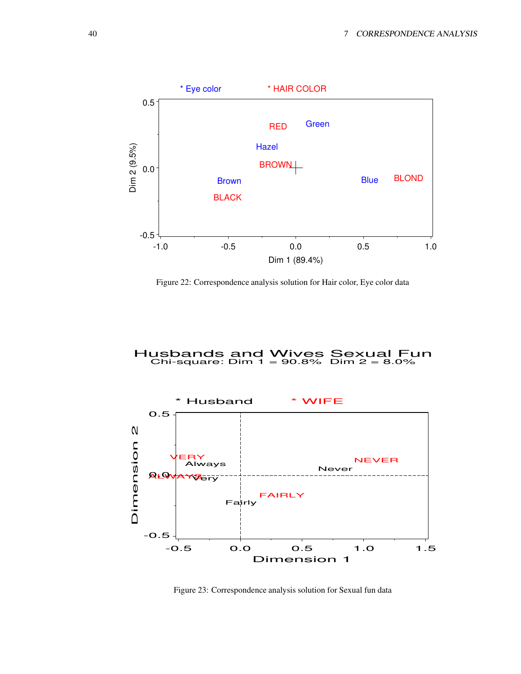

Figure 22: Correspondence analysis solution for Hair color, Eye color data

# Husbands and Wives Sexual Fun Chi-square: Dim 1 = 90.8% Dim 2 = 8.0%



Figure 23: Correspondence analysis solution for Sexual fun data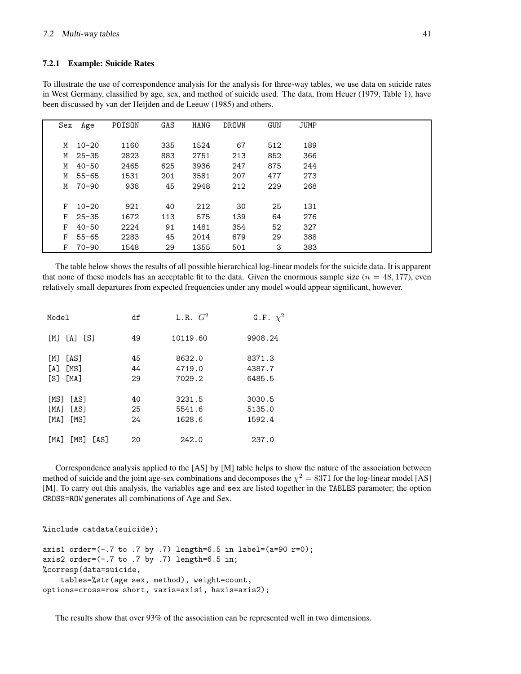#### **7.2.1 Example: Suicide Rates**

To illustrate the use of correspondence analysis for the analysis for three-way tables, we use data on suicide rates in West Germany, classified by age, sex, and method of suicide used. The data, from Heuer (1979, Table 1), have been discussed by van der Heijden and de Leeuw (1985) and others.

| Sex | Age       | POISON | GAS | <b>HANG</b> | <b>DROWN</b> | <b>GUN</b> | <b>JUMP</b> |  |
|-----|-----------|--------|-----|-------------|--------------|------------|-------------|--|
|     |           |        |     |             |              |            |             |  |
| M   | $10 - 20$ | 1160   | 335 | 1524        | 67           | 512        | 189         |  |
| М   | $25 - 35$ | 2823   | 883 | 2751        | 213          | 852        | 366         |  |
| M   | $40 - 50$ | 2465   | 625 | 3936        | 247          | 875        | 244         |  |
| М   | 55-65     | 1531   | 201 | 3581        | 207          | 477        | 273         |  |
| M   | 70-90     | 938    | 45  | 2948        | 212          | 229        | 268         |  |
|     |           |        |     |             |              |            |             |  |
| F   | $10 - 20$ | 921    | 40  | 212         | 30           | 25         | 131         |  |
| F   | $25 - 35$ | 1672   | 113 | 575         | 139          | 64         | 276         |  |
| F   | $40 - 50$ | 2224   | 91  | 1481        | 354          | 52         | 327         |  |
| F   | $55 - 65$ | 2283   | 45  | 2014        | 679          | 29         | 388         |  |
| F   | $70 - 90$ | 1548   | 29  | 1355        | 501          | 3          | 383         |  |

The table below shows the results of all possible hierarchical log-linear models for the suicide data. It is apparent that none of these models has an acceptable fit to the data. Given the enormous sample size  $(n = 48, 177)$ , even relatively small departures from expected frequencies under any model would appear significant, however.

| Model                             | df       | L.R. $G^2$       | G.F. $\chi^2$    |  |  |
|-----------------------------------|----------|------------------|------------------|--|--|
| LA T<br>- IST<br>[M]              | 49       | 10119.60         | 9908.24          |  |  |
| <b>TAST</b><br>[M]<br>[MS]<br>[A] | 45<br>44 | 8632.0<br>4719.0 | 8371.3<br>4387.7 |  |  |
| [S]<br><b>TMAT</b>                | 29       | 7029.2           | 6485.5           |  |  |
| [MS]<br>[AS]                      | 40       | 3231.5           | 3030.5           |  |  |
| [AS]<br>[MA]                      | 25       | 5541.6           | 5135.0           |  |  |
| [MA]<br>[MS]                      | 24       | 1628.6           | 1592.4           |  |  |
| <b>TMAT</b><br>[MS]<br>[AS]       | 20       | 242.0            | 237.0            |  |  |

Correspondence analysis applied to the [AS] by [M] table helps to show the nature of the association between method of suicide and the joint age-sex combinations and decomposes the  $\chi^2 = 8371$  for the log-linear model [AS] [M]. To carry out this analysis, the variables age and sex are listed together in the TABLES parameter; the option CROSS=ROW generates all combinations of Age and Sex.

```
%include catdata(suicide);
```

```
axis1 order=(-.7 \text{ to } .7 \text{ by } .7) length=6.5 in label=(a=90 \text{ r=0});axis2 order=(-.7 \text{ to } .7 \text{ by } .7) length=6.5 \text{ in};%corresp(data=suicide,
     tables=%str(age sex, method), weight=count,
options=cross=row short, vaxis=axis1, haxis=axis2);
```
The results show that over 93% of the association can be represented well in two dimensions.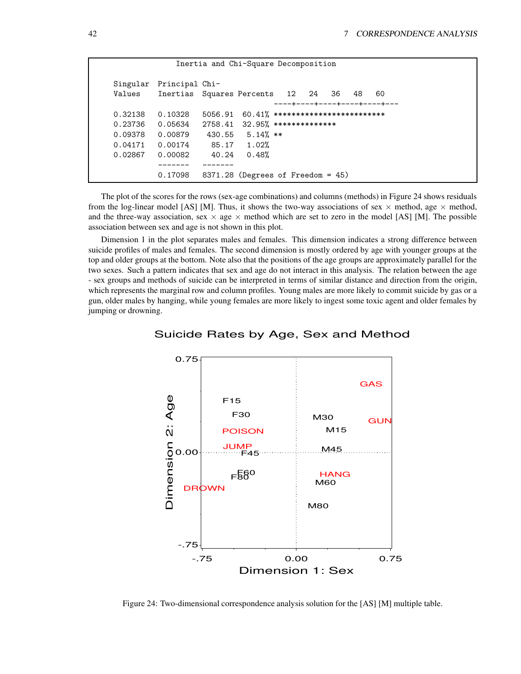| Inertia and Chi-Square Decomposition                |                                                                  |                                       |                                                                                                         |  |  |  |  |  |                                    |  |  |
|-----------------------------------------------------|------------------------------------------------------------------|---------------------------------------|---------------------------------------------------------------------------------------------------------|--|--|--|--|--|------------------------------------|--|--|
| Values                                              | Singular Principal Chi-<br>Inertias Squares Percents 12 24 36 48 |                                       |                                                                                                         |  |  |  |  |  | 60<br>----+----+----+----+----+--- |  |  |
| 0.32138<br>0.23736<br>0.09378<br>0.04171<br>0.02867 | 0.10328<br>0.05634<br>0.00879<br>0.00174<br>0.00082              | 5056.91<br>2758.41<br>430.55<br>40.24 | $60.41\%$ ***************************<br>$32.95%$ ***************<br>$5.14%$ **<br>85.17 1.02%<br>0.48% |  |  |  |  |  |                                    |  |  |
|                                                     | 0.17098                                                          |                                       | $8371.28$ (Degrees of Freedom = 45)                                                                     |  |  |  |  |  |                                    |  |  |

The plot of the scores for the rows (sex-age combinations) and columns (methods) in Figure 24 shows residuals from the log-linear model [AS] [M]. Thus, it shows the two-way associations of sex  $\times$  method, age  $\times$  method, and the three-way association, sex  $\times$  age  $\times$  method which are set to zero in the model [AS] [M]. The possible association between sex and age is not shown in this plot.

Dimension 1 in the plot separates males and females. This dimension indicates a strong difference between suicide profiles of males and females. The second dimension is mostly ordered by age with younger groups at the top and older groups at the bottom. Note also that the positions of the age groups are approximately parallel for the two sexes. Such a pattern indicates that sex and age do not interact in this analysis. The relation between the age - sex groups and methods of suicide can be interpreted in terms of similar distance and direction from the origin, which represents the marginal row and column profiles. Young males are more likely to commit suicide by gas or a gun, older males by hanging, while young females are more likely to ingest some toxic agent and older females by jumping or drowning.



## Suicide Rates by Age, Sex and Method

Figure 24: Two-dimensional correspondence analysis solution for the [AS] [M] multiple table.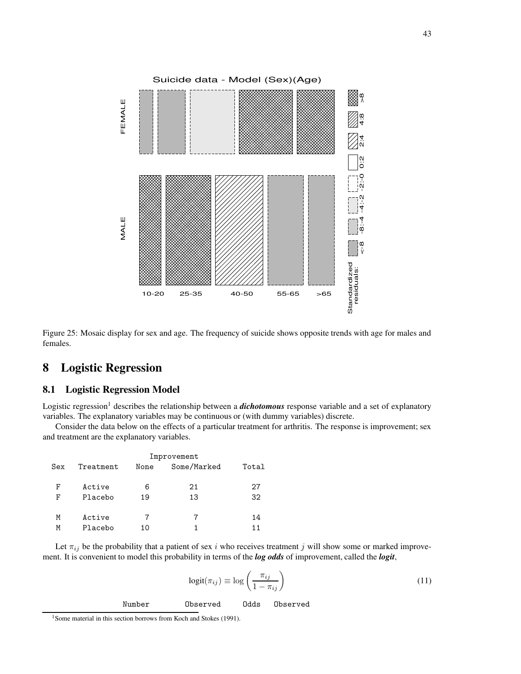

Figure 25: Mosaic display for sex and age. The frequency of suicide shows opposite trends with age for males and females.

# **8 Logistic Regression**

# **8.1 Logistic Regression Model**

Logistic regression<sup>1</sup> describes the relationship between a *dichotomous* response variable and a set of explanatory variables. The explanatory variables may be continuous or (with dummy variables) discrete.

Consider the data below on the effects of a particular treatment for arthritis. The response is improvement; sex and treatment are the explanatory variables.

|     | Improvement |      |             |       |  |  |  |  |  |  |
|-----|-------------|------|-------------|-------|--|--|--|--|--|--|
| Sex | Treatment   | None | Some/Marked | Total |  |  |  |  |  |  |
| F   | Active      | 6    | 21          | 27    |  |  |  |  |  |  |
| F   | Placebo     | 19   | 13          | 32    |  |  |  |  |  |  |
|     |             |      |             |       |  |  |  |  |  |  |
| Μ   | Active      |      |             | 14    |  |  |  |  |  |  |
| Μ   | Placebo     | 10   |             | 11    |  |  |  |  |  |  |

Let  $\pi_{ij}$  be the probability that a patient of sex i who receives treatment j will show some or marked improvement. It is convenient to model this probability in terms of the *log odds* of improvement, called the *logit*,

$$
logit(\pi_{ij}) \equiv log\left(\frac{\pi_{ij}}{1 - \pi_{ij}}\right)
$$
\n(11)

Number Observed Odds Observed

<sup>&</sup>lt;sup>1</sup> Some material in this section borrows from Koch and Stokes (1991).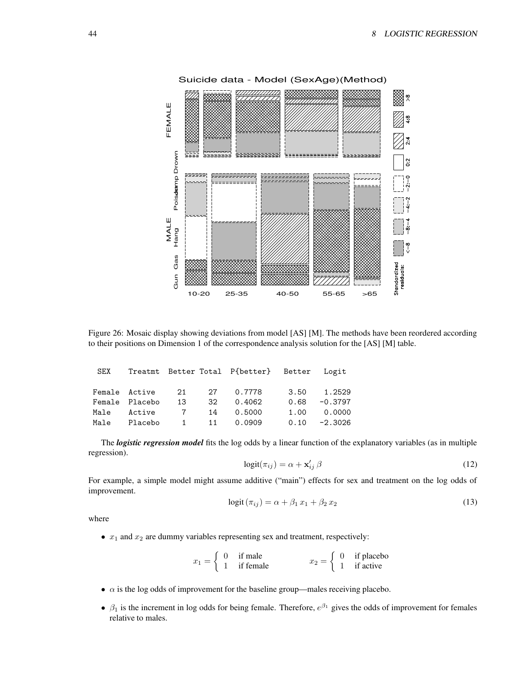

Figure 26: Mosaic display showing deviations from model [AS] [M]. The methods have been reordered according to their positions on Dimension 1 of the correspondence analysis solution for the [AS] [M] table.

|  |  | SEX Treatmt Better Total P{better} Better Logit |             |              |
|--|--|-------------------------------------------------|-------------|--------------|
|  |  | Female Active 21 27 0.7778 3.50 1.2529          |             |              |
|  |  | Female Placebo 13 32 0.4062                     |             | 0.68 -0.3797 |
|  |  | Male Active 7 14 0.5000                         | 1.00 0.0000 |              |
|  |  | Male Placebo 1 11 0.0909 0.10 -2.3026           |             |              |

The *logistic regression model* fits the log odds by a linear function of the explanatory variables (as in multiple regression).

$$
logit(\pi_{ij}) = \alpha + \mathbf{x}'_{ij} \beta \tag{12}
$$

For example, a simple model might assume additive ("main") effects for sex and treatment on the log odds of improvement.

$$
logit(\pi_{ij}) = \alpha + \beta_1 x_1 + \beta_2 x_2 \tag{13}
$$

where

•  $x_1$  and  $x_2$  are dummy variables representing sex and treatment, respectively:

|  | if male   |  | if placebo |
|--|-----------|--|------------|
|  | if female |  | if active  |

- $\bullet$   $\alpha$  is the log odds of improvement for the baseline group—males receiving placebo.
- $\beta_1$  is the increment in log odds for being female. Therefore,  $e^{\beta_1}$  gives the odds of improvement for females relative to males.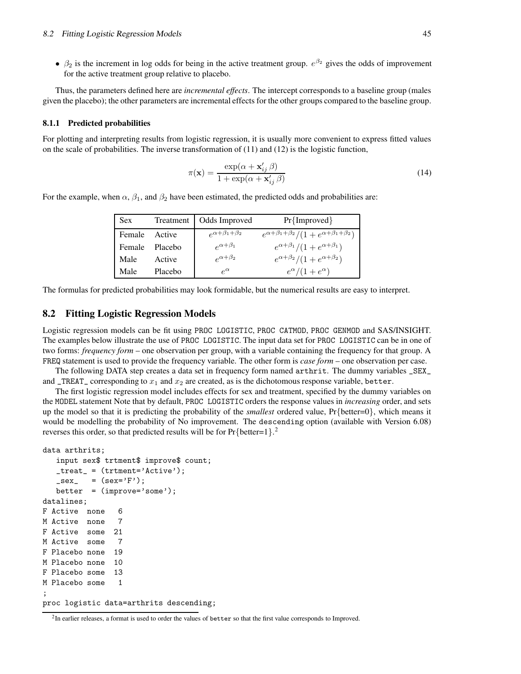•  $\beta_2$  is the increment in log odds for being in the active treatment group.  $e^{\beta_2}$  gives the odds of improvement for the active treatment group relative to placebo.

Thus, the parameters defined here are *incremental effects*. The intercept corresponds to a baseline group (males given the placebo); the other parameters are incremental effects for the other groups compared to the baseline group.

#### **8.1.1 Predicted probabilities**

For plotting and interpreting results from logistic regression, it is usually more convenient to express fitted values on the scale of probabilities. The inverse transformation of  $(11)$  and  $(12)$  is the logistic function,

$$
\pi(\mathbf{x}) = \frac{\exp(\alpha + \mathbf{x}'_{ij} \beta)}{1 + \exp(\alpha + \mathbf{x}'_{ij} \beta)}
$$
(14)

For the example, when  $\alpha$ ,  $\beta_1$ , and  $\beta_2$  have been estimated, the predicted odds and probabilities are:

| Sex.   | Treatment | Odds Improved                | $Pr{Improved}$                                              |
|--------|-----------|------------------------------|-------------------------------------------------------------|
| Female | Active    | $e^{\alpha+\beta_1+\beta_2}$ | $e^{\alpha+\beta_1+\beta_2}/(1+e^{\alpha+\beta_1+\beta_2})$ |
| Female | Placebo   | $\rho^{\alpha+\beta_1}$      | $e^{\alpha+\beta_1}/(1+e^{\alpha+\beta_1})$                 |
| Male   | Active    | $e^{\alpha+\beta_2}$         | $e^{\alpha+\beta_2}/(1+e^{\alpha+\beta_2})$                 |
| Male   | Placebo   | $\rho^{\alpha}$              | $e^{\alpha}/(1+e^{\alpha})$                                 |

The formulas for predicted probabilities may look formidable, but the numerical results are easy to interpret.

## **8.2 Fitting Logistic Regression Models**

Logistic regression models can be fit using PROC LOGISTIC, PROC CATMOD, PROC GENMOD and SAS/INSIGHT. The examples below illustrate the use of PROC LOGISTIC. The input data set for PROC LOGISTIC can be in one of two forms: *frequency form* – one observation per group, with a variable containing the frequency for that group. A FREQ statement is used to provide the frequency variable. The other form is *case form* – one observation per case.

The following DATA step creates a data set in frequency form named arthrit. The dummy variables \_SEX\_ and  $_TREAT_{\text{c}}$  corresponding to  $x_1$  and  $x_2$  are created, as is the dichotomous response variable, better.

The first logistic regression model includes effects for sex and treatment, specified by the dummy variables on the MODEL statement Note that by default, PROC LOGISTIC orders the response values in *increasing* order, and sets up the model so that it is predicting the probability of the *smallest* ordered value, Pr{better=0}, which means it would be modelling the probability of No improvement. The descending option (available with Version 6.08) reverses this order, so that predicted results will be for  $Pr{better=1}$ .

```
data arthrits;
```

```
input sex$ trtment$ improve$ count;
   _treat_ = (trtment='Active');
   \_sex<sub>-</sub> = (sex='F');
   better = (improve='some');
datalines;
F Active none 6
M Active none 7
F Active some 21
M Active some 7
F Placebo none 19
M Placebo none 10
F Placebo some 13
M Placebo some 1
;
proc logistic data=arthrits descending;
```
<sup>&</sup>lt;sup>2</sup>In earlier releases, a format is used to order the values of better so that the first value corresponds to Improved.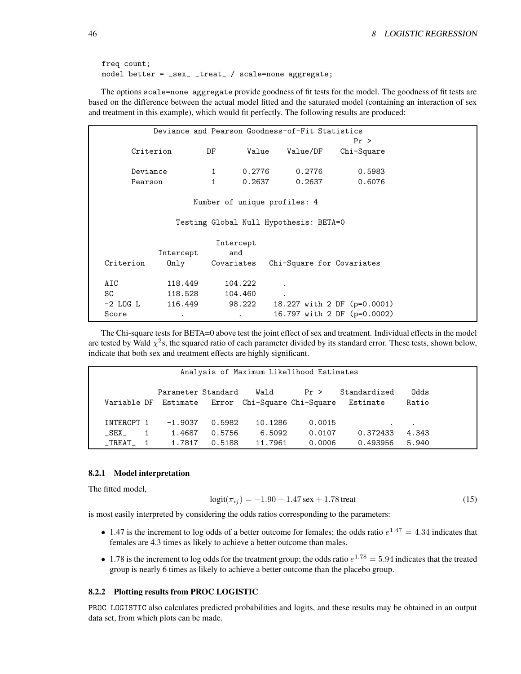```
freq count;
model better = _sex_ _treat_ / scale=none aggregate;
```
The options scale=none aggregate provide goodness of fit tests for the model. The goodness of fit tests are based on the difference between the actual model fitted and the saturated model (containing an interaction of sex and treatment in this example), which would fit perfectly. The following results are produced:

| Deviance and Pearson Goodness-of-Fit Statistics |           |                              |        |                                        |                             |  |  |  |  |  |
|-------------------------------------------------|-----------|------------------------------|--------|----------------------------------------|-----------------------------|--|--|--|--|--|
|                                                 |           |                              |        |                                        | Pr >                        |  |  |  |  |  |
|                                                 | Criterion | DF                           | Value  | Value/DF                               | Chi-Square                  |  |  |  |  |  |
|                                                 |           |                              |        |                                        |                             |  |  |  |  |  |
| Deviance                                        |           | $\mathbf{1}$                 | 0.2776 | 0.2776                                 | 0.5983                      |  |  |  |  |  |
| Pearson                                         |           | $\mathbf{1}$                 | 0.2637 | 0.2637                                 | 0.6076                      |  |  |  |  |  |
|                                                 |           |                              |        |                                        |                             |  |  |  |  |  |
|                                                 |           | Number of unique profiles: 4 |        |                                        |                             |  |  |  |  |  |
|                                                 |           |                              |        |                                        |                             |  |  |  |  |  |
|                                                 |           |                              |        | Testing Global Null Hypothesis: BETA=0 |                             |  |  |  |  |  |
|                                                 |           |                              |        |                                        |                             |  |  |  |  |  |
|                                                 |           | Intercept                    |        |                                        |                             |  |  |  |  |  |
|                                                 | Intercept | and                          |        |                                        |                             |  |  |  |  |  |
| Criterion                                       | 0nly      | Covariates                   |        | Chi-Square for Covariates              |                             |  |  |  |  |  |
|                                                 |           |                              |        |                                        |                             |  |  |  |  |  |
| AIC                                             | 118,449   | 104.222                      |        |                                        |                             |  |  |  |  |  |
| SC                                              | 118.528   | 104.460                      |        |                                        |                             |  |  |  |  |  |
| $-2$ LOG L                                      | 116.449   | 98.222                       |        |                                        | 18.227 with 2 DF (p=0.0001) |  |  |  |  |  |
| Score                                           | ٠         | $\bullet$                    |        |                                        | 16.797 with 2 DF (p=0.0002) |  |  |  |  |  |

The Chi-square tests for BETA=0 above test the joint effect of sex and treatment. Individual effects in the model are tested by Wald  $\chi^2$ s, the squared ratio of each parameter divided by its standard error. These tests, shown below, indicate that both sex and treatment effects are highly significant.

|                     | Analysis of Maximum Likelihood Estimates |                     |                  |                                              |                  |                          |                    |  |  |  |
|---------------------|------------------------------------------|---------------------|------------------|----------------------------------------------|------------------|--------------------------|--------------------|--|--|--|
| Variable DF         |                                          | Parameter Standard  |                  | Wald<br>Estimate Error Chi-Square Chi-Square | Pr >             | Standardized<br>Estimate | Odds<br>Ratio      |  |  |  |
| INTERCPT 1<br>_SEX_ |                                          | $-1.9037$<br>1.4687 | 0.5982<br>0.5756 | 10.1286<br>6.5092                            | 0.0015<br>0.0107 | $\bullet$<br>0.372433    | $\bullet$<br>4.343 |  |  |  |
| $\_TREAT\_$ 1       |                                          | 1.7817              | 0.5188           | 11.7961                                      | 0.0006           | 0.493956                 | 5.940              |  |  |  |

#### **8.2.1 Model interpretation**

The fitted model,

$$
logit(\pi_{ij}) = -1.90 + 1.47 \text{ sex} + 1.78 \text{ treat}
$$
\n(15)

is most easily interpreted by considering the odds ratios corresponding to the parameters:

- 1.47 is the increment to log odds of a better outcome for females; the odds ratio  $e^{1.47} = 4.34$  indicates that females are 4.3 times as likely to achieve a better outcome than males.
- 1.78 is the increment to log odds for the treatment group; the odds ratio  $e^{1.78} = 5.94$  indicates that the treated group is nearly 6 times as likely to achieve a better outcome than the placebo group.

#### **8.2.2 Plotting results from PROC LOGISTIC**

PROC LOGISTIC also calculates predicted probabilities and logits, and these results may be obtained in an output data set, from which plots can be made.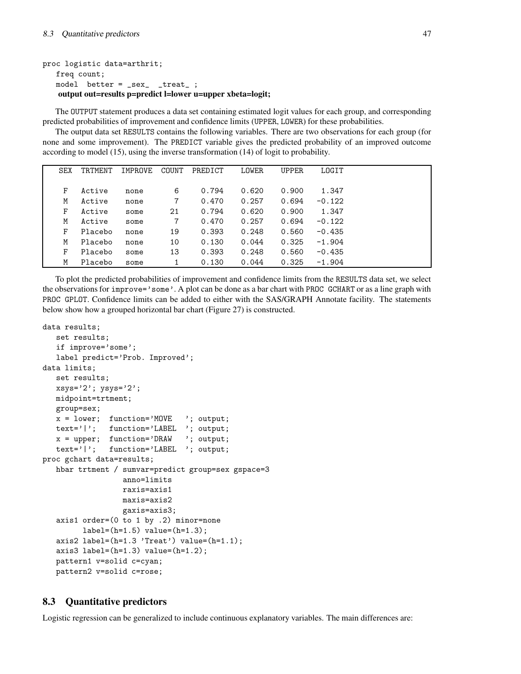```
proc logistic data=arthrit;
   freq count;
   model better = _sex_ _treat_ ;
   output out=results p=predict l=lower u=upper xbeta=logit;
```
The OUTPUT statement produces a data set containing estimated logit values for each group, and corresponding predicted probabilities of improvement and confidence limits (UPPER, LOWER) for these probabilities.

The output data set RESULTS contains the following variables. There are two observations for each group (for none and some improvement). The PREDICT variable gives the predicted probability of an improved outcome according to model (15), using the inverse transformation (14) of logit to probability.

| SEX | <b>TRTMENT</b> | IMPROVE | COUNT | PREDICT | LOWER | <b>UPPER</b> | LOGIT    |  |
|-----|----------------|---------|-------|---------|-------|--------------|----------|--|
|     |                |         |       |         |       |              |          |  |
| F   | Active         | none    | 6     | 0.794   | 0.620 | 0.900        | 1.347    |  |
| M   | Active         | none    | 7     | 0.470   | 0.257 | 0.694        | $-0.122$ |  |
| F   | Active         | some    | 21    | 0.794   | 0.620 | 0.900        | 1.347    |  |
| M   | Active         | some    | 7     | 0.470   | 0.257 | 0.694        | $-0.122$ |  |
| F   | Placebo        | none    | 19    | 0.393   | 0.248 | 0.560        | $-0.435$ |  |
| M   | Placebo        | none    | 10    | 0.130   | 0.044 | 0.325        | $-1.904$ |  |
| F   | Placebo        | some    | 13    | 0.393   | 0.248 | 0.560        | $-0.435$ |  |
| M   | Placebo        | some    |       | 0.130   | 0.044 | 0.325        | $-1.904$ |  |

To plot the predicted probabilities of improvement and confidence limits from the RESULTS data set, we select the observations for improve='some'. A plot can be done as a bar chart with PROC GCHART or as a line graph with PROC GPLOT. Confidence limits can be added to either with the SAS/GRAPH Annotate facility. The statements below show how a grouped horizontal bar chart (Figure 27) is constructed.

```
data results;
```

```
set results;
   if improve='some';
   label predict='Prob. Improved';
data limits;
   set results;
   xsys='2'; ysys='2';midpoint=trtment;
   group=sex;
   x = 1ower; function='MOVE '; output;
   text='|'; function='LABEL '; output;
   x = upper; function='DRAW '; output;
   text='|'; function='LABEL '; output;
proc gchart data=results;
   hbar trtment / sumvar=predict group=sex gspace=3
                  anno=limits
                 raxis=axis1
                 maxis=axis2
                 gaxis=axis3;
   axis1 order=(0 to 1 by .2) minor=none
         label=(h=1.5) value=(h=1.3);axis2 label=(h=1.3 'Treat') value=(h=1.1);
   axis3 label=(h=1.3) value=(h=1.2);
   pattern1 v=solid c=cyan;
   pattern2 v=solid c=rose;
```
# **8.3 Quantitative predictors**

Logistic regression can be generalized to include continuous explanatory variables. The main differences are: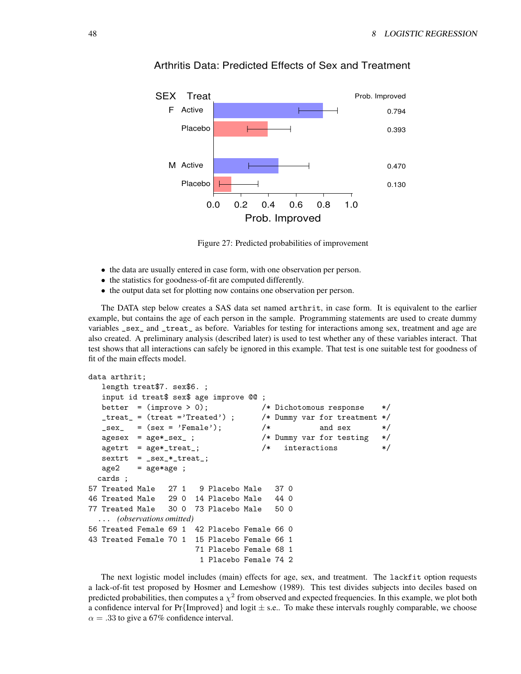

# Arthritis Data: Predicted Effects of Sex and Treatment

Figure 27: Predicted probabilities of improvement

- the data are usually entered in case form, with one observation per person.
- the statistics for goodness-of-fit are computed differently.
- the output data set for plotting now contains one observation per person.

The DATA step below creates a SAS data set named arthrit, in case form. It is equivalent to the earlier example, but contains the age of each person in the sample. Programming statements are used to create dummy variables \_sex\_ and \_treat\_ as before. Variables for testing for interactions among sex, treatment and age are also created. A preliminary analysis (described later) is used to test whether any of these variables interact. That test shows that all interactions can safely be ignored in this example. That test is one suitable test for goodness of fit of the main effects model.

```
data arthrit;
  length treat$7. sex$6. ;
  input id treat$ sex$ age improve @@ ;
  better = (improve > 0); /* Dichotomous response */
  _treat_ = (treat ='Treated') ; /* Dummy var for treatment */
  \texttt{Sex} = (sex = 'Female'); \text{A} and sex \text{*}agesex = age*_sex_ ; /* Dummy var for testing */
  agetrt = age*_treat_; /* interactions */
  sextrt = _ssex_*treat_*;
  age2 = age*age ;
 cards ;
57 Treated Male 27 1 9 Placebo Male 37 0
46 Treated Male 29 0 14 Placebo Male 44 0
77 Treated Male 30 0 73 Placebo Male 50 0
  ... (observations omitted)
56 Treated Female 69 1 42 Placebo Female 66 0
43 Treated Female 70 1 15 Placebo Female 66 1
                     71 Placebo Female 68 1
                      1 Placebo Female 74 2
```
The next logistic model includes (main) effects for age, sex, and treatment. The lackfit option requests a lack-of-fit test proposed by Hosmer and Lemeshow (1989). This test divides subjects into deciles based on predicted probabilities, then computes a  $\chi^2$  from observed and expected frequencies. In this example, we plot both a confidence interval for  $Pr{Improved}$  and logit  $\pm$  s.e.. To make these intervals roughly comparable, we choose  $\alpha = .33$  to give a 67% confidence interval.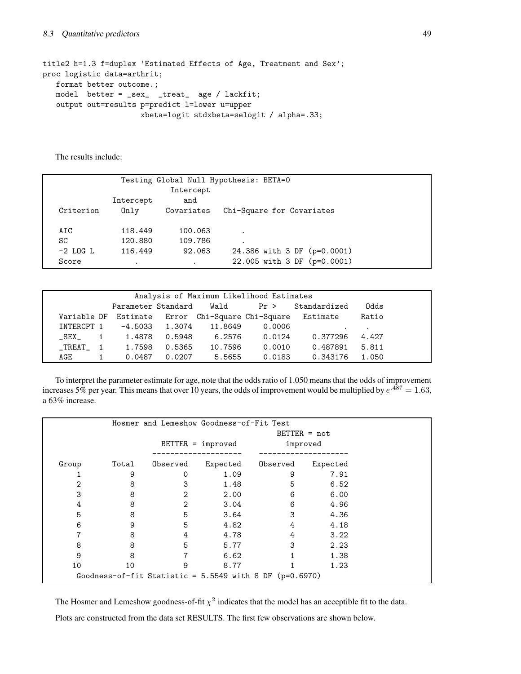```
title2 h=1.3 f=duplex 'Estimated Effects of Age, Treatment and Sex';
proc logistic data=arthrit;
   format better outcome.;
   model better = _sex_ _treat_ age / lackfit;
   output out=results p=predict l=lower u=upper
                     xbeta=logit stdxbeta=selogit / alpha=.33;
```
The results include:

| Testing Global Null Hypothesis: BETA=0 |           |            |                             |  |  |  |  |  |  |  |
|----------------------------------------|-----------|------------|-----------------------------|--|--|--|--|--|--|--|
|                                        |           |            |                             |  |  |  |  |  |  |  |
|                                        | Intercept | and        |                             |  |  |  |  |  |  |  |
| Criterion                              | 0nlv      | Covariates | Chi-Square for Covariates   |  |  |  |  |  |  |  |
|                                        |           |            |                             |  |  |  |  |  |  |  |
| AIC                                    | 118,449   | 100.063    |                             |  |  |  |  |  |  |  |
| SC                                     | 120.880   | 109.786    |                             |  |  |  |  |  |  |  |
| $-2$ LOG L                             | 116.449   | 92.063     | 24.386 with 3 DF (p=0.0001) |  |  |  |  |  |  |  |
| Score                                  | $\bullet$ | $\cdot$    | 22.005 with 3 DF (p=0.0001) |  |  |  |  |  |  |  |
|                                        |           |            |                             |  |  |  |  |  |  |  |

| Analysis of Maximum Likelihood Estimates |        |                  |                              |        |                                                           |         |  |  |  |
|------------------------------------------|--------|------------------|------------------------------|--------|-----------------------------------------------------------|---------|--|--|--|
|                                          |        |                  | Parameter Standard Wald Pr > |        | Standardized                                              | Odds    |  |  |  |
|                                          |        |                  |                              |        | Variable DF Estimate Error Chi-Square Chi-Square Estimate | Ratio   |  |  |  |
| INTERCPT 1                               |        | $-4.5033$ 1.3074 | 11.8649                      | 0.0006 |                                                           | $\cdot$ |  |  |  |
| $\overline{1}$<br>SEX                    | 1.4878 | 0.5948           | 6.2576                       | 0.0124 | 0.377296                                                  | 4.427   |  |  |  |
| TREAT 1                                  |        | 1.7598 0.5365    | 10.7596                      | 0.0010 | 0.487891                                                  | 5.811   |  |  |  |
| AGE                                      | 0.0487 | 0.0207           | 5.5655                       | 0.0183 | 0.343176                                                  | 1.050   |  |  |  |

To interpret the parameter estimate for age, note that the odds ratio of 1.050 means that the odds of improvement increases 5% per year. This means that over 10 years, the odds of improvement would be multiplied by  $e^{.487} = 1.63$ , a 63% increase.

|       |                                                           | Hosmer and Lemeshow Goodness-of-Fit Test |                     |                |          |
|-------|-----------------------------------------------------------|------------------------------------------|---------------------|----------------|----------|
|       |                                                           |                                          |                     | $BETTER = not$ |          |
|       |                                                           |                                          | $BETTER = improved$ | improved       |          |
|       |                                                           |                                          |                     |                |          |
| Group | Total                                                     | Observed                                 | Expected            | Observed       | Expected |
|       | 9                                                         | Ω                                        | 1.09                | 9              | 7.91     |
| 2     | 8                                                         | 3                                        | 1.48                | 5              | 6.52     |
| 3     | 8                                                         | 2                                        | 2.00                | 6              | 6.00     |
| 4     | 8                                                         | $\overline{2}$                           | 3.04                | 6              | 4.96     |
| 5     | 8                                                         | 5                                        | 3.64                | 3              | 4.36     |
| 6     | 9                                                         | 5                                        | 4.82                | 4              | 4.18     |
|       | 8                                                         | 4                                        | 4.78                | 4              | 3.22     |
| 8     | 8                                                         | 5                                        | 5.77                | 3              | 2.23     |
| 9     | 8                                                         |                                          | 6.62                |                | 1.38     |
| 10    | 10                                                        | 9                                        | 8.77                |                | 1.23     |
|       | Goodness-of-fit Statistic = $5.5549$ with 8 DF (p=0.6970) |                                          |                     |                |          |

The Hosmer and Lemeshow goodness-of-fit  $\chi^2$  indicates that the model has an acceptible fit to the data.

Plots are constructed from the data set RESULTS. The first few observations are shown below.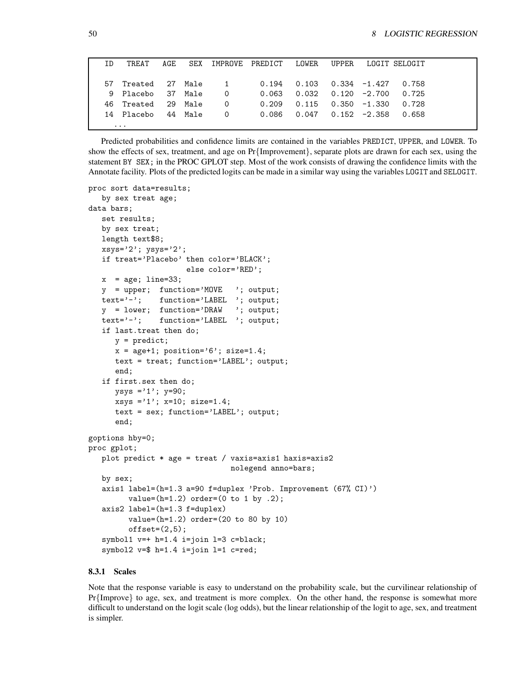| TD. | TREAT                | AGE. |                | SEX IMPROVE PREDICT LOWER |                                          |                          | UPPER LOGIT SELOGIT |  |
|-----|----------------------|------|----------------|---------------------------|------------------------------------------|--------------------------|---------------------|--|
|     | 57 Treated 27 Male 1 |      |                |                           | $0.194$ $0.103$ $0.334$ $-1.427$ $0.758$ |                          |                     |  |
|     | 9 Placebo 37 Male    |      | $\overline{0}$ | 0.063                     | $0.032$ $0.120$ $-2.700$                 |                          | 0.725               |  |
|     | 46 Treated 29 Male   |      | <sup>O</sup>   | 0.209                     |                                          | $0.115$ $0.350$ $-1.330$ | 0.728               |  |
|     | 14 Placebo 44 Male   |      | 0              | 0.086                     | 0.047  0.152   -2.358                    |                          | 0.658               |  |
|     | $\cdots$             |      |                |                           |                                          |                          |                     |  |

Predicted probabilities and confidence limits are contained in the variables PREDICT, UPPER, and LOWER. To show the effects of sex, treatment, and age on Pr{Improvement}, separate plots are drawn for each sex, using the statement BY SEX; in the PROC GPLOT step. Most of the work consists of drawing the confidence limits with the Annotate facility. Plots of the predicted logits can be made in a similar way using the variables LOGIT and SELOGIT.

```
proc sort data=results;
   by sex treat age;
data bars;
   set results;
   by sex treat;
  length text$8;
   xsys='2'; ysys='2';if treat='Placebo' then color='BLACK';
                      else color='RED';
   x = age; line=33;y = upper; function='MOVE '; output;
   text='-'; function='LABEL '; output;
   y = lower; function='DRAW '; output;
   text='-'; function='LABEL '; output;
   if last.treat then do;
      y = predict;
      x = age + 1; position='6'; size=1.4;
      text = treat; function='LABEL'; output;
      end;
   if first.sex then do;
      ysys = '1'; y=90;xsys = '1'; x=10; size=1.4;text = sex; function='LABEL'; output;
      end;
goptions hby=0;
proc gplot;
   plot predict * age = treat / vaxis=axis1 haxis=axis2
                                nolegend anno=bars;
   by sex;
   axis1 label=(h=1.3 a=90 f=duplex 'Prob. Improvement (67% CI)')
         value=(h=1.2) order=(0 to 1 by .2);axis2 label=(h=1.3 f=duplex)
         value=(h=1.2) order=(20 to 80 by 10)
         offset=(2,5);symbol1 v=+ h=1.4 i=join l=3 c=black;
   symbol2 v=$ h=1.4 i=join l=1 c=red;
```
#### **8.3.1 Scales**

Note that the response variable is easy to understand on the probability scale, but the curvilinear relationship of Pr{Improve} to age, sex, and treatment is more complex. On the other hand, the response is somewhat more difficult to understand on the logit scale (log odds), but the linear relationship of the logit to age, sex, and treatment is simpler.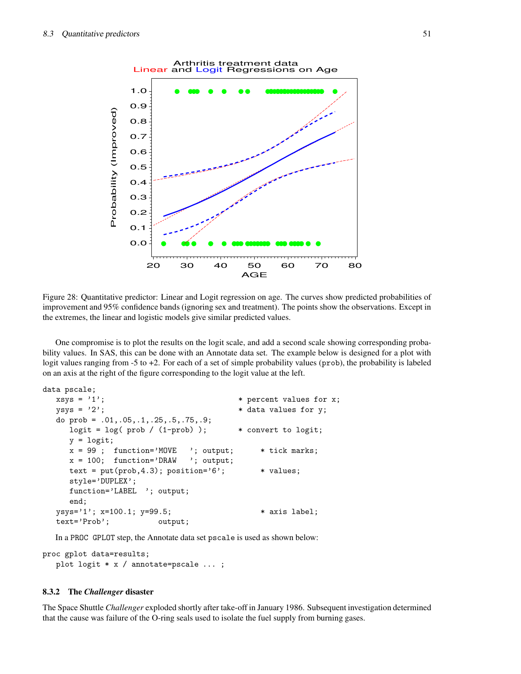

Figure 28: Quantitative predictor: Linear and Logit regression on age. The curves show predicted probabilities of improvement and 95% confidence bands (ignoring sex and treatment). The points show the observations. Except in the extremes, the linear and logistic models give similar predicted values.

One compromise is to plot the results on the logit scale, and add a second scale showing corresponding probability values. In SAS, this can be done with an Annotate data set. The example below is designed for a plot with logit values ranging from -5 to +2. For each of a set of simple probability values (prob), the probability is labeled on an axis at the right of the figure corresponding to the logit value at the left.

```
data pscale;
```

```
xsys = '1'; * percent values for x;
ysys = '2'; * data values for y;
do prob = .01,.05,.1,.25,.5,.75,.9;
  logit = \log( prob / (1-prob) ); * convert to logit;
  y = logit;x = 99; function='MOVE '; output; * tick marks;
  x = 100; function='DRAW '; output;
  text = put(prob, 4.3); position='6<sup>'</sup>; * values;
  style='DUPLEX';
  function='LABEL '; output;
  end;
ysys='1'; x=100.1; y=99.5; * axis label;
text='Prob'; output;
```
In a PROC GPLOT step, the Annotate data set pscale is used as shown below:

proc gplot data=results; plot logit \* x / annotate=pscale ... ;

#### **8.3.2 The** *Challenger* **disaster**

The Space Shuttle *Challenger* exploded shortly after take-off in January 1986. Subsequent investigation determined that the cause was failure of the O-ring seals used to isolate the fuel supply from burning gases.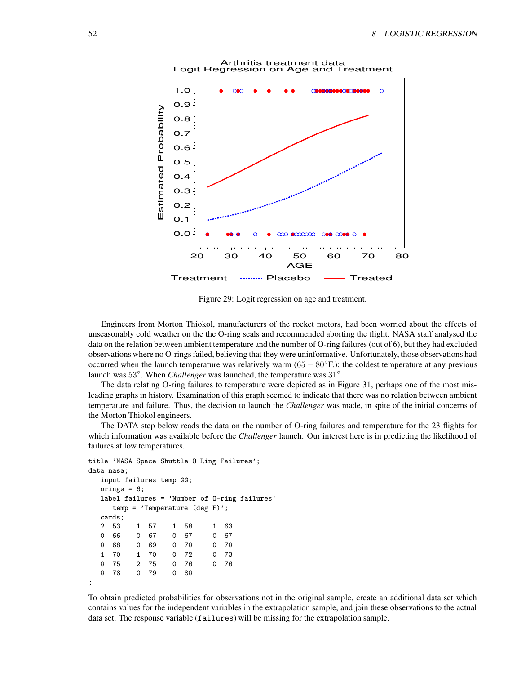

Figure 29: Logit regression on age and treatment.

Engineers from Morton Thiokol, manufacturers of the rocket motors, had been worried about the effects of unseasonably cold weather on the the O-ring seals and recommended aborting the flight. NASA staff analysed the data on the relation between ambient temperature and the number of O-ring failures (out of 6), but they had excluded observations where no O-rings failed, believing that they were uninformative. Unfortunately, those observations had occurred when the launch temperature was relatively warm  $(65 - 80°F)$ ; the coldest temperature at any previous launch was 53<sup>°</sup>. When *Challenger* was launched, the temperature was 31<sup>°</sup>.

The data relating O-ring failures to temperature were depicted as in Figure 31, perhaps one of the most misleading graphs in history. Examination of this graph seemed to indicate that there was no relation between ambient temperature and failure. Thus, the decision to launch the *Challenger* was made, in spite of the initial concerns of the Morton Thiokol engineers.

The DATA step below reads the data on the number of O-ring failures and temperature for the 23 flights for which information was available before the *Challenger* launch. Our interest here is in predicting the likelihood of failures at low temperatures.

```
title 'NASA Space Shuttle O-Ring Failures';
data nasa;
  input failures temp @@;
  orings = 6;
  label failures = 'Number of O-ring failures'
    temp = 'Temperature (deg F)';
  cards;
  2 53 1 57 1 58 1 63
  0 66 0 67 0 67 0 67
  0 68 0 69 0 70 0 70
  1 70 1 70 0 72 0 73
  0 75 2 75 0 76 0 76
  0 78 0 79 0 80
;
```
To obtain predicted probabilities for observations not in the original sample, create an additional data set which contains values for the independent variables in the extrapolation sample, and join these observations to the actual data set. The response variable (failures) will be missing for the extrapolation sample.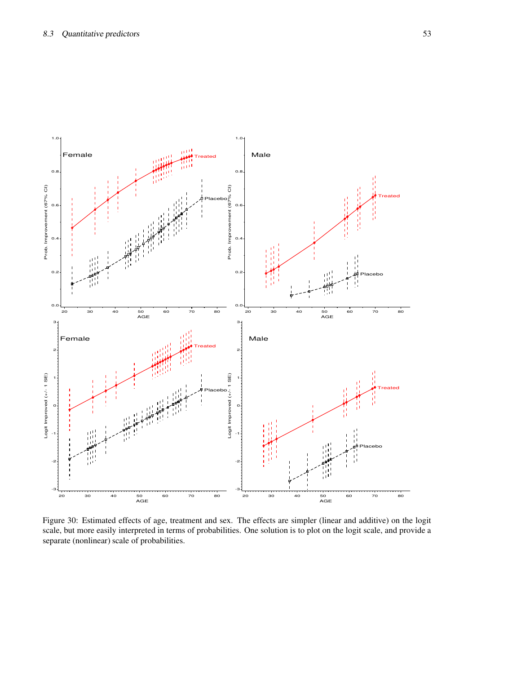

Figure 30: Estimated effects of age, treatment and sex. The effects are simpler (linear and additive) on the logit scale, but more easily interpreted in terms of probabilities. One solution is to plot on the logit scale, and provide a separate (nonlinear) scale of probabilities.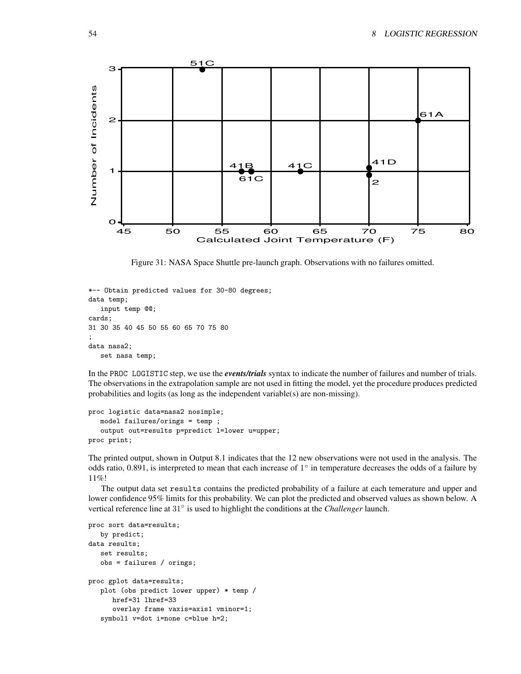

Figure 31: NASA Space Shuttle pre-launch graph. Observations with no failures omitted.

```
*-- Obtain predicted values for 30-80 degrees;
data temp;
   input temp @@;
cards;
31 30 35 40 45 50 55 60 65 70 75 80
;
data nasa2;
   set nasa temp;
```
In the PROC LOGISTIC step, we use the *events/trials* syntax to indicate the number of failures and number of trials. The observations in the extrapolation sample are not used in fitting the model, yet the procedure produces predicted probabilities and logits (as long as the independent variable(s) are non-missing).

```
proc logistic data=nasa2 nosimple;
   model failures/orings = temp ;
   output out=results p=predict l=lower u=upper;
proc print;
```
The printed output, shown in Output 8.1 indicates that the 12 new observations were not used in the analysis. The odds ratio, 0.891, is interpreted to mean that each increase of  $1^\circ$  in temperature decreases the odds of a failure by 11%!

The output data set results contains the predicted probability of a failure at each temerature and upper and lower confidence 95% limits for this probability. We can plot the predicted and observed values as shown below. A vertical reference line at 31◦ is used to highlight the conditions at the *Challenger* launch.

```
proc sort data=results;
   by predict;
data results;
   set results;
   obs = failures / orings;
proc gplot data=results;
   plot (obs predict lower upper) * temp /
      href=31 lhref=33
      overlay frame vaxis=axis1 vminor=1;
   symbol1 v=dot i=none c=blue h=2;
```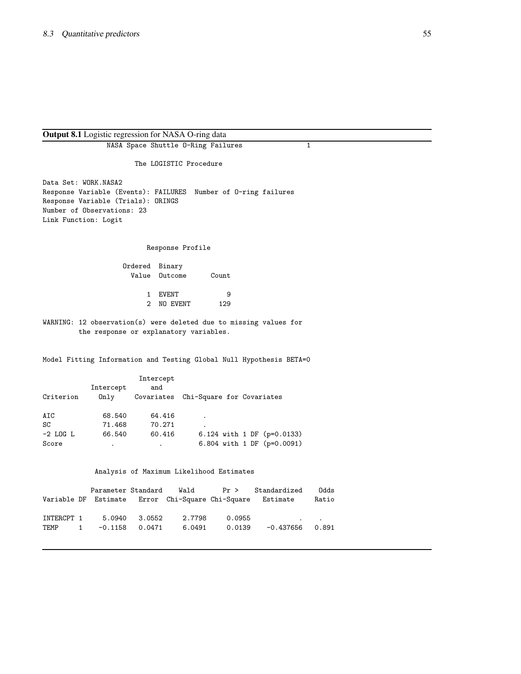# **Output 8.1** Logistic regression for NASA O-ring data

| sure regression for the first of this case.                |                                                    |                                                                     |  |  |  |  |  |  |  |  |
|------------------------------------------------------------|----------------------------------------------------|---------------------------------------------------------------------|--|--|--|--|--|--|--|--|
|                                                            | NASA Space Shuttle 0-Ring Failures<br>$\mathbf{1}$ |                                                                     |  |  |  |  |  |  |  |  |
|                                                            | The LOGISTIC Procedure                             |                                                                     |  |  |  |  |  |  |  |  |
| Data Set: WORK.NASA2<br>Response Variable (Trials): ORINGS |                                                    | Response Variable (Events): FAILURES Number of 0-ring failures      |  |  |  |  |  |  |  |  |
|                                                            |                                                    |                                                                     |  |  |  |  |  |  |  |  |
| Number of Observations: 23                                 |                                                    |                                                                     |  |  |  |  |  |  |  |  |
| Link Function: Logit                                       |                                                    |                                                                     |  |  |  |  |  |  |  |  |
|                                                            |                                                    |                                                                     |  |  |  |  |  |  |  |  |
|                                                            | Response Profile                                   |                                                                     |  |  |  |  |  |  |  |  |
|                                                            | Ordered Binary                                     |                                                                     |  |  |  |  |  |  |  |  |
|                                                            | Value Outcome                                      | Count                                                               |  |  |  |  |  |  |  |  |
|                                                            |                                                    |                                                                     |  |  |  |  |  |  |  |  |
|                                                            | 1 EVENT                                            | 9                                                                   |  |  |  |  |  |  |  |  |
|                                                            | NO EVENT<br>$\mathbf{2}$                           | 129                                                                 |  |  |  |  |  |  |  |  |
|                                                            |                                                    |                                                                     |  |  |  |  |  |  |  |  |
|                                                            | the response or explanatory variables.             | WARNING: 12 observation(s) were deleted due to missing values for   |  |  |  |  |  |  |  |  |
|                                                            |                                                    | Model Fitting Information and Testing Global Null Hypothesis BETA=0 |  |  |  |  |  |  |  |  |
|                                                            | Intercept                                          |                                                                     |  |  |  |  |  |  |  |  |
| Intercept                                                  | and                                                |                                                                     |  |  |  |  |  |  |  |  |
| Criterion<br>Only                                          |                                                    | Covariates Chi-Square for Covariates                                |  |  |  |  |  |  |  |  |
|                                                            |                                                    |                                                                     |  |  |  |  |  |  |  |  |
| 68.540<br>AIC                                              | 64.416                                             | $\bullet$                                                           |  |  |  |  |  |  |  |  |
| SC<br>71.468                                               | 70.271                                             |                                                                     |  |  |  |  |  |  |  |  |
| $-2$ LOG L<br>66.540                                       | 60.416                                             | 6.124 with 1 DF (p=0.0133)                                          |  |  |  |  |  |  |  |  |
| Score                                                      | $\mathbf{L}^{\text{max}}$                          | 6.804 with 1 DF (p=0.0091)                                          |  |  |  |  |  |  |  |  |
|                                                            |                                                    |                                                                     |  |  |  |  |  |  |  |  |
|                                                            |                                                    | Analysis of Maximum Likelihood Estimates                            |  |  |  |  |  |  |  |  |
| Parameter Standard                                         |                                                    | Wald<br>Pr ><br>Standardized<br>Odds                                |  |  |  |  |  |  |  |  |
| Variable DF Estimate                                       |                                                    | Error Chi-Square Chi-Square<br>Estimate<br>Ratio                    |  |  |  |  |  |  |  |  |
|                                                            |                                                    |                                                                     |  |  |  |  |  |  |  |  |
| 5.0940<br>INTERCPT 1                                       | 3.0552                                             | 2.7798<br>0.0955                                                    |  |  |  |  |  |  |  |  |
| TEMP<br>$-0.1158$<br>1                                     | 0.0471                                             | 6.0491<br>0.0139<br>-0.437656<br>0.891                              |  |  |  |  |  |  |  |  |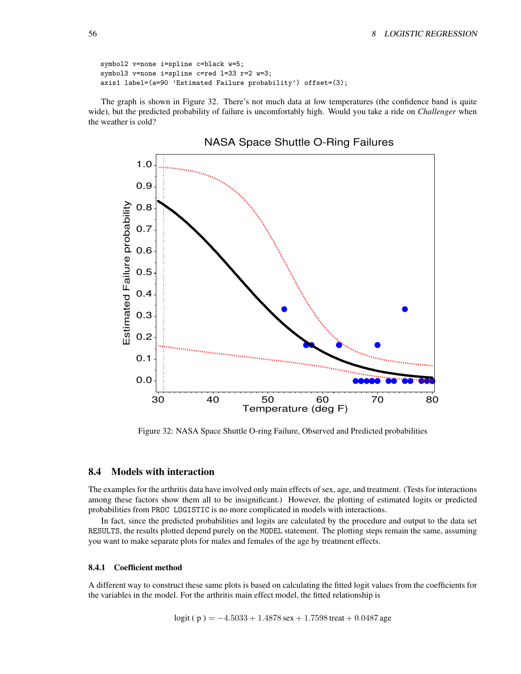```
symbol2 v=none i=spline c=black w=5;
symbol3 v=none i=spline c=red l=33 r=2 w=3;
axis1 label=(a=90 'Estimated Failure probability') offset=(3);
```
The graph is shown in Figure 32. There's not much data at low temperatures (the confidence band is quite wide), but the predicted probability of failure is uncomfortably high. Would you take a ride on *Challenger* when the weather is cold?



Figure 32: NASA Space Shuttle O-ring Failure, Observed and Predicted probabilities

## **8.4 Models with interaction**

The examples for the arthritis data have involved only main effects of sex, age, and treatment. (Tests for interactions among these factors show them all to be insignificant.) However, the plotting of estimated logits or predicted probabilities from PROC LOGISTIC is no more complicated in models with interactions.

In fact, since the predicted probabilities and logits are calculated by the procedure and output to the data set RESULTS, the results plotted depend purely on the MODEL statement. The plotting steps remain the same, assuming you want to make separate plots for males and females of the age by treatment effects.

#### **8.4.1 Coefficient method**

A different way to construct these same plots is based on calculating the fitted logit values from the coefficients for the variables in the model. For the arthritis main effect model, the fitted relationship is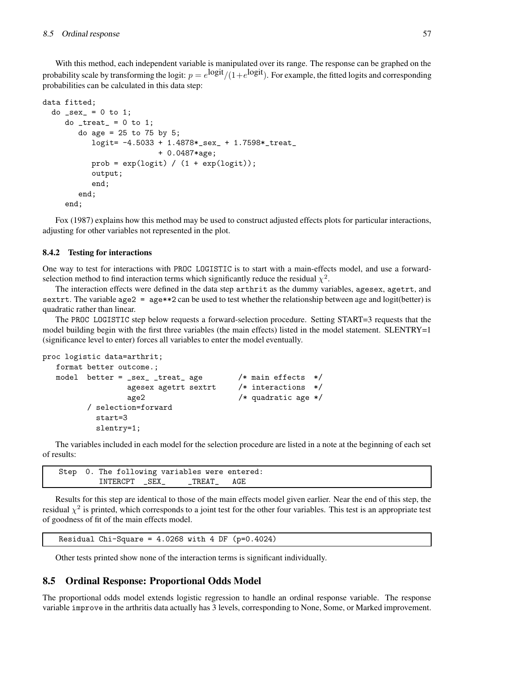With this method, each independent variable is manipulated over its range. The response can be graphed on the probability scale by transforming the logit:  $p=e^{\text{logit}}/(1+e^{\text{logit}})$ . For example, the fitted logits and corresponding probabilities can be calculated in this data step:

```
data fitted;
 do _sex_ = 0 to 1;
     do _treat_ = 0 to 1;
        do age = 25 to 75 by 5;
           logit= -4.5033 + 1.4878*_sex_ + 1.7598*_treat_
                          + 0.0487*age;
           prob = exp(logit) / (1 + exp(logit));output;
           end;
        end;
     end;
```
Fox (1987) explains how this method may be used to construct adjusted effects plots for particular interactions, adjusting for other variables not represented in the plot.

#### **8.4.2 Testing for interactions**

One way to test for interactions with PROC LOGISTIC is to start with a main-effects model, and use a forwardselection method to find interaction terms which significantly reduce the residual  $\chi^2$ .

The interaction effects were defined in the data step arthrit as the dummy variables, agesex, agetrt, and sextrt. The variable age2 = age\*\*2 can be used to test whether the relationship between age and logit(better) is quadratic rather than linear.

The PROC LOGISTIC step below requests a forward-selection procedure. Setting START=3 requests that the model building begin with the first three variables (the main effects) listed in the model statement. SLENTRY=1 (significance level to enter) forces all variables to enter the model eventually.

```
proc logistic data=arthrit;
  format better outcome.;
  model better = _sex_ _treat_ age /* main effects */
                agesex agetrt sextrt /* interactions */
                age2 /* quadratic age */
        / selection=forward
          start=3
          slentry=1;
```
The variables included in each model for the selection procedure are listed in a note at the beginning of each set of results:

```
Step 0. The following variables were entered:
        INTERCPT _SEX_ _TREAT_ AGE
```
Results for this step are identical to those of the main effects model given earlier. Near the end of this step, the residual  $\chi^2$  is printed, which corresponds to a joint test for the other four variables. This test is an appropriate test of goodness of fit of the main effects model.

```
Residual Chi-Square = 4.0268 with 4 DF (p=0.4024)
```
Other tests printed show none of the interaction terms is significant individually.

# **8.5 Ordinal Response: Proportional Odds Model**

The proportional odds model extends logistic regression to handle an ordinal response variable. The response variable improve in the arthritis data actually has 3 levels, corresponding to None, Some, or Marked improvement.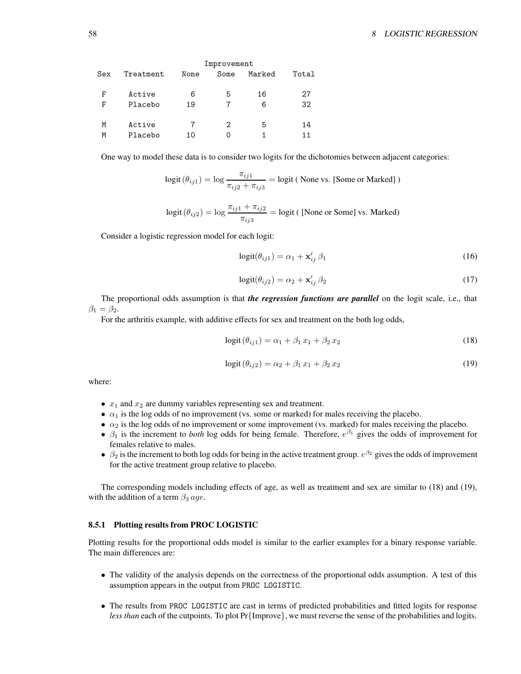|     |           |      | Improvement |        |       |
|-----|-----------|------|-------------|--------|-------|
| Sex | Treatment | None | Some        | Marked | Total |
| F   | Active    | 6    | 5           | 16     | 27    |
| F   | Placebo   | 19   |             | 6      | 32    |
| M   | Active    | 7    | 2           | 5      | 14    |
| Μ   | Placebo   | 10   | ი           |        | 11    |

One way to model these data is to consider two logits for the dichotomies between adjacent categories:

$$
logit(\theta_{ij1}) = log \frac{\pi_{ij1}}{\pi_{ij2} + \pi_{ij3}} = logit \text{ (None vs. [Some or Marked])}
$$

$$
logit(\theta_{ij2}) = log \frac{\pi_{ij1} + \pi_{ij2}}{\pi_{ij3}} = logit ( [None or Some] vs. Marked)
$$

Consider a logistic regression model for each logit:

$$
logit(\theta_{ij1}) = \alpha_1 + \mathbf{x}'_{ij} \beta_1 \tag{16}
$$

$$
logit(\theta_{ij2}) = \alpha_2 + \mathbf{x}'_{ij} \beta_2 \tag{17}
$$

The proportional odds assumption is that *the regression functions are parallel* on the logit scale, i.e., that  $\beta_1 = \beta_2$ .

For the arthritis example, with additive effects for sex and treatment on the both log odds,

$$
logit(\theta_{ij1}) = \alpha_1 + \beta_1 x_1 + \beta_2 x_2 \tag{18}
$$

$$
logit(\theta_{ij2}) = \alpha_2 + \beta_1 x_1 + \beta_2 x_2 \tag{19}
$$

where:

- $x_1$  and  $x_2$  are dummy variables representing sex and treatment.
- $\alpha_1$  is the log odds of no improvement (vs. some or marked) for males receiving the placebo.
- $\alpha_2$  is the log odds of no improvement or some improvement (vs. marked) for males receiving the placebo.
- $\beta_1$  is the increment to *both* log odds for being female. Therefore,  $e^{\beta_1}$  gives the odds of improvement for females relative to males.
- $\beta_2$  is the increment to both log odds for being in the active treatment group.  $e^{\beta_2}$  gives the odds of improvement for the active treatment group relative to placebo.

The corresponding models including effects of age, as well as treatment and sex are similar to (18) and (19), with the addition of a term  $\beta_3$  age.

#### **8.5.1 Plotting results from PROC LOGISTIC**

Plotting results for the proportional odds model is similar to the earlier examples for a binary response variable. The main differences are:

- The validity of the analysis depends on the correctness of the proportional odds assumption. A test of this assumption appears in the output from PROC LOGISTIC.
- The results from PROC LOGISTIC are cast in terms of predicted probabilities and fitted logits for response *less than* each of the cutpoints. To plot Pr{Improve}, we must reverse the sense of the probabilities and logits.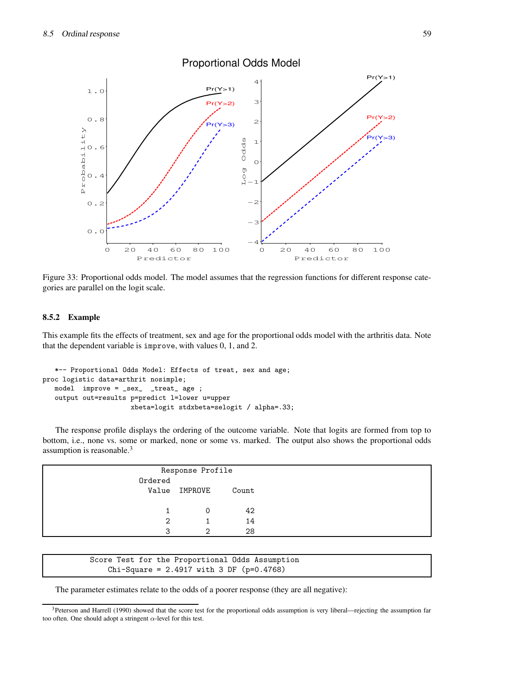

Figure 33: Proportional odds model. The model assumes that the regression functions for different response categories are parallel on the logit scale.

## **8.5.2 Example**

This example fits the effects of treatment, sex and age for the proportional odds model with the arthritis data. Note that the dependent variable is improve, with values 0, 1, and 2.

```
*-- Proportional Odds Model: Effects of treat, sex and age;
proc logistic data=arthrit nosimple;
   model improve = _sex_ _treat_ age ;
   output out=results p=predict l=lower u=upper
                      xbeta=logit stdxbeta=selogit / alpha=.33;
```
The response profile displays the ordering of the outcome variable. Note that logits are formed from top to bottom, i.e., none vs. some or marked, none or some vs. marked. The output also shows the proportional odds assumption is reasonable.<sup>3</sup>

|         | Response Profile |       |  |  |  |  |  |
|---------|------------------|-------|--|--|--|--|--|
| Ordered |                  |       |  |  |  |  |  |
| Value   | IMPROVE          | Count |  |  |  |  |  |
|         |                  |       |  |  |  |  |  |
|         |                  | 42    |  |  |  |  |  |
| 2       |                  | 14    |  |  |  |  |  |
| 3       | ∩                | 28    |  |  |  |  |  |

Score Test for the Proportional Odds Assumption Chi-Square = 2.4917 with 3 DF (p=0.4768)

The parameter estimates relate to the odds of a poorer response (they are all negative):

<sup>&</sup>lt;sup>3</sup>Peterson and Harrell (1990) showed that the score test for the proportional odds assumption is very liberal—rejecting the assumption far too often. One should adopt a stringent  $\alpha$ -level for this test.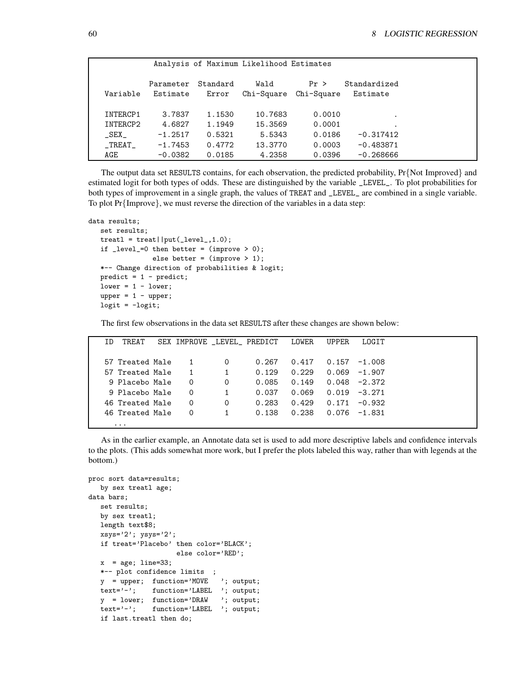|               |                       |                   | Analysis of Maximum Likelihood Estimates |                    |                          |  |
|---------------|-----------------------|-------------------|------------------------------------------|--------------------|--------------------------|--|
| Variable      | Parameter<br>Estimate | Standard<br>Error | Wald<br>Chi-Square                       | Pr ><br>Chi-Square | Standardized<br>Estimate |  |
|               |                       |                   |                                          |                    |                          |  |
| INTERCP1      | 3.7837                | 1.1530            | 10.7683                                  | 0.0010             |                          |  |
| INTERCP2      | 4.6827                | 1.1949            | 15.3569                                  | 0.0001             |                          |  |
| $\_$ SEX $\_$ | $-1.2517$             | 0.5321            | 5.5343                                   | 0.0186             | $-0.317412$              |  |
| $\_TREAT$     | $-1.7453$             | 0.4772            | 13.3770                                  | 0.0003             | $-0.483871$              |  |
| AGE           | $-0.0382$             | 0.0185            | 4.2358                                   | 0.0396             | $-0.268666$              |  |

The output data set RESULTS contains, for each observation, the predicted probability, Pr{Not Improved} and estimated logit for both types of odds. These are distinguished by the variable \_LEVEL\_. To plot probabilities for both types of improvement in a single graph, the values of TREAT and \_LEVEL\_ are combined in a single variable. To plot  $Pr\{Improve\}$ , we must reverse the direction of the variables in a data step:

```
data results;
  set results;
  treat1 = treat||put([level_1, 1.0);if _level_=0 then better = (improve > 0);
               else better = (improve > 1);*-- Change direction of probabilities & logit;
  predict = 1 - predict;lower = 1 - lower;upper = 1 - upper;logit = -logit;
```
The first few observations in the data set RESULTS after these changes are shown below:

| ΙD | TREAT           |          |   | SEX IMPROVE LEVEL PREDICT | LOWER | UPPER. | LOGIT    |  |
|----|-----------------|----------|---|---------------------------|-------|--------|----------|--|
|    |                 |          |   |                           |       |        |          |  |
|    | 57 Treated Male |          | 0 | 0.267                     | 0.417 | 0.157  | $-1.008$ |  |
|    | 57 Treated Male |          |   | 0.129                     | 0.229 | 0.069  | $-1.907$ |  |
|    | 9 Placebo Male  | $\Omega$ | 0 | 0.085                     | 0.149 | 0.048  | $-2.372$ |  |
|    | 9 Placebo Male  | $\Omega$ |   | 0.037                     | 0.069 | 0.019  | $-3.271$ |  |
|    | 46 Treated Male | $\Omega$ | 0 | 0.283                     | 0.429 | 0.171  | $-0.932$ |  |
|    | 46 Treated Male | $\Omega$ |   | 0.138                     | 0.238 | 0.076  | $-1.831$ |  |
|    | $\cdots$        |          |   |                           |       |        |          |  |

As in the earlier example, an Annotate data set is used to add more descriptive labels and confidence intervals to the plots. (This adds somewhat more work, but I prefer the plots labeled this way, rather than with legends at the bottom.)

```
proc sort data=results;
  by sex treatl age;
data bars;
  set results;
  by sex treatl;
  length text$8;
  xsys='2'; ysys='2';if treat='Placebo' then color='BLACK';
                     else color='RED';
  x = age; line=33;*-- plot confidence limits ;
  y = upper; function='MOVE '; output;
   text='-'; function='LABEL '; output;
  y = lower; function='DRAW '; output;
  text='-'; function='LABEL '; output;
   if last.treatl then do;
```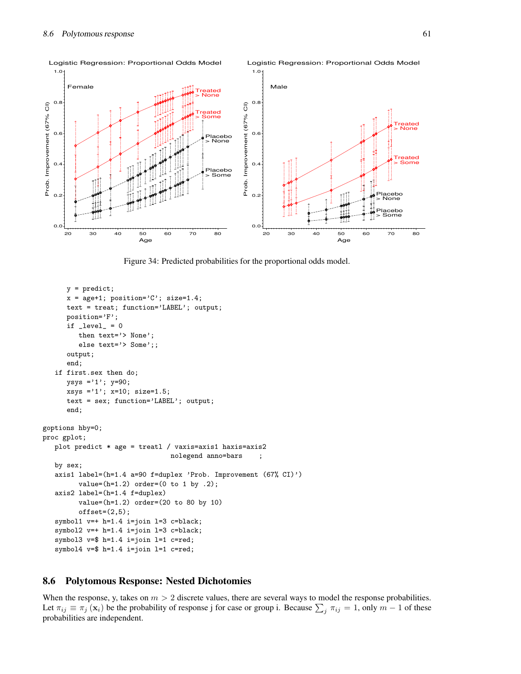

Figure 34: Predicted probabilities for the proportional odds model.

```
y = predict;
      x = age + 1; position='C'; size=1.4;
      text = treat; function='LABEL'; output;
      position='F';
      if _{\text{level}} = 0then text='> None';
         else text='> Some';;
      output;
      end;
   if first.sex then do;
      ysys ='1'; y=90;
      xsys ='1'; x=10; size=1.5;
      text = sex; function='LABEL'; output;
      end;
goptions hby=0;
proc gplot;
  plot predict * age = treatl / vaxis=axis1 haxis=axis2
                                 nolegend anno=bars ;
   by sex;
   axis1 label=(h=1.4 a=90 f=duplex 'Prob. Improvement (67% CI)')
         value=(h=1.2) order=(0 to 1 by .2);axis2 label=(h=1.4 f=duplex)
         value=(h=1.2) order=(20 to 80 by 10)
         offset=(2,5);symbol1 v=+ h=1.4 i=join l=3 c=black;
   symbol2 v=+ h=1.4 i=join l=3 c=black;
   symbol3 v=$ h=1.4 i=join l=1 c=red;
   symbol4 v=$ h=1.4 i=join l=1 c=red;
```
# **8.6 Polytomous Response: Nested Dichotomies**

When the response, y, takes on  $m > 2$  discrete values, there are several ways to model the response probabilities. Let  $\pi_{ij} \equiv \pi_j(\mathbf{x}_i)$  be the probability of response j for case or group i. Because  $\sum_j \pi_{ij} = 1$ , only  $m - 1$  of these probabilities are independent.

Logistic Regression: Proportional Odds Model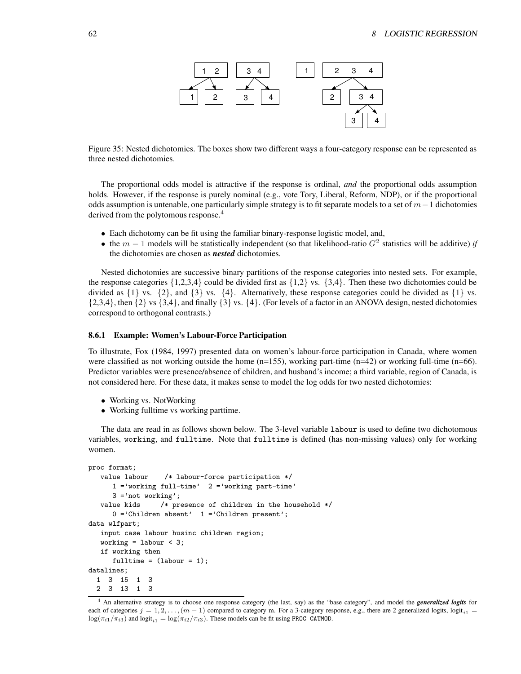

Figure 35: Nested dichotomies. The boxes show two different ways a four-category response can be represented as three nested dichotomies.

The proportional odds model is attractive if the response is ordinal, *and* the proportional odds assumption holds. However, if the response is purely nominal (e.g., vote Tory, Liberal, Reform, NDP), or if the proportional odds assumption is untenable, one particularly simple strategy is to fit separate models to a set of  $m-1$  dichotomies derived from the polytomous response.<sup>4</sup>

- Each dichotomy can be fit using the familiar binary-response logistic model, and,
- the  $m-1$  models will be statistically independent (so that likelihood-ratio  $G<sup>2</sup>$  statistics will be additive) *if* the dichotomies are chosen as *nested* dichotomies.

Nested dichotomies are successive binary partitions of the response categories into nested sets. For example, the response categories  $\{1,2,3,4\}$  could be divided first as  $\{1,2\}$  vs.  $\{3,4\}$ . Then these two dichotomies could be divided as  $\{1\}$  vs.  $\{2\}$ , and  $\{3\}$  vs.  $\{4\}$ . Alternatively, these response categories could be divided as  $\{1\}$  vs.  $\{2,3,4\}$ , then  $\{2\}$  vs  $\{3,4\}$ , and finally  $\{3\}$  vs.  $\{4\}$ . (For levels of a factor in an ANOVA design, nested dichotomies correspond to orthogonal contrasts.)

#### **8.6.1 Example: Women's Labour-Force Participation**

To illustrate, Fox (1984, 1997) presented data on women's labour-force participation in Canada, where women were classified as not working outside the home  $(n=155)$ , working part-time  $(n=42)$  or working full-time  $(n=66)$ . Predictor variables were presence/absence of children, and husband's income; a third variable, region of Canada, is not considered here. For these data, it makes sense to model the log odds for two nested dichotomies:

- Working vs. NotWorking
- Working fulltime vs working parttime.

The data are read in as follows shown below. The 3-level variable labour is used to define two dichotomous variables, working, and fulltime. Note that fulltime is defined (has non-missing values) only for working women.

```
proc format;
  value labour /* labour-force participation */
     1 ='working full-time' 2 ='working part-time'
     3 ='not working';
   value kids /* presence of children in the household */
     0 = 'Children absent' 1 = 'Children present';
data wlfpart;
  input case labour husinc children region;
  working = labor < 3;
   if working then
     fulltime = (labour = 1);datalines;
  1 3 15 1 3
  2 3 13 1 3
```
<sup>4</sup> An alternative strategy is to choose one response category (the last, say) as the "base category", and model the *generalized logits* for each of categories  $j = 1, 2, \ldots, (m - 1)$  compared to category m. For a 3-category response, e.g., there are 2 generalized logits, logit<sub>i1</sub> =  $\log(\pi_{i1}/\pi_{i3})$  and  $\logit_{i1} = \log(\pi_{i2}/\pi_{i3})$ . These models can be fit using PROC CATMOD.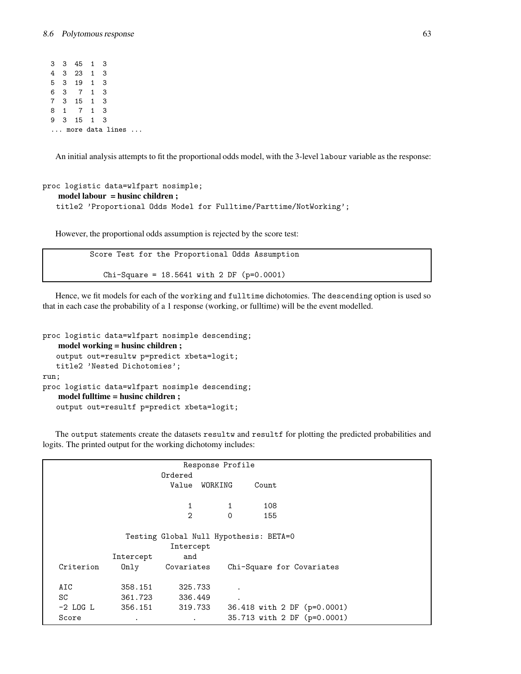3 3 45 1 3 4 3 23 1 3 5 3 19 1 3 6 3 7 1 3 7 3 15 1 3 8 1 7 1 3 9 3 15 1 3 ... more data lines ...

An initial analysis attempts to fit the proportional odds model, with the 3-level labour variable as the response:

```
proc logistic data=wlfpart nosimple;
   model labour = husinc children ;
   title2 'Proportional Odds Model for Fulltime/Parttime/NotWorking';
```
However, the proportional odds assumption is rejected by the score test:

```
Score Test for the Proportional Odds Assumption
   Chi-Square = 18.5641 with 2 DF (p=0.0001)
```
Hence, we fit models for each of the working and fulltime dichotomies. The descending option is used so that in each case the probability of a 1 response (working, or fulltime) will be the event modelled.

```
proc logistic data=wlfpart nosimple descending;
   model working = husinc children ;
   output out=resultw p=predict xbeta=logit;
   title2 'Nested Dichotomies';
run;
proc logistic data=wlfpart nosimple descending;
   model fulltime = husinc children ;
   output out=resultf p=predict xbeta=logit;
```
The output statements create the datasets resultw and resultf for plotting the predicted probabilities and logits. The printed output for the working dichotomy includes:

|                                        |           |                | Response Profile |                           |                             |  |  |  |  |
|----------------------------------------|-----------|----------------|------------------|---------------------------|-----------------------------|--|--|--|--|
|                                        |           | Ordered        |                  |                           |                             |  |  |  |  |
|                                        |           | Value WORKING  |                  | Count                     |                             |  |  |  |  |
|                                        |           |                |                  |                           |                             |  |  |  |  |
|                                        |           | 1              | 1                | 108                       |                             |  |  |  |  |
|                                        |           | $\overline{2}$ | $\Omega$         | 155                       |                             |  |  |  |  |
|                                        |           |                |                  |                           |                             |  |  |  |  |
| Testing Global Null Hypothesis: BETA=0 |           |                |                  |                           |                             |  |  |  |  |
|                                        |           | Intercept      |                  |                           |                             |  |  |  |  |
|                                        | Intercept | and            |                  |                           |                             |  |  |  |  |
| Criterion                              | 0nly      | Covariates     |                  | Chi-Square for Covariates |                             |  |  |  |  |
|                                        |           |                |                  |                           |                             |  |  |  |  |
| AIC                                    | 358.151   | 325.733        |                  |                           |                             |  |  |  |  |
| SC                                     | 361.723   | 336.449        | $\cdot$          |                           |                             |  |  |  |  |
| $-2$ LOG L                             | 356.151   | 319.733        |                  |                           | 36.418 with 2 DF (p=0.0001) |  |  |  |  |
| Score                                  | $\bullet$ | $\bullet$      |                  |                           | 35.713 with 2 DF (p=0.0001) |  |  |  |  |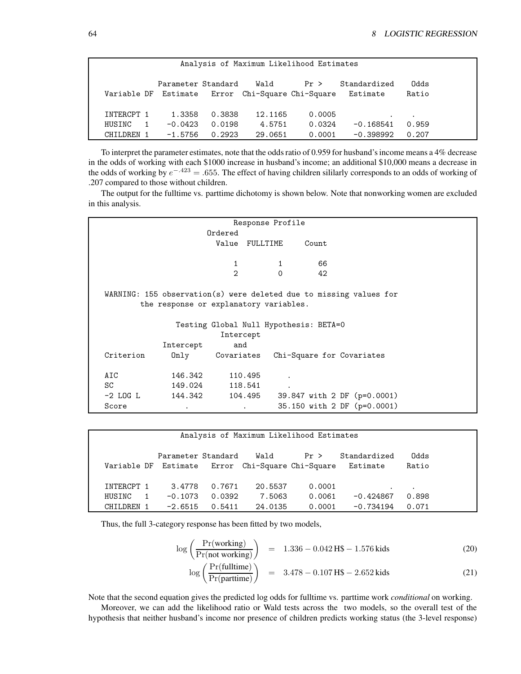| Analysis of Maximum Likelihood Estimates |              |                                            |        |                                     |        |                          |               |  |  |  |
|------------------------------------------|--------------|--------------------------------------------|--------|-------------------------------------|--------|--------------------------|---------------|--|--|--|
|                                          |              | Parameter Standard<br>Variable DF Estimate |        | Wald<br>Error Chi-Square Chi-Square | Pr >   | Standardized<br>Estimate | Odds<br>Ratio |  |  |  |
| INTERCPT 1                               |              | 1.3358                                     | 0.3838 | 12.1165                             | 0.0005 |                          | $\bullet$     |  |  |  |
| HUSINC                                   | $\mathbf{1}$ | $-0.0423$                                  | 0.0198 | 4.5751                              | 0.0324 | $-0.168541$              | 0.959         |  |  |  |
| CHILDREN 1                               |              | $-1.5756$                                  | 0.2923 | 29.0651                             | 0.0001 | $-0.398992$              | 0.207         |  |  |  |

To interpret the parameter estimates, note that the oddsratio of 0.959 for husband'sincome means a 4% decrease in the odds of working with each \$1000 increase in husband's income; an additional \$10,000 means a decrease in the odds of working by  $e^{-.423} = .655$ . The effect of having children sililarly corresponds to an odds of working of .207 compared to those without children.

The output for the fulltime vs. parttime dichotomy is shown below. Note that nonworking women are excluded in this analysis.

| Response Profile                                                   |           |                                        |          |                             |  |  |  |  |  |  |
|--------------------------------------------------------------------|-----------|----------------------------------------|----------|-----------------------------|--|--|--|--|--|--|
|                                                                    |           | Ordered                                |          |                             |  |  |  |  |  |  |
|                                                                    |           |                                        |          | Count                       |  |  |  |  |  |  |
|                                                                    |           | Value FULLTIME                         |          |                             |  |  |  |  |  |  |
|                                                                    |           |                                        |          |                             |  |  |  |  |  |  |
|                                                                    |           | 1                                      |          | 66                          |  |  |  |  |  |  |
|                                                                    |           | $\mathcal{D}$                          | $\Omega$ | 42                          |  |  |  |  |  |  |
|                                                                    |           |                                        |          |                             |  |  |  |  |  |  |
| WARNING: 155 observation(s) were deleted due to missing values for |           |                                        |          |                             |  |  |  |  |  |  |
|                                                                    |           | the response or explanatory variables. |          |                             |  |  |  |  |  |  |
|                                                                    |           |                                        |          |                             |  |  |  |  |  |  |
|                                                                    |           | Testing Global Null Hypothesis: BETA=0 |          |                             |  |  |  |  |  |  |
|                                                                    |           | Intercept                              |          |                             |  |  |  |  |  |  |
|                                                                    | Intercept | and                                    |          |                             |  |  |  |  |  |  |
| Criterion                                                          | Only      | Covariates                             |          | Chi-Square for Covariates   |  |  |  |  |  |  |
|                                                                    |           |                                        |          |                             |  |  |  |  |  |  |
| AIC                                                                | 146.342   | 110.495                                |          |                             |  |  |  |  |  |  |
|                                                                    |           |                                        |          |                             |  |  |  |  |  |  |
| SC                                                                 | 149.024   | 118.541                                |          |                             |  |  |  |  |  |  |
| -2 LOG L                                                           |           | 144.342 104.495                        |          | 39.847 with 2 DF (p=0.0001) |  |  |  |  |  |  |
| Score                                                              |           |                                        |          | 35.150 with 2 DF (p=0.0001) |  |  |  |  |  |  |
|                                                                    |           |                                        |          |                             |  |  |  |  |  |  |

| Analysis of Maximum Likelihood Estimates |                            |        |                       |        |              |           |  |  |  |  |  |
|------------------------------------------|----------------------------|--------|-----------------------|--------|--------------|-----------|--|--|--|--|--|
|                                          |                            |        |                       |        |              |           |  |  |  |  |  |
|                                          |                            |        |                       |        |              |           |  |  |  |  |  |
|                                          |                            |        |                       |        |              |           |  |  |  |  |  |
|                                          | Parameter Standard         |        | Wald                  | Pr >   | Standardized | Odds      |  |  |  |  |  |
|                                          |                            |        |                       |        |              |           |  |  |  |  |  |
|                                          | Variable DF Estimate Error |        | Chi-Square Chi-Square |        | Estimate     | Ratio     |  |  |  |  |  |
|                                          |                            |        |                       |        |              |           |  |  |  |  |  |
|                                          |                            |        |                       |        |              |           |  |  |  |  |  |
|                                          |                            |        |                       |        |              |           |  |  |  |  |  |
| INTERCPT 1                               | 3.4778                     | 0.7671 | 20.5537               | 0.0001 | $\bullet$    | $\bullet$ |  |  |  |  |  |
|                                          |                            |        |                       |        |              |           |  |  |  |  |  |
| HUSINC                                   | $-0.1073$                  | 0.0392 | 7.5063                | 0.0061 | $-0.424867$  | 0.898     |  |  |  |  |  |
| CHILDREN                                 | $-2.6515$                  | 0.5411 | 24.0135               | 0.0001 | $-0.734194$  | 0.071     |  |  |  |  |  |
|                                          |                            |        |                       |        |              |           |  |  |  |  |  |
|                                          |                            |        |                       |        |              |           |  |  |  |  |  |

Thus, the full 3-category response has been fitted by two models,

$$
\log\left(\frac{\Pr(\text{working})}{\Pr(\text{not working})}\right) = 1.336 - 0.042 \text{ H}\$ - 1.576 \text{ kids}
$$
\n(20)

$$
\log\left(\frac{\Pr(\text{fulltime})}{\Pr(\text{parttime})}\right) = 3.478 - 0.107 \text{ H}\$ - 2.652 \text{ kids}
$$
\n(21)

Note that the second equation gives the predicted log odds for fulltime vs. parttime work *conditional* on working.

Moreover, we can add the likelihood ratio or Wald tests across the two models, so the overall test of the hypothesis that neither husband's income nor presence of children predicts working status (the 3-level response)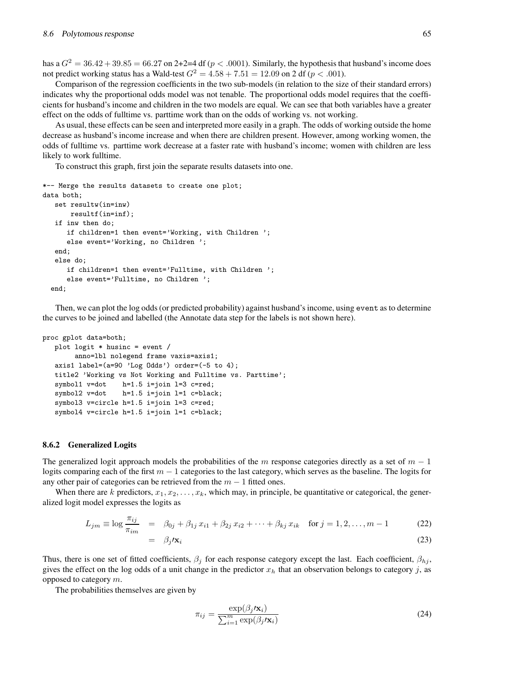has a  $G<sup>2</sup> = 36.42 + 39.85 = 66.27$  on 2+2=4 df ( $p < .0001$ ). Similarly, the hypothesis that husband's income does not predict working status has a Wald-test  $G^2 = 4.58 + 7.51 = 12.09$  on 2 df ( $p < .001$ ).

Comparison of the regression coefficients in the two sub-models (in relation to the size of their standard errors) indicates why the proportional odds model was not tenable. The proportional odds model requires that the coefficients for husband's income and children in the two models are equal. We can see that both variables have a greater effect on the odds of fulltime vs. parttime work than on the odds of working vs. not working.

As usual, these effects can be seen and interpreted more easily in a graph. The odds of working outside the home decrease as husband's income increase and when there are children present. However, among working women, the odds of fulltime vs. parttime work decrease at a faster rate with husband's income; women with children are less likely to work fulltime.

To construct this graph, first join the separate results datasets into one.

```
*-- Merge the results datasets to create one plot;
data both;
  set resultw(in=inw)
       resultf(in=inf);
  if inw then do;
      if children=1 then event='Working, with Children ';
      else event='Working, no Children ';
   end;
  else do;
      if children=1 then event='Fulltime, with Children ';
      else event='Fulltime, no Children ';
  end;
```
Then, we can plot the log odds (or predicted probability) against husband's income, using event as to determine the curves to be joined and labelled (the Annotate data step for the labels is not shown here).

```
proc gplot data=both;
   plot logit * husinc = event /
        anno=lbl nolegend frame vaxis=axis1;
   axis1 label=(a=90 'Log Odds') order=(-5 to 4);
   title2 'Working vs Not Working and Fulltime vs. Parttime';
   symbol1 v=dot h=1.5 i=join l=3 c=red;
   symbol2 v=dot h=1.5 i=join l=1 c=black;
   symbol3 v=circle h=1.5 i=join l=3 c=red;
   symbol4 v=circle h=1.5 i=join l=1 c=black;
```
#### **8.6.2 Generalized Logits**

The generalized logit approach models the probabilities of the m response categories directly as a set of  $m - 1$ logits comparing each of the first  $m - 1$  categories to the last category, which serves as the baseline. The logits for any other pair of categories can be retrieved from the  $m - 1$  fitted ones.

When there are k predictors,  $x_1, x_2, \ldots, x_k$ , which may, in principle, be quantitative or categorical, the generalized logit model expresses the logits as

$$
L_{jm} \equiv \log \frac{\pi_{ij}}{\pi_{im}} = \beta_{0j} + \beta_{1j} x_{i1} + \beta_{2j} x_{i2} + \dots + \beta_{kj} x_{ik} \quad \text{for } j = 1, 2, \dots, m - 1
$$
 (22)  
=  $\beta_j / \mathbf{x}_i$  (23)

Thus, there is one set of fitted coefficients,  $\beta_i$  for each response category except the last. Each coefficient,  $\beta_{hi}$ , gives the effect on the log odds of a unit change in the predictor  $x_h$  that an observation belongs to category j, as opposed to category m.

The probabilities themselves are given by

$$
\pi_{ij} = \frac{\exp(\beta_j / \mathbf{x}_i)}{\sum_{i=1}^m \exp(\beta_j / \mathbf{x}_i)}
$$
(24)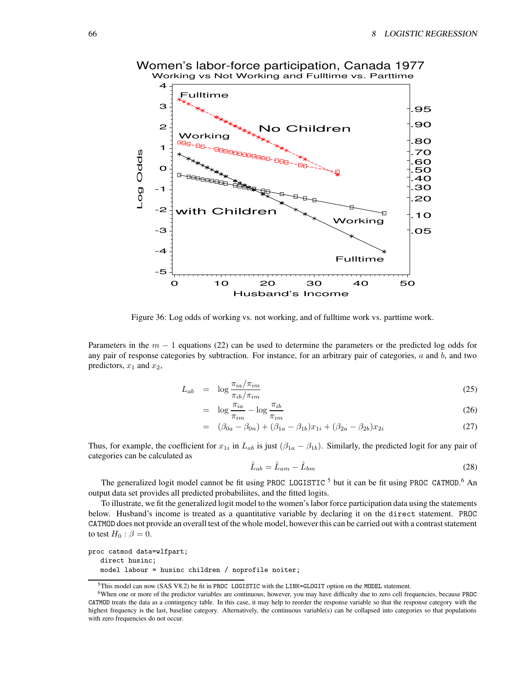

Women's labor-force participation, Canada 1977

Figure 36: Log odds of working vs. not working, and of fulltime work vs. parttime work.

Parameters in the  $m - 1$  equations (22) can be used to determine the parameters or the predicted log odds for any pair of response categories by subtraction. For instance, for an arbitrary pair of categories,  $a$  and  $b$ , and two predictors,  $x_1$  and  $x_2$ ,

$$
L_{ab} = \log \frac{\pi_{ia}/\pi_{im}}{\pi_{ib}/\pi_{im}} \tag{25}
$$

$$
= \log \frac{\pi_{ia}}{\pi_{im}} - \log \frac{\pi_{ib}}{\pi_{im}} \tag{26}
$$

$$
= (\beta_{0a} - \beta_{0n}) + (\beta_{1a} - \beta_{1b})x_{1i} + (\beta_{2a} - \beta_{2b})x_{2i}
$$
 (27)

Thus, for example, the coefficient for  $x_{1i}$  in  $L_{ab}$  is just  $(\beta_{1a} - \beta_{1b})$ . Similarly, the predicted logit for any pair of categories can be calculated as

$$
\hat{L}_{ab} = \hat{L}_{am} - \hat{L}_{bm} \tag{28}
$$

The generalized logit model cannot be fit using PROC LOGISTIC<sup>5</sup> but it can be fit using PROC CATMOD.<sup>6</sup> An output data set provides all predicted probabiliites, and the fitted logits.

To illustrate, we fit the generalized logit model to the women'slabor force participation data using the statements below. Husband's income is treated as a quantitative variable by declaring it on the direct statement. PROC CATMOD does not provide an overall test of the whole model, however this can be carried out with a contrast statement to test  $H_0$  :  $\beta = 0$ .

```
proc catmod data=wlfpart;
   direct husinc;
   model labour = husinc children / noprofile noiter;
```
<sup>5</sup>This model can now (SAS V8.2) be fit in PROC LOGISTIC with the LINK=GLOGIT option on the MODEL statement.

<sup>6</sup>When one or more of the predictor variables are continuous, however, you may have difficulty due to zero cell frequencies, because PROC CATMOD treats the data as a contingency table. In this case, it may help to reorder the response variable so that the response category with the highest frequency is the last, baseline category. Alternatively, the continuous variable(s) can be collapsed into categories so that populations with zero frequencies do not occur.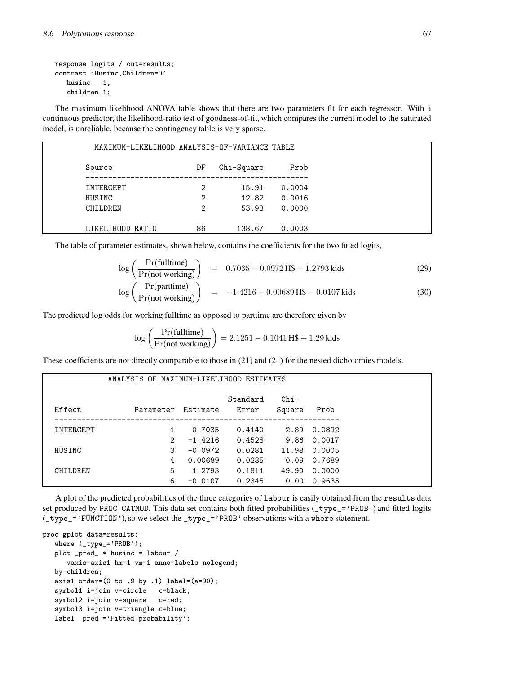```
response logits / out=results;
contrast 'Husinc,Children=0'
   husinc 1,
   children 1;
```
The maximum likelihood ANOVA table shows that there are two parameters fit for each regressor. With a continuous predictor, the likelihood-ratio test of goodness-of-fit, which compares the current model to the saturated model, is unreliable, because the contingency table is very sparse.

| MAXIMUM-LIKELIHOOD ANALYSIS-OF-VARIANCE TABLE |    |            |        |  |
|-----------------------------------------------|----|------------|--------|--|
| Source                                        | DF | Chi-Square | Prob   |  |
| INTERCEPT                                     | 2  | 15.91      | 0.0004 |  |
| HUSINC                                        | 2  | 12.82      | 0.0016 |  |
| CHILDREN                                      | 2  | 53.98      | 0.0000 |  |
| LIKELIHOOD RATIO                              | 86 | 138.67     | 0.0003 |  |

The table of parameter estimates, shown below, contains the coefficients for the two fitted logits,

$$
\log\left(\frac{\Pr(\text{fulltime})}{\Pr(\text{not working})}\right) = 0.7035 - 0.0972 \text{ H}\$ + 1.2793 \text{ kids}
$$
\n
$$
\log\left(\frac{\Pr(\text{parttime})}{\Pr(\text{not working})}\right) = -1.4216 + 0.00689 \text{ H}\$ - 0.0107 \text{ kids}
$$
\n(30)

The predicted log odds for working fulltime as opposed to parttime are therefore given by

$$
\log\left(\frac{\Pr(\text{fulltime})}{\Pr(\text{not working})}\right) = 2.1251 - 0.1041 \,\text{H}\$ + 1.29 \,\text{kids}
$$

These coefficients are not directly comparable to those in (21) and (21) for the nested dichotomies models.

| ANALYSIS OF MAXIMUM-LIKELIHOOD ESTIMATES |               |           |                   |                  |        |
|------------------------------------------|---------------|-----------|-------------------|------------------|--------|
| Effect                                   | Parameter     | Estimate  | Standard<br>Error | $Chi-$<br>Square | Prob   |
| INTERCEPT                                |               | 0.7035    | 0.4140            | 2.89             | 0.0892 |
|                                          | $\mathcal{L}$ | $-1.4216$ | 0.4528            | 9.86             | 0.0017 |
| HUSINC                                   | 3             | $-0.0972$ | 0.0281            | 11.98            | 0.0005 |
|                                          | 4             | 0.00689   | 0.0235            | 0.09             | 0.7689 |
| CHTI.DREN                                | 5             | 1.2793    | 0.1811            | 49.90            | 0.0000 |
|                                          | 6             | $-0.0107$ | 0.2345            | 0.00             | 0.9635 |

A plot of the predicted probabilities of the three categories of labour is easily obtained from the results data set produced by PROC CATMOD. This data set contains both fitted probabilities (\_type\_='PROB') and fitted logits (\_type\_='FUNCTION'),so we select the \_type\_='PROB' observations with a where statement.

```
proc gplot data=results;
   where (_type_='PROB');
   plot _pred_ * husinc = labour /
     vaxis=axis1 hm=1 vm=1 anno=labels nolegend;
   by children;
   axis1 order=(0 to .9 by .1) label=(a=90);
   symbol1 i=join v=circle c=black;
   symbol2 i=join v=square c=red;
   symbol3 i=join v=triangle c=blue;
   label _pred_='Fitted probability';
```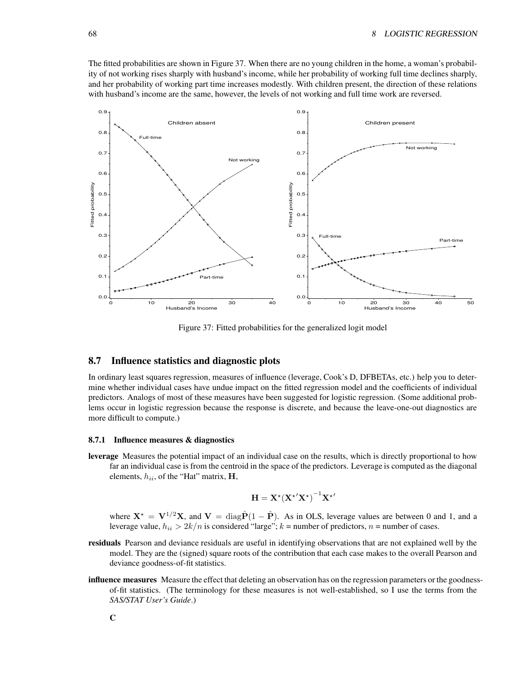The fitted probabilities are shown in Figure 37. When there are no young children in the home, a woman's probability of not working rises sharply with husband's income, while her probability of working full time declines sharply, and her probability of working part time increases modestly. With children present, the direction of these relations with husband's income are the same, however, the levels of not working and full time work are reversed.



Figure 37: Fitted probabilities for the generalized logit model

# **8.7 Influence statistics and diagnostic plots**

In ordinary least squares regression, measures of influence (leverage, Cook's D, DFBETAs, etc.) help you to determine whether individual cases have undue impact on the fitted regression model and the coefficients of individual predictors. Analogs of most of these measures have been suggested for logistic regression. (Some additional problems occur in logistic regression because the response is discrete, and because the leave-one-out diagnostics are more difficult to compute.)

#### **8.7.1 Influence measures & diagnostics**

**leverage** Measures the potential impact of an individual case on the results, which is directly proportional to how far an individual case is from the centroid in the space of the predictors. Leverage is computed as the diagonal elements,  $h_{ii}$ , of the "Hat" matrix,  $H$ ,

$$
\mathbf{H} = \mathbf{X}^{\star} (\mathbf{X}^{\star \prime} \mathbf{X}^{\star})^{-1} \mathbf{X}^{\star \prime}
$$

where  $X^* = V^{1/2}X$ , and  $V = diag\hat{P}(1 - \hat{P})$ . As in OLS, leverage values are between 0 and 1, and a leverage value,  $h_{ii} > 2k/n$  is considered "large";  $k =$  number of predictors,  $n =$  number of cases.

- **residuals** Pearson and deviance residuals are useful in identifying observations that are not explained well by the model. They are the (signed) square roots of the contribution that each case makes to the overall Pearson and deviance goodness-of-fit statistics.
- **influence measures** Measure the effect that deleting an observation has on the regression parameters or the goodnessof-fit statistics. (The terminology for these measures is not well-established, so I use the terms from the *SAS/STAT User's Guide*.)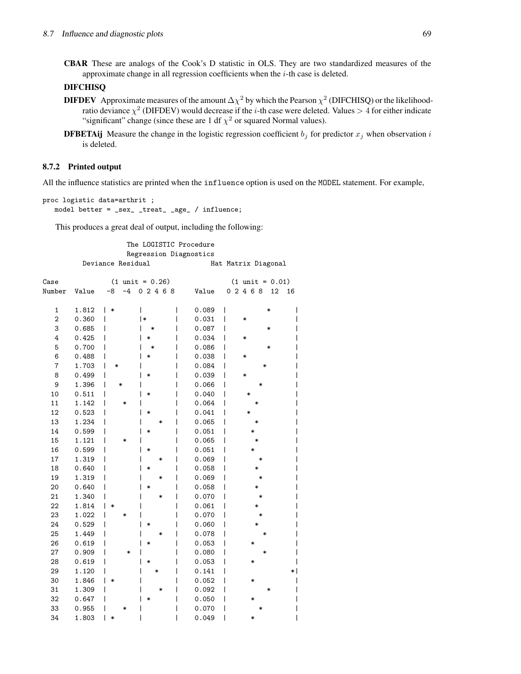**CBAR** These are analogs of the Cook's D statistic in OLS. They are two standardized measures of the approximate change in all regression coefficients when the  $i$ -th case is deleted.

# **DIFCHISQ**

- **DIFDEV** Approximate measures of the amount  $\Delta \chi^2$  by which the Pearson  $\chi^2$  (DIFCHISQ) or the likelihoodratio deviance  $\chi^2$  (DIFDEV) would decrease if the *i*-th case were deleted. Values  $>4$  for either indicate "significant" change (since these are 1 df  $\chi^2$  or squared Normal values).
- **DFBETAij** Measure the change in the logistic regression coefficient  $b_j$  for predictor  $x_j$  when observation i is deleted.

#### **8.7.2 Printed output**

All the influence statistics are printed when the influence option is used on the MODEL statement. For example,

```
proc logistic data=arthrit ;
   model better = _sex_ _treat_ _age_ / influence;
```
This produces a great deal of output, including the following:

The LOGISTIC Procedure Regression Diagnostics Deviance Residual Matrix Diagonal

| Case             |       | $(1 \text{ unit} = 0.26)$ |                 | $(1 \text{ unit} = 0.01)$ |
|------------------|-------|---------------------------|-----------------|---------------------------|
| Number           | Value | $-4$<br>$-8$              | 02468<br>Value  | 02468<br>12<br>16         |
| 1                | 1.812 | *                         | 0.089           | ∗                         |
| $\boldsymbol{2}$ | 0.360 | $\ast$                    | 0.031           | *                         |
| 3                | 0.685 |                           | 0.087           | *                         |
| 4                | 0.425 | $\ast$                    | 0.034           | $\ast$                    |
| 5                | 0.700 | *                         | 0.086           | *                         |
| 6                | 0.488 | *                         | 0.038           | $\ast$                    |
| 7                | 1.703 | *                         | 0.084           | ∗                         |
| 8                | 0.499 | $\ast$                    | 0.039           | $\ast$                    |
| 9                | 1.396 | *                         | 0.066           |                           |
| 10               | 0.511 | *                         | 0.040           | $\ast$                    |
| 11               | 1.142 | *                         | 0.064           |                           |
| 12               | 0.523 | *                         | 0.041           | *                         |
| 13               | 1.234 |                           | 0.065<br>*      | $\ast$                    |
| 14               | 0.599 | $\ast$                    | 0.051           |                           |
| 15               | 1.121 | *                         | 0.065           | $\ast$                    |
| 16               | 0.599 | *                         | 0.051           | $\ast$                    |
| 17               | 1.319 |                           | 0.069<br>*      | *                         |
| 18               | 0.640 | $\ast$                    | 0.058           | $\ast$                    |
| 19               | 1.319 |                           | 0.069<br>$\ast$ | *                         |
| 20               | 0.640 | *                         | 0.058           |                           |
| 21               | 1.340 |                           | 0.070<br>*      | *                         |
| 22               | 1.814 | *                         | 0.061           |                           |
| 23               | 1.022 | *                         | 0.070           | *                         |
| 24               | 0.529 | *                         | 0.060           | *                         |
| 25               | 1.449 |                           | 0.078<br>*      | $\ast$                    |
| 26               | 0.619 | $\ast$                    | 0.053           | *                         |
| 27               | 0.909 | *                         | 0.080           | *                         |
| 28               | 0.619 | *                         | 0.053           | *                         |
| 29               | 1.120 |                           | 0.141<br>*      |                           |
| 30               | 1.846 | *                         | 0.052           | *                         |
| 31               | 1.309 |                           | 0.092<br>*      | ∗                         |
| 32               | 0.647 | $\ast$                    | 0.050           | *                         |
| 33               | 0.955 | $\ast$                    | 0.070           |                           |
| 34               | 1.803 | *                         | 0.049           | *                         |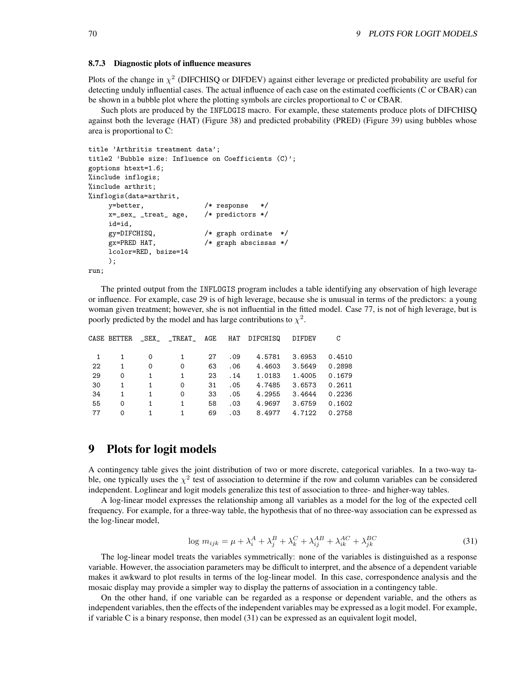#### **8.7.3 Diagnostic plots of influence measures**

Plots of the change in  $\chi^2$  (DIFCHISQ or DIFDEV) against either leverage or predicted probability are useful for detecting unduly influential cases. The actual influence of each case on the estimated coefficients (C or CBAR) can be shown in a bubble plot where the plotting symbols are circles proportional to C or CBAR.

Such plots are produced by the INFLOGIS macro. For example, these statements produce plots of DIFCHISQ against both the leverage (HAT) (Figure 38) and predicted probability (PRED) (Figure 39) using bubbles whose area is proportional to C:

```
title 'Arthritis treatment data';
title2 'Bubble size: Influence on Coefficients (C)';
goptions htext=1.6;
%include inflogis;
%include arthrit;
%inflogis(data=arthrit,
    y=better, /* response */
    x=_sex_ _treat_ age, /* predictors */
    id=id,
    gy=DIFCHISQ, /* graph ordinate */
    gx=PRED HAT, /* graph abscissas */
    lcolor=RED, bsize=14
    );
run;
```
The printed output from the INFLOGIS program includes a table identifying any observation of high leverage or influence. For example, case 29 is of high leverage, because she is unusual in terms of the predictors: a young woman given treatment; however, she is not influential in the fitted model. Case 77, is not of high leverage, but is poorly predicted by the model and has large contributions to  $\chi^2$ .

|    | CASE BETTER |   |   |    |     | _SEX_ _TREAT_ AGE HAT DIFCHISQ | <b>DIFDEV</b> | C      |
|----|-------------|---|---|----|-----|--------------------------------|---------------|--------|
|    |             | 0 |   | 27 | .09 | 4.5781                         | 3.6953        | 0.4510 |
| 22 | 1           | 0 | 0 | 63 | .06 | 4.4603                         | 3.5649        | 0.2898 |
| 29 | $\Omega$    | 1 | 1 | 23 | .14 | 1.0183                         | 1.4005        | 0.1679 |
| 30 | 1           | 1 | 0 | 31 | .05 | 4.7485                         | 3.6573        | 0.2611 |
| 34 | 1           | 1 | 0 | 33 | .05 | 4.2955                         | 3.4644        | 0.2236 |
| 55 | $\Omega$    | 1 | 1 | 58 | .03 | 4.9697                         | 3.6759        | 0.1602 |
| 77 | $\Omega$    |   | 1 | 69 | .03 | 8.4977                         | 4.7122        | 0.2758 |

# **9 Plots for logit models**

A contingency table gives the joint distribution of two or more discrete, categorical variables. In a two-way table, one typically uses the  $\chi^2$  test of association to determine if the row and column variables can be considered independent. Loglinear and logit models generalize this test of association to three- and higher-way tables.

A log-linear model expresses the relationship among all variables as a model for the log of the expected cell frequency. For example, for a three-way table, the hypothesis that of no three-way association can be expressed as the log-linear model,

$$
\log m_{ijk} = \mu + \lambda_i^A + \lambda_j^B + \lambda_k^C + \lambda_{ij}^{AB} + \lambda_{ik}^{AC} + \lambda_{jk}^{BC}
$$
\n(31)

The log-linear model treats the variables symmetrically: none of the variables is distinguished as a response variable. However, the association parameters may be difficult to interpret, and the absence of a dependent variable makes it awkward to plot results in terms of the log-linear model. In this case, correspondence analysis and the mosaic display may provide a simpler way to display the patterns of association in a contingency table.

On the other hand, if one variable can be regarded as a response or dependent variable, and the others as independent variables, then the effects of the independent variables may be expressed as a logit model. For example, if variable C is a binary response, then model  $(31)$  can be expressed as an equivalent logit model,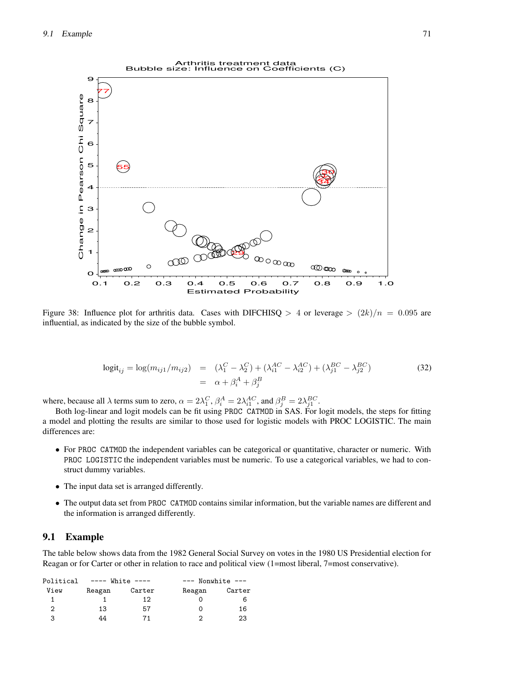

Figure 38: Influence plot for arthritis data. Cases with DIFCHISQ  $> 4$  or leverage  $> (2k)/n = 0.095$  are influential, as indicated by the size of the bubble symbol.

$$
logit_{ij} = log(m_{ij1}/m_{ij2}) = (\lambda_1^C - \lambda_2^C) + (\lambda_{i1}^{AC} - \lambda_{i2}^{AC}) + (\lambda_{j1}^{BC} - \lambda_{j2}^{BC})
$$
  
=  $\alpha + \beta_i^A + \beta_j^B$  (32)

where, because all  $\lambda$  terms sum to zero,  $\alpha = 2\lambda_1^C$ ,  $\beta_i^A = 2\lambda_{i1}^{AC}$ , and  $\beta_j^B = 2\lambda_{j1}^{BC}$ .

Both log-linear and logit models can be fit using PROC CATMOD in SAS. For logit models, the steps for fitting a model and plotting the results are similar to those used for logistic models with PROC LOGISTIC. The main differences are:

- For PROC CATMOD the independent variables can be categorical or quantitative, character or numeric. With PROC LOGISTIC the independent variables must be numeric. To use a categorical variables, we had to construct dummy variables.
- The input data set is arranged differently.
- The output data set from PROC CATMOD contains similar information, but the variable names are different and the information is arranged differently.

## **9.1 Example**

The table below shows data from the 1982 General Social Survey on votes in the 1980 US Presidential election for Reagan or for Carter or other in relation to race and political view (1=most liberal, 7=most conservative).

| Political | $---$ White $---$ |        | $---$ Nonwhite $---$ |        |  |
|-----------|-------------------|--------|----------------------|--------|--|
| View      | Reagan            | Carter | Reagan               | Carter |  |
|           |                   | 12     |                      |        |  |
| 2         | 13                | 57     |                      | 16     |  |
| 3         | 44                |        | າ                    | 23     |  |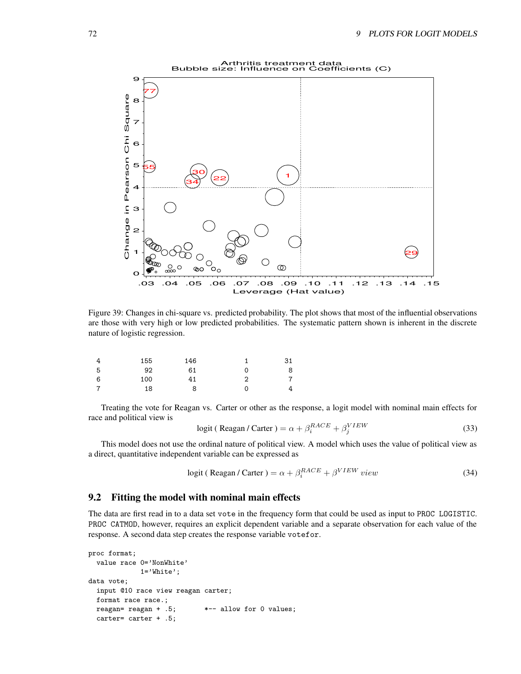

Figure 39: Changes in chi-square vs. predicted probability. The plot shows that most of the influential observations are those with very high or low predicted probabilities. The systematic pattern shown is inherent in the discrete nature of logistic regression.

|   | 155 | 146 |   | 31             |
|---|-----|-----|---|----------------|
| 5 | 92  | 61  |   | 8              |
| 6 | 100 |     | າ | $\overline{7}$ |
| 7 | 18  |     |   | 4              |

Treating the vote for Reagan vs. Carter or other as the response, a logit model with nominal main effects for race and political view is

$$
logit ( Reagan / Carter) = \alpha + \beta_i^{RACE} + \beta_j^{VIEW}
$$
\n(33)

This model does not use the ordinal nature of political view. A model which uses the value of political view as a direct, quantitative independent variable can be expressed as

$$
logit ( Reagan / Carter) = \alpha + \beta_i^{RACE} + \beta^{VIEW} view \tag{34}
$$

# **9.2 Fitting the model with nominal main effects**

The data are first read in to a data set vote in the frequency form that could be used as input to PROC LOGISTIC. PROC CATMOD, however, requires an explicit dependent variable and a separate observation for each value of the response. A second data step creates the response variable votefor.

```
proc format;
  value race 0='NonWhite'
             1='White';
data vote;
  input @10 race view reagan carter;
  format race race.;
  reagan= reagan + .5; *-- allow for 0 values;
  carter= carter + .5;
```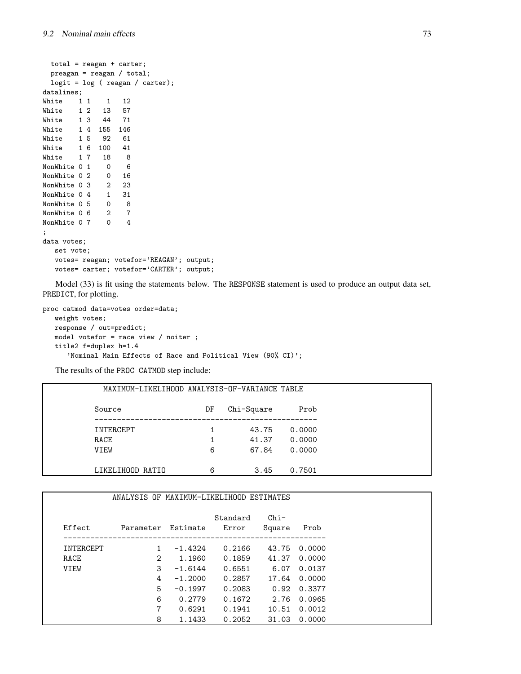```
total = reagan + carter;
 preagan = reagan / total;
 logit = log ( reagan / carter);
datalines;
White 1 1 1 12<br>White 1 2 13 57
White 1 2 13 57
White 1 3 44 71
White 1 4 155 146
White 1 5 92 61
White 1 6 100 41
White 1 7 18 8
NonWhite 0 1 0 6
NonWhite 0 2 0 16
NonWhite 0 3 2 23
NonWhite 0 4 1 31
NonWhite 0 5 0 8
NonWhite 0 6 2 7
NonWhite 0 7 0 4
;
data votes;
  set vote;
  votes= reagan; votefor='REAGAN'; output;
  votes= carter; votefor='CARTER'; output;
```
Model (33) is fit using the statements below. The RESPONSE statement is used to produce an output data set, PREDICT, for plotting.

proc catmod data=votes order=data; weight votes; response / out=predict; model votefor = race view / noiter ; title2 f=duplex h=1.4 'Nominal Main Effects of Race and Political View (90% CI)';

The results of the PROC CATMOD step include:

| MAXIMUM-LIKELIHOOD ANALYSIS-OF-VARIANCE TABLE |    |            |        |
|-----------------------------------------------|----|------------|--------|
| Source                                        | DF | Chi-Square | Prob   |
| INTERCEPT                                     |    | 43.75      | 0.0000 |
| RACE                                          |    | 41.37      | 0.0000 |
| VIEW                                          | 6  | 67.84      | 0.0000 |
| LIKELIHOOD RATIO                              | 6  | 3.45       | 0.7501 |

|           | ANALYSIS OF MAXIMUM-LIKELIHOOD ESTIMATES |           |                   |                  |        |
|-----------|------------------------------------------|-----------|-------------------|------------------|--------|
| Effect    | Parameter                                | Estimate  | Standard<br>Error | $Chi-$<br>Square | Prob   |
| INTERCEPT | $\mathbf{1}$                             | $-1.4324$ | 0.2166            | 43.75            | 0.0000 |
| RACE      | 2                                        | 1.1960    | 0.1859            | 41.37            | 0.0000 |
| VIEW      | 3                                        | $-1.6144$ | 0.6551            | 6.07             | 0.0137 |
|           | 4                                        | $-1.2000$ | 0.2857            | 17.64            | 0.0000 |
|           | 5                                        | $-0.1997$ | 0.2083            | 0.92             | 0.3377 |
|           | 6                                        | 0.2779    | 0.1672            | 2.76             | 0.0965 |
|           | $\overline{7}$                           | 0.6291    | 0.1941            | 10.51            | 0.0012 |
|           | 8                                        | 1.1433    | 0.2052            | 31.03            | 0.0000 |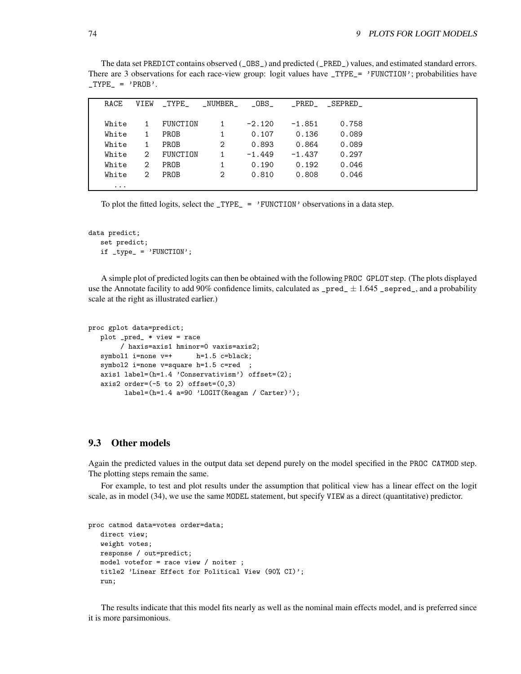The data set PREDICT contains observed (\_OBS\_) and predicted (\_PRED\_) values, and estimated standard errors. There are 3 observations for each race-view group: logit values have \_TYPE\_= 'FUNCTION'; probabilities have  $_TYPE_ = 'PROB'.$ 

| RACE     | VIEW           | $\_$ TYPE $\_$ | _NUMBER_ | $\_OBS\_$ |          | PRED____SEPRED_ |  |
|----------|----------------|----------------|----------|-----------|----------|-----------------|--|
|          |                |                |          |           |          |                 |  |
| White    | 1              | FUNCTION       |          | $-2.120$  | $-1.851$ | 0.758           |  |
| White    | $\mathbf{1}$   | PROB           |          | 0.107     | 0.136    | 0.089           |  |
| White    | $\mathbf{1}$   | PROB           | 2        | 0.893     | 0.864    | 0.089           |  |
| White    | 2              | FUNCTION       |          | $-1.449$  | $-1.437$ | 0.297           |  |
| White    | $\overline{2}$ | PROB           |          | 0.190     | 0.192    | 0.046           |  |
| White    | 2              | PROB           | 2        | 0.810     | 0.808    | 0.046           |  |
| $\cdots$ |                |                |          |           |          |                 |  |

To plot the fitted logits, select the  $_TYPE_ = \cdot$  FUNCTION' observations in a data step.

```
data predict;
                           set predict;
                         \begin{minipage}{.4\linewidth} \emph{if $\verb[trype_ = 'FUNCTION':$} \emph{if $\verb[uncr: be] $} \emph{if $\verb[uncr: be] $} \emph{if $\verb[uncr: be] $} \emph{if $\verb[uncr: be] $} \emph{if $\verb[uncr: be] $} \emph{if $\verb[uncr: be] $} \emph{if $\verb[uncr: be] $} \emph{if $\verb[uncr: be] $} \emph{if $\verb[uncr: be] $} \emph{if $\verb[uncr: be] $} \emph{if $\verb[uncr: be] $} \emph{if $\verb[uncr: be] $} \emph{if $\verb[un
```
A simple plot of predicted logits can then be obtained with the following PROC GPLOT step. (The plots displayed use the Annotate facility to add 90% confidence limits, calculated as  $\text{\text{-}pred}_{\text{-}} \pm 1.645$  \_sepred\_, and a probability scale at the right as illustrated earlier.)

```
proc gplot data=predict;
   plot _pred_ * view = race
        / haxis=axis1 hminor=0 vaxis=axis2;
   symbol1 i=none v=+ h=1.5 c=black;
   symbol2 i=none v=square h=1.5 c=red ;
   axis1 label=(h=1.4 'Conservativism') offset=(2);
   axis2 order=(-5 \text{ to } 2) offset=(0,3)label=(h=1.4 a=90 'LOGIT(Reagan / Carter)');
```
#### **9.3 Other models**

Again the predicted values in the output data set depend purely on the model specified in the PROC CATMOD step. The plotting steps remain the same.

For example, to test and plot results under the assumption that political view has a linear effect on the logit scale, as in model (34), we use the same MODEL statement, but specify VIEW as a direct (quantitative) predictor.

```
proc catmod data=votes order=data;
   direct view;
   weight votes;
   response / out=predict;
   model votefor = race view / noiter ;
   title2 'Linear Effect for Political View (90% CI)';
   run;
```
The results indicate that this model fits nearly as well as the nominal main effects model, and is preferred since it is more parsimonious.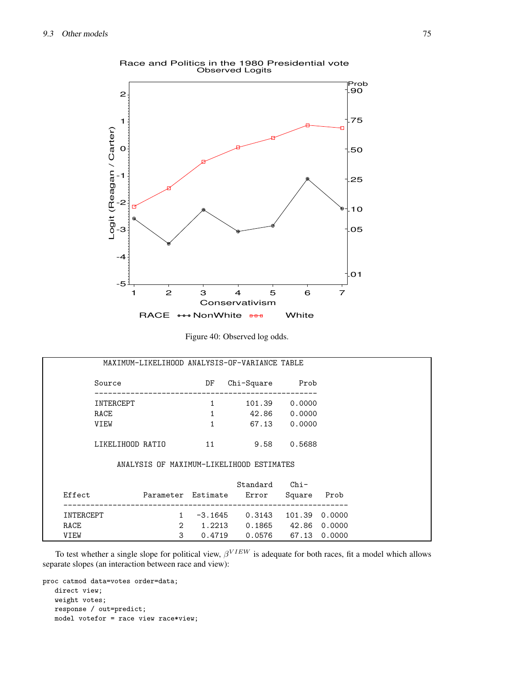

Race and Politics in the 1980 Presidential vote Observed Logits

| Figure 40: Observed log odds. |  |
|-------------------------------|--|
|                               |  |

|                  |                |              | MAXIMUM-LIKELIHOOD ANALYSIS-OF-VARIANCE TABLE |               |        |
|------------------|----------------|--------------|-----------------------------------------------|---------------|--------|
| Source           |                | DF           | Chi-Square Prob                               |               |        |
| INTERCEPT        |                | $\mathbf{1}$ |                                               | 101.39 0.0000 |        |
| RACE             |                | $\mathbf{1}$ |                                               | 42.86 0.0000  |        |
| VIEW             |                | $\mathbf{1}$ |                                               | 67.13 0.0000  |        |
| LIKELIHOOD RATIO |                | 11           | 9.58                                          | 0.5688        |        |
|                  |                |              | ANALYSIS OF MAXIMUM-LIKELIHOOD ESTIMATES      |               |        |
|                  |                |              | Standard                                      | $Chi-$        |        |
| Effect           |                |              | Parameter Estimate Error                      | Square        | Prob   |
| INTERCEPT        | 1              |              | $-3.1645$ 0.3143 101.39                       |               | 0.0000 |
| RACE             | $\overline{2}$ |              | 1.2213  0.1865  42.86  0.0000                 |               |        |
| VIEW             | 3              |              | 0.4719 0.0576 67.13 0.0000                    |               |        |

To test whether a single slope for political view,  $\beta^{VIEW}$  is adequate for both races, fit a model which allows separate slopes (an interaction between race and view):

proc catmod data=votes order=data; direct view; weight votes; response / out=predict; model votefor = race view race\*view;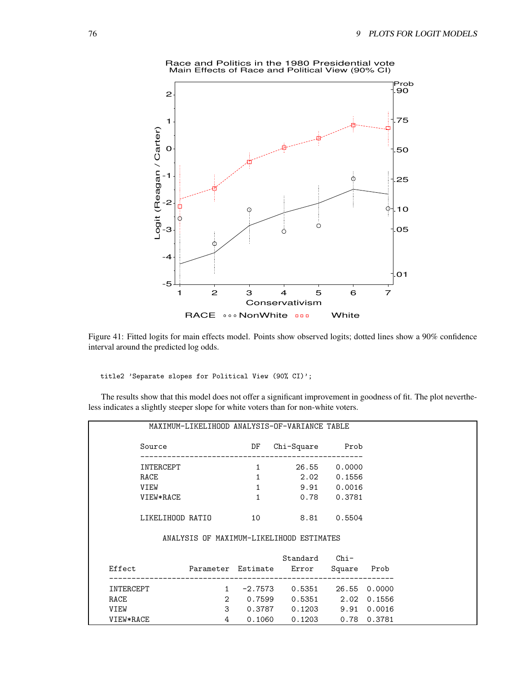

Race and Politics in the 1980 Presidential vote Main Effects of Race and Political View (90% CI)

Figure 41: Fitted logits for main effects model. Points show observed logits; dotted lines show a 90% confidence interval around the predicted log odds.

title2 'Separate slopes for Political View (90% CI)';

The results show that this model does not offer a significant improvement in goodness of fit. The plot nevertheless indicates a slightly steeper slope for white voters than for non-white voters.

|           |                     |                       | MAXIMUM-LIKELIHOOD ANALYSIS-OF-VARIANCE TABLE                |              |             |
|-----------|---------------------|-----------------------|--------------------------------------------------------------|--------------|-------------|
| Source    |                     | DF<br>Chi-Square Prob |                                                              |              |             |
| INTERCEPT |                     | 1                     |                                                              | 26.55 0.0000 |             |
| RACE      |                     | $\mathbf{1}$          | 2.02 0.1556                                                  |              |             |
| VIEW      |                     | $\mathbf{1}$          | $9.91$ 0.0016                                                |              |             |
| VIEW*RACE |                     | $\mathbf{1}$          | $0.78$ 0.3781                                                |              |             |
|           | LIKELIHOOD RATIO 10 |                       | 8.81 0.5504                                                  |              |             |
|           |                     |                       | ANALYSIS OF MAXIMUM-LIKELIHOOD ESTIMATES                     |              |             |
|           |                     |                       | Standard Chi-                                                |              |             |
| Effect    |                     |                       | Parameter Estimate Error Square Prob<br>-------------------- |              |             |
| INTERCEPT | $1 \quad$           |                       | $-2.7573$ 0.5351 26.55 0.0000                                |              |             |
| RACE      |                     |                       | 2 0.7599 0.5351 2.02 0.1556                                  |              |             |
| VIEW      |                     |                       | 3  0.3787  0.1203  9.91  0.0016                              |              |             |
| VIEW*RACE | 4                   |                       | $0.1060$ $0.1203$                                            |              | 0.78 0.3781 |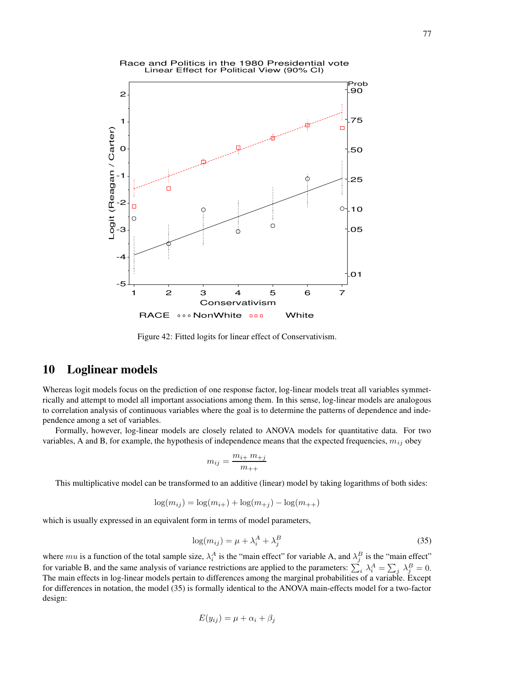

Figure 42: Fitted logits for linear effect of Conservativism.

# **10 Loglinear models**

Whereas logit models focus on the prediction of one response factor, log-linear models treat all variables symmetrically and attempt to model all important associations among them. In this sense, log-linear models are analogous to correlation analysis of continuous variables where the goal is to determine the patterns of dependence and independence among a set of variables.

Formally, however, log-linear models are closely related to ANOVA models for quantitative data. For two variables, A and B, for example, the hypothesis of independence means that the expected frequencies,  $m_{ij}$  obey

$$
m_{ij}=\frac{m_{i+}\;m_{+j}}{m_{++}}
$$

This multiplicative model can be transformed to an additive (linear) model by taking logarithms of both sides:

$$
\log(m_{ij}) = \log(m_{i+}) + \log(m_{+j}) - \log(m_{++})
$$

which is usually expressed in an equivalent form in terms of model parameters,

$$
\log(m_{ij}) = \mu + \lambda_i^A + \lambda_j^B \tag{35}
$$

where mu is a function of the total sample size,  $\lambda_i^A$  is the "main effect" for variable A, and  $\lambda_j^B$  is the "main effect" for variable B, and the same analysis of variance restrictions are applied to the parameters:  $\sum_i \lambda_i^A = \sum_j \lambda_j^B = 0$ . The main effects in log-linear models pertain to differences among the marginal probabilities of a variable. Except for differences in notation, the model (35) is formally identical to the ANOVA main-effects model for a two-factor design:

$$
E(y_{ij}) = \mu + \alpha_i + \beta_j
$$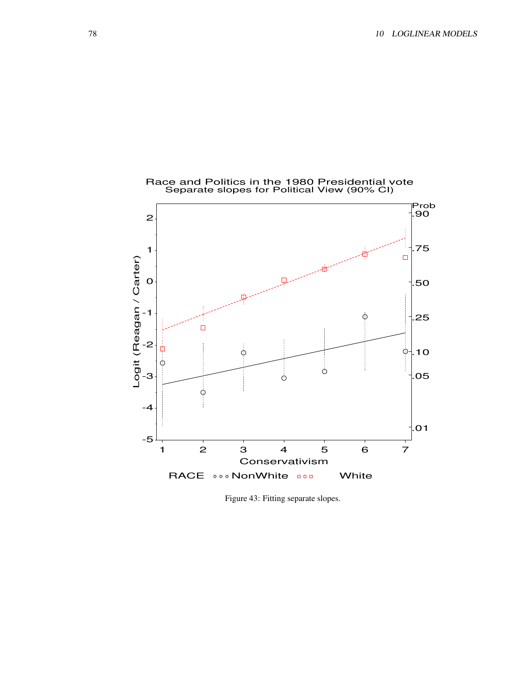

Figure 43: Fitting separate slopes.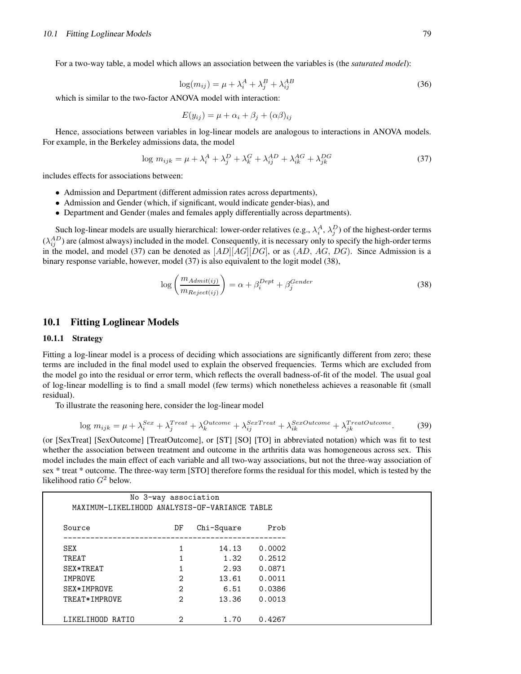For a two-way table, a model which allows an association between the variables is (the *saturated model*):

$$
\log(m_{ij}) = \mu + \lambda_i^A + \lambda_j^B + \lambda_{ij}^{AB}
$$
\n(36)

which is similar to the two-factor ANOVA model with interaction:

$$
E(y_{ij}) = \mu + \alpha_i + \beta_j + (\alpha \beta)_{ij}
$$

Hence, associations between variables in log-linear models are analogous to interactions in ANOVA models. For example, in the Berkeley admissions data, the model

$$
\log m_{ijk} = \mu + \lambda_i^A + \lambda_j^D + \lambda_k^G + \lambda_{ij}^{AD} + \lambda_{ik}^{AG} + \lambda_{jk}^{DG}
$$
\n(37)

includes effects for associations between:

- Admission and Department (different admission rates across departments),
- Admission and Gender (which, if significant, would indicate gender-bias), and
- Department and Gender (males and females apply differentially across departments).

Such log-linear models are usually hierarchical: lower-order relatives (e.g.,  $\lambda_i^A$ ,  $\lambda_j^D$ ) of the highest-order terms  $(\lambda_{ij}^{AD})$  are (almost always) included in the model. Consequently, it is necessary only to specify the high-order terms in the model, and model (37) can be denoted as  $[AD][AG][DG]$ , or as  $(AD, AG, DG)$ . Since Admission is a binary response variable, however, model (37) is also equivalent to the logit model (38),

$$
\log\left(\frac{m_{Admit(ij)}}{m_{Reject(ij)}}\right) = \alpha + \beta_i^{Depth} + \beta_j^{Gender}
$$
\n(38)

# **10.1 Fitting Loglinear Models**

#### **10.1.1 Strategy**

Fitting a log-linear model is a process of deciding which associations are significantly different from zero; these terms are included in the final model used to explain the observed frequencies. Terms which are excluded from the model go into the residual or error term, which reflects the overall badness-of-fit of the model. The usual goal of log-linear modelling is to find a small model (few terms) which nonetheless achieves a reasonable fit (small residual).

To illustrate the reasoning here, consider the log-linear model

$$
\log m_{ijk} = \mu + \lambda_i^{Sex} + \lambda_j^{Treat} + \lambda_k^{Outer} + \lambda_{ij}^{SexTreat} + \lambda_{ik}^{SexOutcome} + \lambda_{jk}^{TreatOutcome}.
$$
 (39)

(or [SexTreat] [SexOutcome] [TreatOutcome], or [ST] [SO] [TO] in abbreviated notation) which was fit to test whether the association between treatment and outcome in the arthritis data was homogeneous across sex. This model includes the main effect of each variable and all two-way associations, but not the three-way association of sex \* treat \* outcome. The three-way term [STO] therefore forms the residual for this model, which is tested by the likelihood ratio  $G<sup>2</sup>$  below.

| Source        | DF             | Chi-Square | Prob   |
|---------------|----------------|------------|--------|
| SEX           |                | 14.13      | 0.0002 |
| TREAT         |                | 1.32       | 0.2512 |
| SEX*TREAT     | 1              | 2.93       | 0.0871 |
| IMPROVE       | 2              | 13.61      | 0.0011 |
| SEX*IMPROVE   | $\overline{2}$ | 6.51       | 0.0386 |
| TREAT*IMPROVE | 2              | 13.36      | 0.0013 |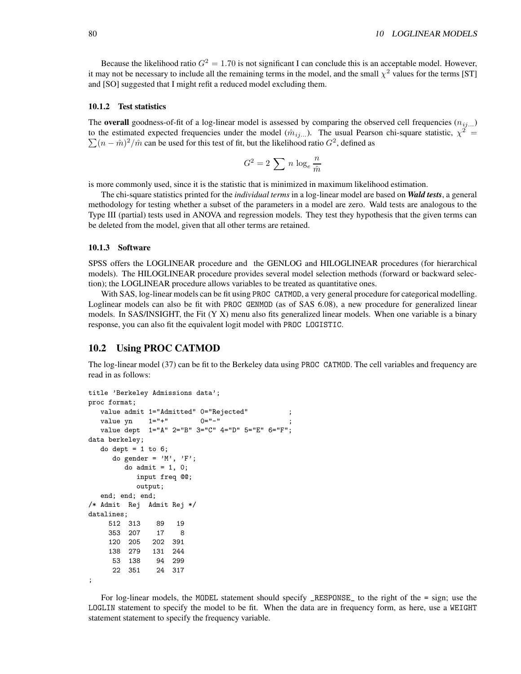Because the likelihood ratio  $G^2 = 1.70$  is not significant I can conclude this is an acceptable model. However, it may not be necessary to include all the remaining terms in the model, and the small  $\chi^2$  values for the terms [ST] and [SO] suggested that I might refit a reduced model excluding them.

#### **10.1.2 Test statistics**

The **overall** goodness-of-fit of a log-linear model is assessed by comparing the observed cell frequencies  $(n_{ij...})$ to the estimated expected frequencies under the model  $(\hat{m}_{ij}$ ...). The usual Pearson chi-square statistic,  $\chi^2$  =  $\sum (n - \hat{m})^2 / \hat{m}$  can be used for this test of fit, but the likelihood ratio  $G^2$ , defined as

$$
G^2 = 2 \sum n \log_e \frac{n}{\hat{m}}
$$

is more commonly used, since it is the statistic that is minimized in maximum likelihood estimation.

The chi-square statistics printed for the *individual terms* in a log-linear model are based on *Wald tests*, a general methodology for testing whether a subset of the parameters in a model are zero. Wald tests are analogous to the Type III (partial) tests used in ANOVA and regression models. They test they hypothesis that the given terms can be deleted from the model, given that all other terms are retained.

#### **10.1.3 Software**

SPSS offers the LOGLINEAR procedure and the GENLOG and HILOGLINEAR procedures (for hierarchical models). The HILOGLINEAR procedure provides several model selection methods (forward or backward selection); the LOGLINEAR procedure allows variables to be treated as quantitative ones.

With SAS, log-linear models can be fit using PROC CATMOD, a very general procedure for categorical modelling. Loglinear models can also be fit with PROC GENMOD (as of SAS 6.08), a new procedure for generalized linear models. In SAS/INSIGHT, the Fit (Y X) menu also fits generalized linear models. When one variable is a binary response, you can also fit the equivalent logit model with PROC LOGISTIC.

# **10.2 Using PROC CATMOD**

The log-linear model (37) can be fit to the Berkeley data using PROC CATMOD. The cell variables and frequency are read in as follows:

```
title 'Berkeley Admissions data';
proc format;
  value admit 1="Admitted" 0="Rejected" ;
  value yn 1 = 1 + 1 0 = 1 - 1value dept 1="A" 2="B" 3="C" 4="D" 5="E" 6="F";
data berkeley;
  do dept = 1 to 6;
     do gender = 'M', 'F';
        do admit = 1, 0;
           input freq @@;
           output;
  end; end; end;
/* Admit Rej Admit Rej */
datalines;
    512 313 89 19
    353 207 17 8
    120 205 202 391
    138 279 131 244
     53 138 94 299
     22 351 24 317
;
```
For log-linear models, the MODEL statement should specify \_RESPONSE\_ to the right of the = sign; use the LOGLIN statement to specify the model to be fit. When the data are in frequency form, as here, use a WEIGHT statement statement to specify the frequency variable.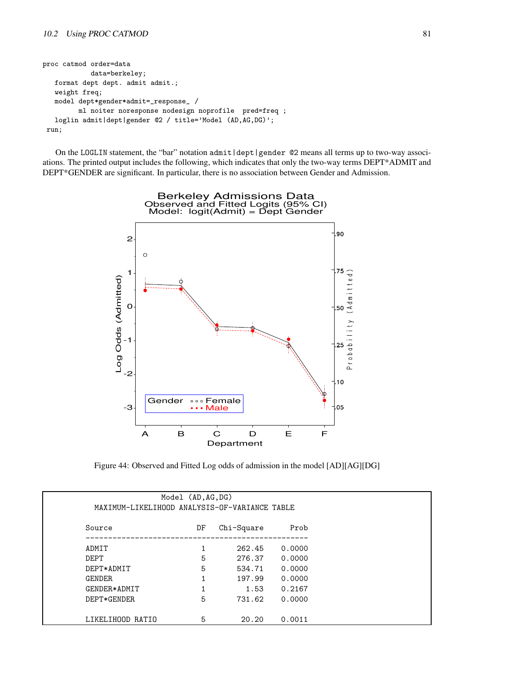```
proc catmod order=data
            data=berkeley;
   format dept dept. admit admit.;
   weight freq;
   model dept*gender*admit=_response_ /
         ml noiter noresponse nodesign noprofile pred=freq ;
   loglin admit|dept|gender @2 / title='Model (AD,AG,DG)';
run;
```
On the LOGLIN statement, the "bar" notation admit | dept | gender @2 means all terms up to two-way associ-ations. The printed output includes the following, which indicates that only the two-way terms DEPT\*ADMIT and DEPT\*GENDER are significant. In particular, there is no association between Gender and Admission.



Figure 44: Observed and Fitted Log odds of admission in the model [AD][AG][DG]

| MAXIMUM-LIKELIHOOD ANALYSIS-OF-VARIANCE TABLE | Model (AD, AG, DG) |            |        |
|-----------------------------------------------|--------------------|------------|--------|
| Source                                        | DF                 | Chi-Square | Prob   |
| ADMIT                                         | 1                  | 262.45     | 0.0000 |
| DEPT                                          | 5                  | 276.37     | 0.0000 |
| DEPT*ADMIT                                    | 5                  | 534.71     | 0.0000 |
| <b>GENDER</b>                                 | 1                  | 197.99     | 0.0000 |
| GENDER*ADMIT                                  | $\mathbf{1}$       | 1.53       | 0.2167 |
| DEPT*GENDER                                   | 5                  | 731.62     | 0.0000 |
| LIKELIHOOD RATIO                              | 5                  | 20.20      | 0.0011 |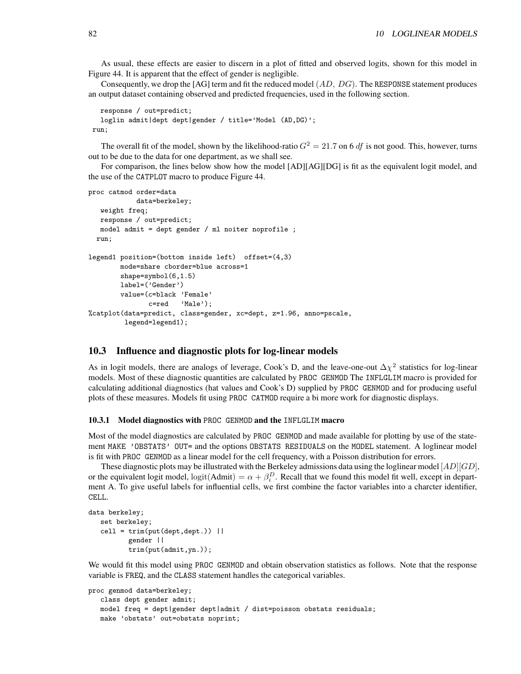As usual, these effects are easier to discern in a plot of fitted and observed logits, shown for this model in Figure 44. It is apparent that the effect of gender is negligible.

Consequently, we drop the [AG] term and fit the reduced model  $(AD, DG)$ . The RESPONSE statement produces an output dataset containing observed and predicted frequencies, used in the following section.

```
response / out=predict;
  loglin admit|dept dept|gender / title='Model (AD,DG)';
run;
```
The overall fit of the model, shown by the likelihood-ratio  $G<sup>2</sup> = 21.7$  on 6 df is not good. This, however, turns out to be due to the data for one department, as we shall see.

For comparison, the lines below show how the model [AD][AG][DG] is fit as the equivalent logit model, and the use of the CATPLOT macro to produce Figure 44.

```
proc catmod order=data
            data=berkeley;
   weight freq;
   response / out=predict;
   model admit = dept gender / ml noiter noprofile ;
 run;
legend1 position=(bottom inside left) offset=(4,3)
        mode=share cborder=blue across=1
        shape=symbol(6,1.5)
        label=('Gender')
        value=(c=black 'Female'
               c=red 'Male');
%catplot(data=predict, class=gender, xc=dept, z=1.96, anno=pscale,
         legend=legend1);
```
#### **10.3 Influence and diagnostic plots for log-linear models**

As in logit models, there are analogs of leverage, Cook's D, and the leave-one-out  $\Delta \chi^2$  statistics for log-linear models. Most of these diagnostic quantities are calculated by PROC GENMOD The INFLGLIM macro is provided for calculating additional diagnostics (hat values and Cook's D) supplied by PROC GENMOD and for producing useful plots of these measures. Models fit using PROC CATMOD require a bi more work for diagnostic displays.

#### **10.3.1 Model diagnostics with** PROC GENMOD **and the** INFLGLIM **macro**

Most of the model diagnostics are calculated by PROC GENMOD and made available for plotting by use of the statement MAKE 'OBSTATS' OUT= and the options OBSTATS RESIDUALS on the MODEL statement. A loglinear model is fit with PROC GENMOD as a linear model for the cell frequency, with a Poisson distribution for errors.

These diagnostic plots may be illustrated with the Berkeley admissions data using the loglinear model  $[AD][GD]$ , or the equivalent logit model,  $\text{logit}(\text{Admit}) = \alpha + \beta_i^D$ . Recall that we found this model fit well, except in department A. To give useful labels for influential cells, we first combine the factor variables into a charcter identifier, CELL.

```
data berkeley;
  set berkeley;
  cell = trim(put(dept,dept.)) |
          gender ||
          trim(put(admit,yn.));
```
We would fit this model using PROC GENMOD and obtain observation statistics as follows. Note that the response variable is FREQ, and the CLASS statement handles the categorical variables.

```
proc genmod data=berkeley;
   class dept gender admit;
  model freq = dept|gender dept|admit / dist=poisson obstats residuals;
   make 'obstats' out=obstats noprint;
```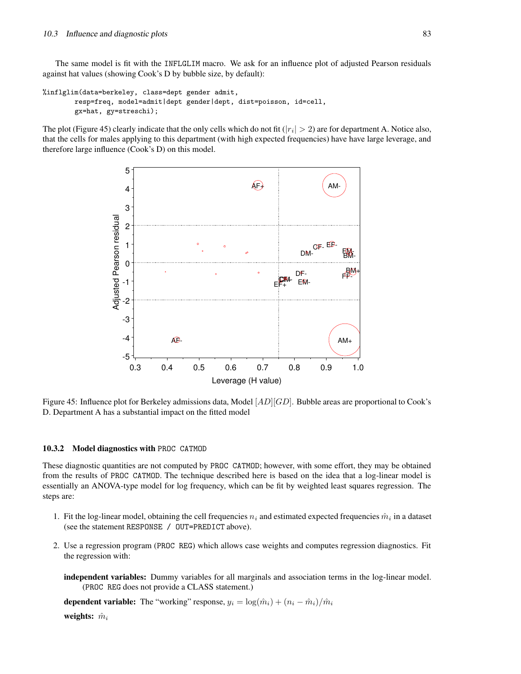The same model is fit with the INFLGLIM macro. We ask for an influence plot of adjusted Pearson residuals against hat values (showing Cook's D by bubble size, by default):

```
%inflglim(data=berkeley, class=dept gender admit,
        resp=freq, model=admit|dept gender|dept, dist=poisson, id=cell,
        gx=hat, gy=streschi);
```
The plot (Figure 45) clearly indicate that the only cells which do not fit ( $|r_i| > 2$ ) are for department A. Notice also, that the cells for males applying to this department (with high expected frequencies) have have large leverage, and therefore large influence (Cook's D) on this model.



Figure 45: Influence plot for Berkeley admissions data, Model [AD][GD]. Bubble areas are proportional to Cook's D. Department A has a substantial impact on the fitted model

#### **10.3.2 Model diagnostics with** PROC CATMOD

These diagnostic quantities are not computed by PROC CATMOD; however, with some effort, they may be obtained from the results of PROC CATMOD. The technique described here is based on the idea that a log-linear model is essentially an ANOVA-type model for log frequency, which can be fit by weighted least squares regression. The steps are:

- 1. Fit the log-linear model, obtaining the cell frequencies  $n_i$  and estimated expected frequencies  $\hat{m}_i$  in a dataset (see the statement RESPONSE / OUT=PREDICT above).
- 2. Use a regression program (PROC REG) which allows case weights and computes regression diagnostics. Fit the regression with:
	- **independent variables:** Dummy variables for all marginals and association terms in the log-linear model. (PROC REG does not provide a CLASS statement.)

**dependent variable:** The "working" response,  $y_i = \log(\hat{m}_i) + (n_i - \hat{m}_i)/\hat{m}_i$ 

**weights:**  $\hat{m}_i$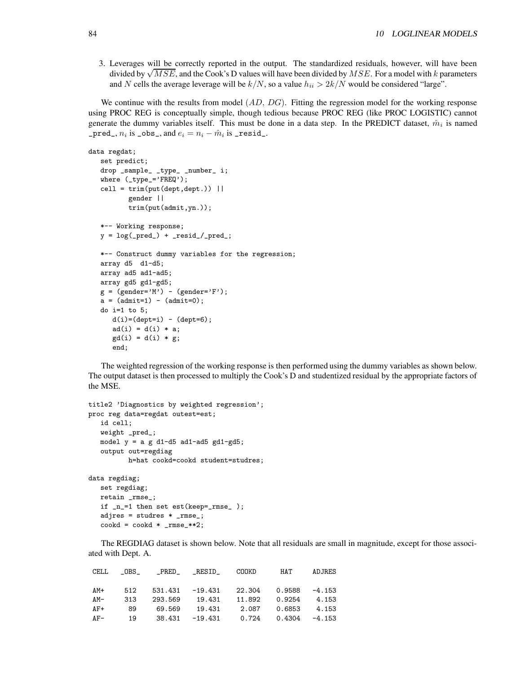3. Leverages will be correctly reported in the output. The standardized residuals, however, will have been divided by  $\sqrt{MSE}$ , and the Cook's D values will have been divided by  $MSE$ . For a model with k parameters and N cells the average leverage will be  $k/N$ , so a value  $h_{ii} > 2k/N$  would be considered "large".

We continue with the results from model  $(AD, DG)$ . Fitting the regression model for the working response using PROC REG is conceptually simple, though tedious because PROC REG (like PROC LOGISTIC) cannot generate the dummy variables itself. This must be done in a data step. In the PREDICT dataset,  $\hat{m}_i$  is named  ${\tt \_pred\_}, n_i$  is  ${\tt \_obs\_},$  and  $e_i = n_i - \hat{m}_i$  is  ${\tt \_resid\_}.$ 

```
data regdat;
   set predict;
   drop _sample_ _type_ _number_ i;
   where (_type_='FREQ');
   cell = trim(put(dept,dept.)) ||
           gender ||
           trim(put(admit,yn.));
   *-- Working response;
   y = log(\underline{pred_}) + \underline{resid_{\text{-}}/pred_{\text{-}}};*-- Construct dummy variables for the regression;
   array d5 d1-d5;
   array ad5 ad1-ad5;
   array gd5 gd1-gd5;
   g = (gender='M') - (gender='F');a = (admit=1) - (admit=0);do i=1 to 5;
      d(i)=(dept=i) - (dept=6);ad(i) = d(i) * a;gd(i) = d(i) * g;end;
```
The weighted regression of the working response is then performed using the dummy variables as shown below. The output dataset is then processed to multiply the Cook's D and studentized residual by the appropriate factors of the MSE.

```
title2 'Diagnostics by weighted regression';
proc reg data=regdat outest=est;
   id cell;
   weight _pred_;
   model y = a g d1-d5 ad1-ad5 gd1-gd5;output out=regdiag
          h=hat cookd=cookd student=studres;
data regdiag;
   set regdiag;
   retain _rmse_;
   if _n_=1 then set est(keep=_rmse_ );
   adjres = studres * _rmse_;
   \text{cookd} = \text{cookd} * \text{rmse-*2};
```
The REGDIAG dataset is shown below. Note that all residuals are small in magnitude, except for those associated with Dept. A.

|       |     |  | CELL _OBS_ _PRED_ _RESID_ COOKD HAT    | ADJRES |
|-------|-----|--|----------------------------------------|--------|
|       |     |  |                                        |        |
| AM+   | 512 |  | $531.431 -19.431$ 22.304 0.9588 -4.153 |        |
| AM-   | 313 |  | 293.569 19.431 11.892 0.9254 4.153     |        |
| $AF+$ | 89  |  | 69.569 19.431 2.087 0.6853 4.153       |        |
| $AF-$ | 19  |  | $38.431 -19.431$ 0.724 0.4304 -4.153   |        |
|       |     |  |                                        |        |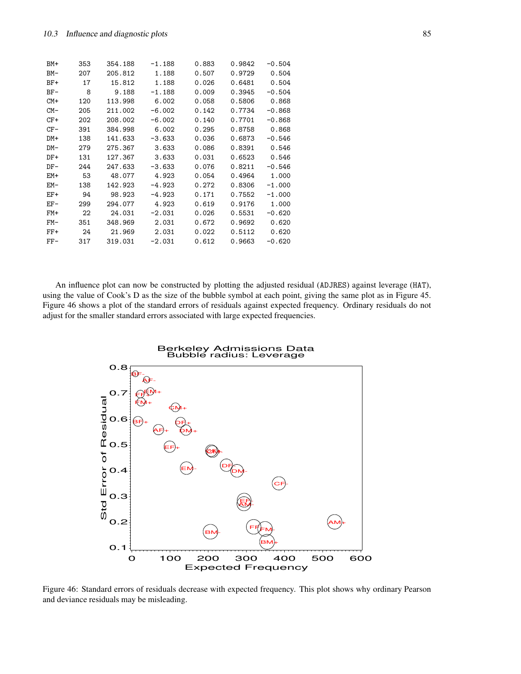| BM+    | 353 | 354.188 | $-1.188$ | 0.883 | 0.9842 | $-0.504$ |
|--------|-----|---------|----------|-------|--------|----------|
| $BM-$  | 207 | 205.812 | 1.188    | 0.507 | 0.9729 | 0.504    |
| $BF+$  | 17  | 15.812  | 1.188    | 0.026 | 0.6481 | 0.504    |
| $BF-$  | 8   | 9.188   | $-1.188$ | 0.009 | 0.3945 | $-0.504$ |
| $CM+$  | 120 | 113.998 | 6.002    | 0.058 | 0.5806 | 0.868    |
| $CM-$  | 205 | 211.002 | $-6.002$ | 0.142 | 0.7734 | $-0.868$ |
| $CF+$  | 202 | 208,002 | $-6.002$ | 0.140 | 0.7701 | $-0.868$ |
| $CF-$  | 391 | 384.998 | 6.002    | 0.295 | 0.8758 | 0.868    |
| $DM+$  | 138 | 141.633 | $-3.633$ | 0.036 | 0.6873 | $-0.546$ |
| $DM -$ | 279 | 275.367 | 3.633    | 0.086 | 0.8391 | 0.546    |
| $DF+$  | 131 | 127.367 | 3.633    | 0.031 | 0.6523 | 0.546    |
| $DF-$  | 244 | 247.633 | $-3.633$ | 0.076 | 0.8211 | $-0.546$ |
| $EM+$  | 53  | 48.077  | 4.923    | 0.054 | 0.4964 | 1.000    |
| $EM-$  | 138 | 142.923 | $-4.923$ | 0.272 | 0.8306 | $-1.000$ |
| $EF+$  | 94  | 98.923  | $-4.923$ | 0.171 | 0.7552 | $-1.000$ |
| $EF-$  | 299 | 294.077 | 4.923    | 0.619 | 0.9176 | 1.000    |
| $FM+$  | 22  | 24.031  | $-2.031$ | 0.026 | 0.5531 | $-0.620$ |
| $FM-$  | 351 | 348.969 | 2.031    | 0.672 | 0.9692 | 0.620    |
| $FF+$  | 24  | 21.969  | 2.031    | 0.022 | 0.5112 | 0.620    |
| $FF-$  | 317 | 319.031 | $-2.031$ | 0.612 | 0.9663 | $-0.620$ |
|        |     |         |          |       |        |          |

An influence plot can now be constructed by plotting the adjusted residual (ADJRES) against leverage (HAT), using the value of Cook's D as the size of the bubble symbol at each point, giving the same plot as in Figure 45. Figure 46 shows a plot of the standard errors of residuals against expected frequency. Ordinary residuals do not adjust for the smaller standard errors associated with large expected frequencies.



Figure 46: Standard errors of residuals decrease with expected frequency. This plot shows why ordinary Pearson and deviance residuals may be misleading.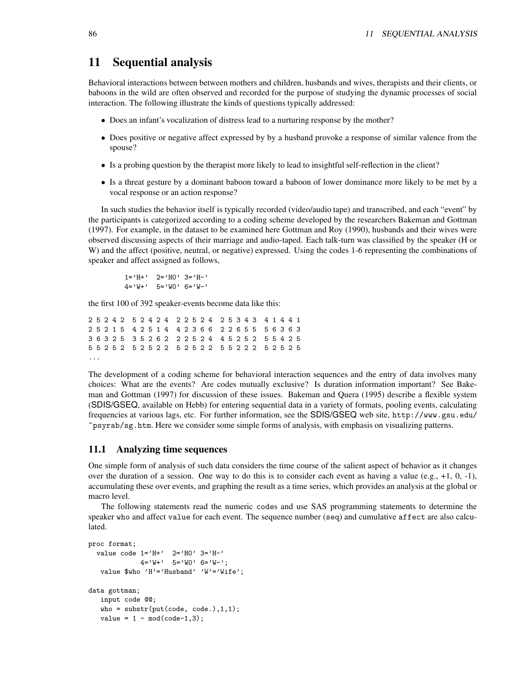# **11 Sequential analysis**

Behavioral interactions between between mothers and children, husbands and wives, therapists and their clients, or baboons in the wild are often observed and recorded for the purpose of studying the dynamic processes of social interaction. The following illustrate the kinds of questions typically addressed:

- Does an infant's vocalization of distress lead to a nurturing response by the mother?
- Does positive or negative affect expressed by by a husband provoke a response of similar valence from the spouse?
- Is a probing question by the therapist more likely to lead to insightful self-reflection in the client?
- Is a threat gesture by a dominant baboon toward a baboon of lower dominance more likely to be met by a vocal response or an action response?

In such studies the behavior itself is typically recorded (video/audio tape) and transcribed, and each "event" by the participants is categorized according to a coding scheme developed by the researchers Bakeman and Gottman (1997). For example, in the dataset to be examined here Gottman and Roy (1990), husbands and their wives were observed discussing aspects of their marriage and audio-taped. Each talk-turn was classified by the speaker (H or W) and the affect (positive, neutral, or negative) expressed. Using the codes 1-6 representing the combinations of speaker and affect assigned as follows,

 $1 = 'H + '$  2='HO' 3='H-'  $4='W+'$  5='WO' 6='W-'

the first 100 of 392 speaker-events become data like this:

 5 2 4 2 5 2 4 2 4 2 2 5 2 4 2 5 3 4 3 4 1 4 4 1 5 2 1 5 4 2 5 1 4 4 2 3 6 6 2 2 6 5 5 5 6 3 6 3 6 3 2 5 3 5 2 6 2 2 2 5 2 4 4 5 2 5 2 5 5 4 2 5 5 2 5 2 5 2 5 2 2 5 2 5 2 2 5 5 2 2 2 5 2 5 2 5 ...

The development of a coding scheme for behavioral interaction sequences and the entry of data involves many choices: What are the events? Are codes mutually exclusive? Is duration information important? See Bakeman and Gottman (1997) for discussion of these issues. Bakeman and Quera (1995) describe a flexible system (SDIS/GSEQ, available on Hebb) for entering sequential data in a variety of formats, pooling events, calculating frequencies at various lags, etc. For further information, see the SDIS/GSEQ web site, http://www.gsu.edu/ ~psyrab/sg.htm. Here we consider some simple forms of analysis, with emphasis on visualizing patterns.

#### **11.1 Analyzing time sequences**

One simple form of analysis of such data considers the time course of the salient aspect of behavior as it changes over the duration of a session. One way to do this is to consider each event as having a value (e.g.,  $+1$ , 0,  $-1$ ), accumulating these over events, and graphing the result as a time series, which provides an analysis at the global or macro level.

The following statements read the numeric codes and use SAS programming statements to determine the speaker who and affect value for each event. The sequence number (seq) and cumulative affect are also calculated.

```
proc format;
  value code 1='H+' 2='H0' 3='H-'4='W+' 5='WO' 6='W-';
   value $who 'H'='Husband' 'W'='Wife';
data gottman;
   input code @@;
   who = \text{substr}(\text{put}(\text{code}, \text{code}.), 1, 1);value = 1 - mod(code-1, 3);
```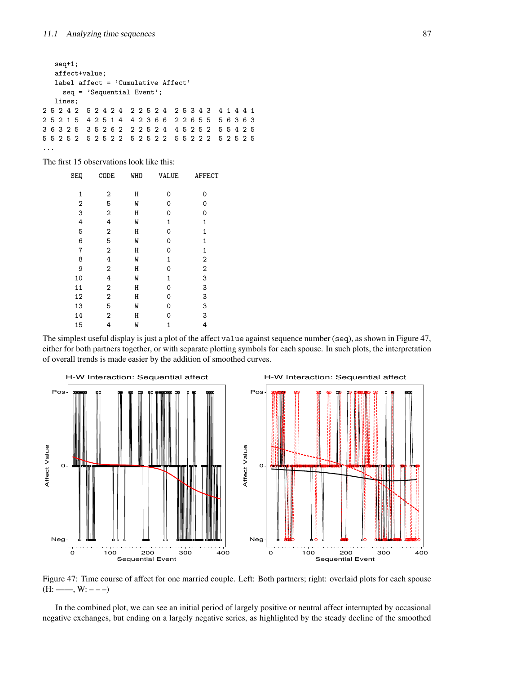```
seq+1;
  affect+value;
  label affect = 'Cumulative Affect'
    seq = 'Sequential Event';
  lines;
2 5 2 4 2 5 2 4 2 4 2 2 5 2 4 2 5 3 4 3 4 1 4 4 1
2 5 2 1 5 4 2 5 1 4 4 2 3 6 6 2 2 6 5 5 5 6 3 6 3
3 6 3 2 5 3 5 2 6 2 2 2 5 2 4 4 5 2 5 2 5 5 4 2 5
5 5 2 5 2 5 2 5 2 2 5 2 5 2 2 5 5 2 2 2 5 2 5 2 5
...
```
The first 15 observations look like this:

| <b>SEQ</b>     | CODE           | <b>WHO</b> | <b>VALUE</b> | AFFECT         |
|----------------|----------------|------------|--------------|----------------|
| 1              | 2              | Η          | 0            | 0              |
| $\mathbf 2$    | 5              | W          | 0            | 0              |
| 3              | $\overline{2}$ | Η          | 0            | 0              |
| 4              | 4              | W          | 1            | 1              |
| 5              | 2              | Η          | 0            | 1              |
| 6              | 5              | W          | 0            | 1              |
| $\overline{7}$ | 2              | Η          | 0            | 1              |
| 8              | 4              | W          | 1            | 2              |
| 9              | 2              | Η          | 0            | $\overline{2}$ |
| 10             | 4              | W          | $\mathbf{1}$ | 3              |
| 11             | 2              | Η          | 0            | 3              |
| 12             | $\overline{2}$ | Η          | 0            | 3              |
| 13             | 5              | W          | 0            | 3              |
| 14             | 2              | Η          | 0            | 3              |
| 15             | 4              | W          | 1            | 4              |

The simplest useful display is just a plot of the affect value against sequence number (seq), as shown in Figure 47, either for both partners together, or with separate plotting symbols for each spouse. In such plots, the interpretation of overall trends is made easier by the addition of smoothed curves.



Figure 47: Time course of affect for one married couple. Left: Both partners; right: overlaid plots for each spouse  $(H: —, W: --)$ 

In the combined plot, we can see an initial period of largely positive or neutral affect interrupted by occasional negative exchanges, but ending on a largely negative series, as highlighted by the steady decline of the smoothed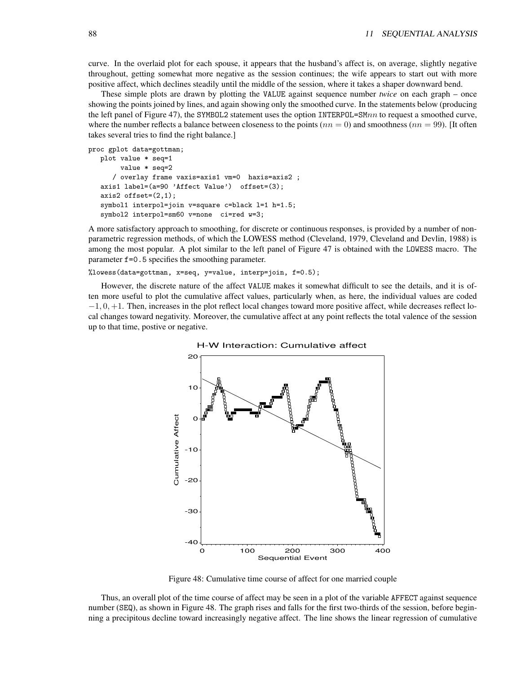curve. In the overlaid plot for each spouse, it appears that the husband's affect is, on average, slightly negative throughout, getting somewhat more negative as the session continues; the wife appears to start out with more positive affect, which declines steadily until the middle of the session, where it takes a shaper downward bend.

These simple plots are drawn by plotting the VALUE against sequence number *twice* on each graph – once showing the points joined by lines, and again showing only the smoothed curve. In the statements below (producing the left panel of Figure 47), the SYMBOL2 statement uses the option INTERPOL=SM $nn$  to request a smoothed curve, where the number reflects a balance between closeness to the points  $(nn = 0)$  and smoothness  $(nn = 99)$ . [It often takes several tries to find the right balance.]

```
proc gplot data=gottman;
```

```
plot value * seq=1
    value * seq=2
   / overlay frame vaxis=axis1 vm=0 haxis=axis2 ;
axis1 label=(a=90 'Affect Value') offset=(3);
axis2 offset=(2,1);
symbol1 interpol=join v=square c=black l=1 h=1.5;
symbol2 interpol=sm60 v=none ci=red w=3;
```
A more satisfactory approach to smoothing, for discrete or continuous responses, is provided by a number of nonparametric regression methods, of which the LOWESS method (Cleveland, 1979, Cleveland and Devlin, 1988) is among the most popular. A plot similar to the left panel of Figure 47 is obtained with the LOWESS macro. The parameter f=0.5 specifies the smoothing parameter.

%lowess(data=gottman, x=seq, y=value, interp=join, f=0.5);

However, the discrete nature of the affect VALUE makes it somewhat difficult to see the details, and it is often more useful to plot the cumulative affect values, particularly when, as here, the individual values are coded  $-1, 0, +1$ . Then, increases in the plot reflect local changes toward more positive affect, while decreases reflect local changes toward negativity. Moreover, the cumulative affect at any point reflects the total valence of the session up to that time, postive or negative.



Figure 48: Cumulative time course of affect for one married couple

Thus, an overall plot of the time course of affect may be seen in a plot of the variable AFFECT against sequence number (SEQ), as shown in Figure 48. The graph rises and falls for the first two-thirds of the session, before beginning a precipitous decline toward increasingly negative affect. The line shows the linear regression of cumulative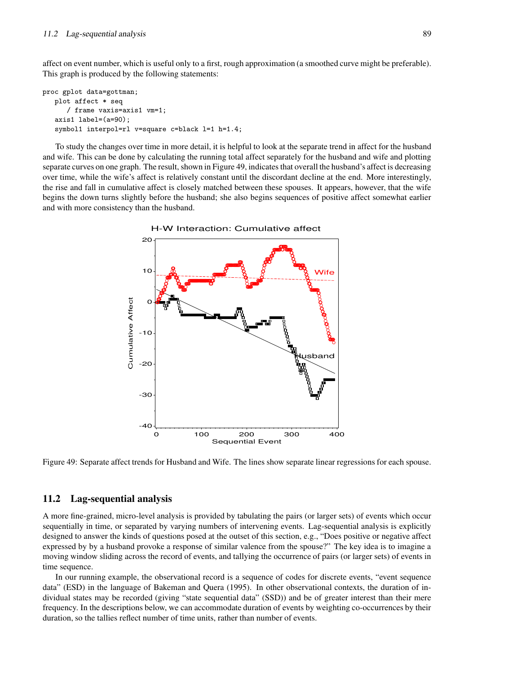affect on event number, which is useful only to a first, rough approximation (a smoothed curve might be preferable). This graph is produced by the following statements:

```
proc gplot data=gottman;
   plot affect * seq
      / frame vaxis=axis1 vm=1;
   axis1 label=(a=90);
   symbol1 interpol=rl v=square c=black l=1 h=1.4;
```
To study the changes over time in more detail, it is helpful to look at the separate trend in affect for the husband and wife. This can be done by calculating the running total affect separately for the husband and wife and plotting separate curves on one graph. The result, shown in Figure 49, indicates that overall the husband's affect is decreasing over time, while the wife's affect is relatively constant until the discordant decline at the end. More interestingly, the rise and fall in cumulative affect is closely matched between these spouses. It appears, however, that the wife begins the down turns slightly before the husband; she also begins sequences of positive affect somewhat earlier and with more consistency than the husband.



Figure 49: Separate affect trends for Husband and Wife. The lines show separate linear regressions for each spouse.

## **11.2 Lag-sequential analysis**

A more fine-grained, micro-level analysis is provided by tabulating the pairs (or larger sets) of events which occur sequentially in time, or separated by varying numbers of intervening events. Lag-sequential analysis is explicitly designed to answer the kinds of questions posed at the outset of this section, e.g., "Does positive or negative affect expressed by by a husband provoke a response of similar valence from the spouse?" The key idea is to imagine a moving window sliding across the record of events, and tallying the occurrence of pairs (or larger sets) of events in time sequence.

In our running example, the observational record is a sequence of codes for discrete events, "event sequence data" (ESD) in the language of Bakeman and Quera (1995). In other observational contexts, the duration of individual states may be recorded (giving "state sequential data" (SSD)) and be of greater interest than their mere frequency. In the descriptions below, we can accommodate duration of events by weighting co-occurrences by their duration, so the tallies reflect number of time units, rather than number of events.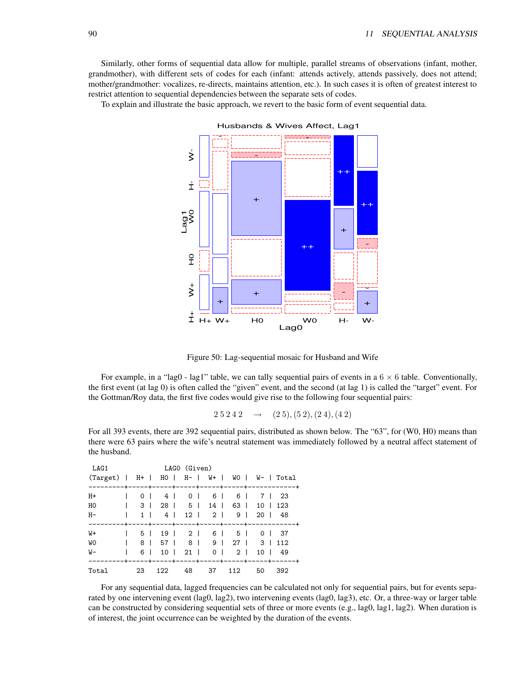Similarly, other forms of sequential data allow for multiple, parallel streams of observations (infant, mother, grandmother), with different sets of codes for each (infant: attends actively, attends passively, does not attend; mother/grandmother: vocalizes, re-directs, maintains attention, etc.). In such cases it is often of greatest interest to restrict attention to sequential dependencies between the separate sets of codes.

To explain and illustrate the basic approach, we revert to the basic form of event sequential data.



Figure 50: Lag-sequential mosaic for Husband and Wife

For example, in a "lag0 - lag1" table, we can tally sequential pairs of events in a  $6 \times 6$  table. Conventionally, the first event (at lag 0) is often called the "given" event, and the second (at lag 1) is called the "target" event. For the Gottman/Roy data, the first five codes would give rise to the following four sequential pairs:

$$
2\,5\,2\,4\,2\quad\rightarrow\quad(2\,5),(5\,2),(2\,4),(4\,2)
$$

For all 393 events, there are 392 sequential pairs, distributed as shown below. The "63", for (W0, H0) means than there were 63 pairs where the wife's neutral statement was immediately followed by a neutral affect statement of the husband.

| LAG1                                           |                | LAGO (Given)      |    |    |                           |        |               |
|------------------------------------------------|----------------|-------------------|----|----|---------------------------|--------|---------------|
| (Target)   H+   H0   H-   W+   W0   W-   Total |                |                   |    |    |                           |        |               |
|                                                |                |                   |    |    |                           |        |               |
| $H+$                                           |                | 0   4   0   6   6 |    |    |                           | 7   23 |               |
| H <sub>0</sub>                                 | 3 <sup>1</sup> |                   |    |    | 28   5   14   63          |        | $10 \mid 123$ |
| $H-$                                           | $1 \mid$       |                   |    |    | 4   12   2   9   20   48  |        |               |
|                                                |                |                   |    |    |                           |        |               |
| $W+$                                           | 5              |                   |    |    | 19   2   6   5   0   37   |        |               |
| <b>WO</b>                                      | 8 I            |                   |    |    | 57   8   9   27   3   112 |        |               |
| W-                                             | 6 I            |                   |    |    | 10   21   0   2           |        | 10   49       |
|                                                |                |                   |    |    |                           |        |               |
| Total                                          | 23             | 122               | 48 | 37 | 112                       | 50     | 392           |

For any sequential data, lagged frequencies can be calculated not only for sequential pairs, but for events separated by one intervening event (lag0, lag2), two intervening events (lag0, lag3), etc. Or, a three-way or larger table can be constructed by considering sequential sets of three or more events (e.g., lag0, lag1, lag2). When duration is of interest, the joint occurrence can be weighted by the duration of the events.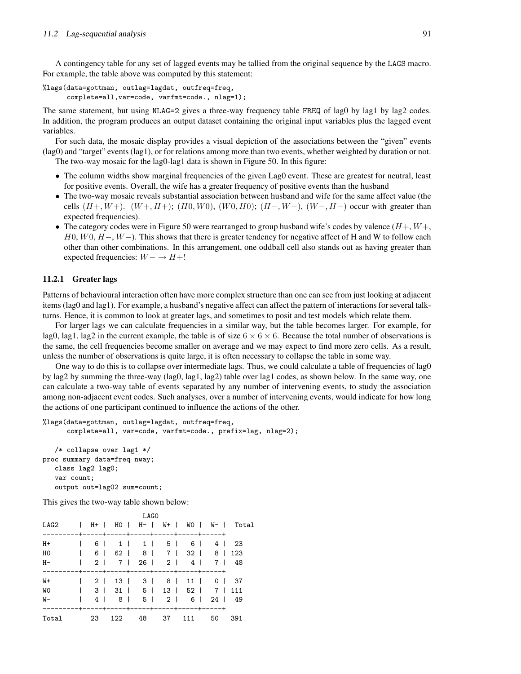A contingency table for any set of lagged events may be tallied from the original sequence by the LAGS macro. For example, the table above was computed by this statement:

%lags(data=gottman, outlag=lagdat, outfreq=freq, complete=all,var=code, varfmt=code., nlag=1);

The same statement, but using NLAG=2 gives a three-way frequency table FREQ of lag0 by lag1 by lag2 codes. In addition, the program produces an output dataset containing the original input variables plus the lagged event variables.

For such data, the mosaic display provides a visual depiction of the associations between the "given" events (lag0) and "target" events (lag1), or for relations among more than two events, whether weighted by duration or not. The two-way mosaic for the lag0-lag1 data is shown in Figure 50. In this figure:

- The column widths show marginal frequencies of the given Lag0 event. These are greatest for neutral, least for positive events. Overall, the wife has a greater frequency of positive events than the husband
- The two-way mosaic reveals substantial association between husband and wife for the same affect value (the cells  $(H+W+)$ .  $(W+, H+)$ ;  $(H0, W0)$ ,  $(W0, H0)$ ;  $(H-, W-)$ ,  $(W-, H-)$  occur with greater than expected frequencies).
- The category codes were in Figure 50 were rearranged to group husband wife's codes by valence  $(H+, W+,$ H0, W0,  $H-, W-$ ). This shows that there is greater tendency for negative affect of H and W to follow each other than other combinations. In this arrangement, one oddball cell also stands out as having greater than expected frequencies:  $W - \rightarrow H +!$

#### **11.2.1 Greater lags**

Patterns of behavioural interaction often have more complex structure than one can see from just looking at adjacent items (lag0 and lag1). For example, a husband's negative affect can affect the pattern of interactions for several talkturns. Hence, it is common to look at greater lags, and sometimes to posit and test models which relate them.

For larger lags we can calculate frequencies in a similar way, but the table becomes larger. For example, for lag0, lag1, lag2 in the current example, the table is of size  $6 \times 6 \times 6$ . Because the total number of observations is the same, the cell frequencies become smaller on average and we may expect to find more zero cells. As a result, unless the number of observations is quite large, it is often necessary to collapse the table in some way.

One way to do this is to collapse over intermediate lags. Thus, we could calculate a table of frequencies of lag0 by lag2 by summing the three-way (lag0, lag1, lag2) table over lag1 codes, as shown below. In the same way, one can calculate a two-way table of events separated by any number of intervening events, to study the association among non-adjacent event codes. Such analyses, over a number of intervening events, would indicate for how long the actions of one participant continued to influence the actions of the other.

```
%lags(data=gottman, outlag=lagdat, outfreq=freq,
      complete=all, var=code, varfmt=code., prefix=lag, nlag=2);
   /* collapse over lag1 */
proc summary data=freq nway;
   class lag2 lag0;
   var count;
   output out=lag02 sum=count;
```
This gives the two-way table shown below:

| LAG0      |  |     |  |                |  |                                |       |  |     |                   |  |                                     |
|-----------|--|-----|--|----------------|--|--------------------------------|-------|--|-----|-------------------|--|-------------------------------------|
| LAG2      |  |     |  |                |  |                                |       |  |     |                   |  | H+   HO   H-   W+   WO   W-   Total |
|           |  |     |  |                |  |                                |       |  |     |                   |  |                                     |
| $H+$      |  | 6 I |  |                |  | 1 1 5 6                        |       |  |     |                   |  | 4   23                              |
| HO        |  |     |  |                |  | 6   62   8   7   32   8   123  |       |  |     |                   |  |                                     |
| $H -$     |  |     |  |                |  | 2   7   26   2   4   7   48    |       |  |     |                   |  |                                     |
|           |  |     |  |                |  |                                |       |  |     |                   |  |                                     |
| W+        |  |     |  |                |  | 2   13   3   8   11   0   37   |       |  |     |                   |  |                                     |
| <b>WO</b> |  |     |  |                |  | 3   31   5   13   52   7   111 |       |  |     |                   |  |                                     |
| W-        |  | 4 I |  | 8 <sup>1</sup> |  |                                |       |  |     | 5 2 1 6 1 24 1 49 |  |                                     |
|           |  |     |  |                |  |                                |       |  |     |                   |  |                                     |
| Total     |  | -23 |  | 122            |  |                                | 48 37 |  | 111 | 50                |  | 391                                 |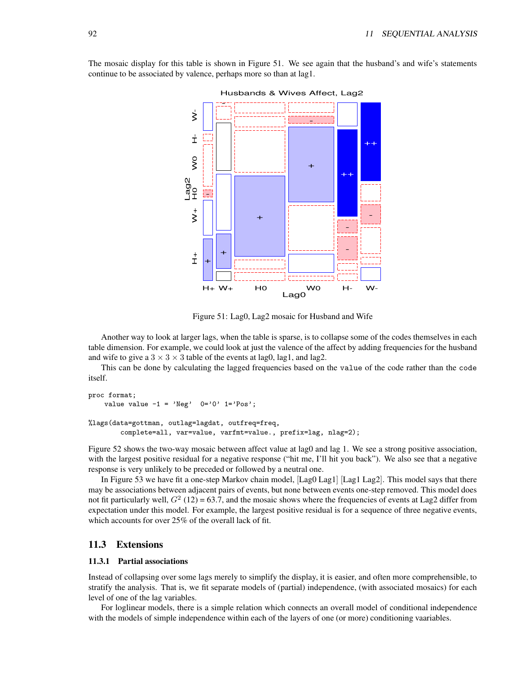

The mosaic display for this table is shown in Figure 51. We see again that the husband's and wife's statements continue to be associated by valence, perhaps more so than at lag1.

Figure 51: Lag0, Lag2 mosaic for Husband and Wife

Another way to look at larger lags, when the table is sparse, is to collapse some of the codes themselves in each table dimension. For example, we could look at just the valence of the affect by adding frequencies for the husband and wife to give a  $3 \times 3 \times 3$  table of the events at lag0, lag1, and lag2.

This can be done by calculating the lagged frequencies based on the value of the code rather than the code itself.

```
proc format;
    value value -1 = 'Neg' 0='0' 1='Pos';%lags(data=gottman, outlag=lagdat, outfreq=freq,
        complete=all, var=value, varfmt=value., prefix=lag, nlag=2);
```
Figure 52 shows the two-way mosaic between affect value at lag0 and lag 1. We see a strong positive association, with the largest positive residual for a negative response ("hit me, I'll hit you back"). We also see that a negative response is very unlikely to be preceded or followed by a neutral one.

In Figure 53 we have fit a one-step Markov chain model, [Lag0 Lag1] [Lag1 Lag2]. This model says that there may be associations between adjacent pairs of events, but none between events one-step removed. This model does not fit particularly well,  $G^2$  (12) = 63.7, and the mosaic shows where the frequencies of events at Lag2 differ from expectation under this model. For example, the largest positive residual is for a sequence of three negative events, which accounts for over 25% of the overall lack of fit.

#### **11.3 Extensions**

#### **11.3.1 Partial associations**

Instead of collapsing over some lags merely to simplify the display, it is easier, and often more comprehensible, to stratify the analysis. That is, we fit separate models of (partial) independence, (with associated mosaics) for each level of one of the lag variables.

For loglinear models, there is a simple relation which connects an overall model of conditional independence with the models of simple independence within each of the layers of one (or more) conditioning vaariables.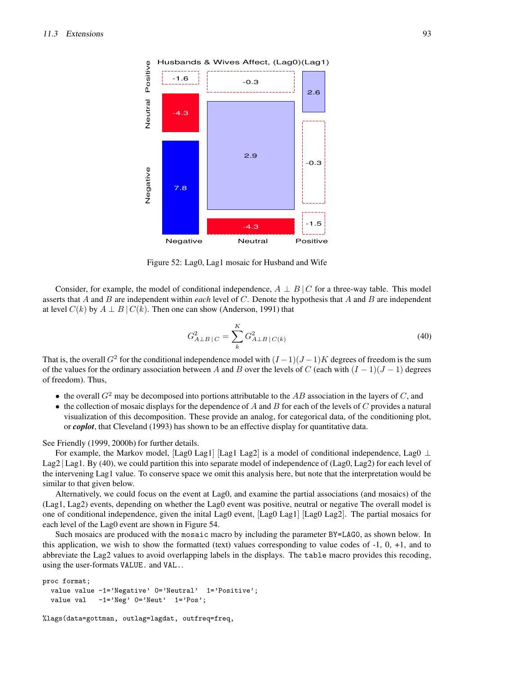

Figure 52: Lag0, Lag1 mosaic for Husband and Wife

Consider, for example, the model of conditional independence,  $A \perp B \mid C$  for a three-way table. This model asserts that A and B are independent within *each* level of C. Denote the hypothesis that A and B are independent at level  $C(k)$  by  $A \perp B \mid C(k)$ . Then one can show (Anderson, 1991) that

$$
G_{A \perp B \parallel C}^2 = \sum_{k}^{K} G_{A \perp B \parallel C(k)}^2 \tag{40}
$$

That is, the overall  $G^2$  for the conditional independence model with  $(I-1)(J-1)K$  degrees of freedom is the sum of the values for the ordinary association between A and B over the levels of C (each with  $(I - 1)(J - 1)$  degrees of freedom). Thus,

- the overall  $G^2$  may be decomposed into portions attributable to the AB association in the layers of C, and
- the collection of mosaic displays for the dependence of A and B for each of the levels of C provides a natural visualization of this decomposition. These provide an analog, for categorical data, of the conditioning plot, or *coplot*, that Cleveland (1993) has shown to be an effective display for quantitative data.

See Friendly (1999, 2000b) for further details.

For example, the Markov model, [Lag0 Lag1] [Lag1 Lag2] is a model of conditional independence, Lag0  $\perp$ Lag2 | Lag1. By (40), we could partition this into separate model of independence of (Lag0, Lag2) for each level of the intervening Lag1 value. To conserve space we omit this analysis here, but note that the interpretation would be similar to that given below.

Alternatively, we could focus on the event at Lag0, and examine the partial associations (and mosaics) of the (Lag1, Lag2) events, depending on whether the Lag0 event was positive, neutral or negative The overall model is one of conditional independence, given the inital Lag0 event, [Lag0 Lag1] [Lag0 Lag2]. The partial mosaics for each level of the Lag0 event are shown in Figure 54.

Such mosaics are produced with the mosaic macro by including the parameter BY=LAG0, as shown below. In this application, we wish to show the formatted (text) values corresponding to value codes of -1, 0, +1, and to abbreviate the Lag2 values to avoid overlapping labels in the displays. The table macro provides this recoding, using the user-formats VALUE. and VAL..

```
proc format;
  value value -1='Negative' 0='Neutral' 1='Positive';
  value val -1='Neg' 0='Neut' 1='Pos';
```
%lags(data=gottman, outlag=lagdat, outfreq=freq,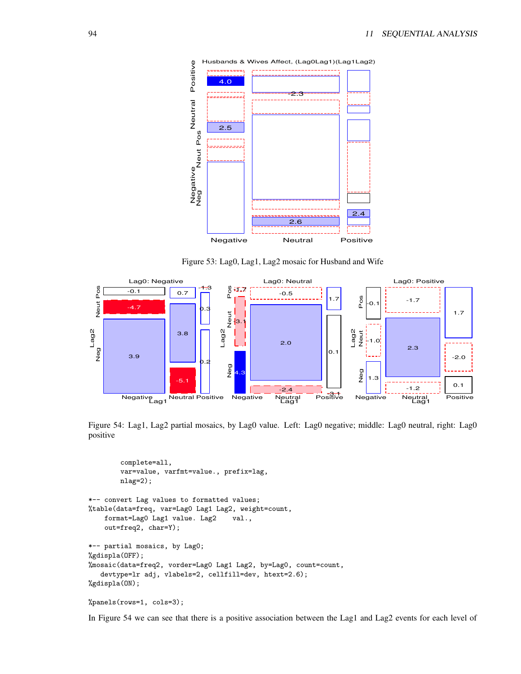

Figure 53: Lag0, Lag1, Lag2 mosaic for Husband and Wife



Figure 54: Lag1, Lag2 partial mosaics, by Lag0 value. Left: Lag0 negative; middle: Lag0 neutral, right: Lag0 positive

complete=all, var=value, varfmt=value., prefix=lag, nlag=2); \*-- convert Lag values to formatted values; %table(data=freq, var=Lag0 Lag1 Lag2, weight=count, format=Lag0 Lag1 value. Lag2 val., out=freq2, char=Y); \*-- partial mosaics, by Lag0; %gdispla(OFF); %mosaic(data=freq2, vorder=Lag0 Lag1 Lag2, by=Lag0, count=count, devtype=lr adj, vlabels=2, cellfill=dev, htext=2.6); %gdispla(ON);

```
%panels(rows=1, cols=3);
```
In Figure 54 we can see that there is a positive association between the Lag1 and Lag2 events for each level of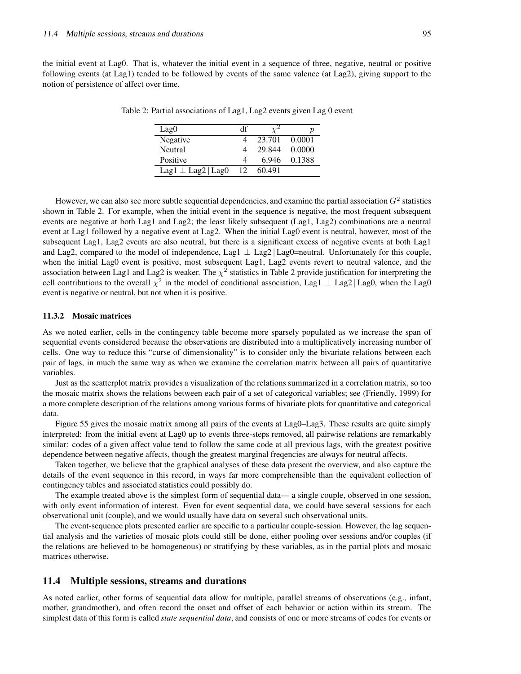the initial event at Lag0. That is, whatever the initial event in a sequence of three, negative, neutral or positive following events (at Lag1) tended to be followed by events of the same valence (at Lag2), giving support to the notion of persistence of affect over time.

| Lag0                     | df |        |        |
|--------------------------|----|--------|--------|
| Negative                 |    | 23.701 | 0.0001 |
| Neutral                  |    | 29.844 | 0.0000 |
| Positive                 |    | 6.946  | 0.1388 |
| Lag1 $\perp$ Lag2   Lag0 |    | 60.491 |        |

Table 2: Partial associations of Lag1, Lag2 events given Lag 0 event

However, we can also see more subtle sequential dependencies, and examine the partial association  $G^2$  statistics shown in Table 2. For example, when the initial event in the sequence is negative, the most frequent subsequent events are negative at both Lag1 and Lag2; the least likely subsequent (Lag1, Lag2) combinations are a neutral event at Lag1 followed by a negative event at Lag2. When the initial Lag0 event is neutral, however, most of the subsequent Lag1, Lag2 events are also neutral, but there is a significant excess of negative events at both Lag1 and Lag2, compared to the model of independence, Lag1 ⊥ Lag2 | Lag0=neutral. Unfortunately for this couple, when the initial Lag0 event is positive, most subsequent Lag1, Lag2 events revert to neutral valence, and the association between Lag1 and Lag2 is weaker. The  $\chi^2$  statistics in Table 2 provide justification for interpreting the cell contributions to the overall  $\chi^2$  in the model of conditional association, Lag1  $\perp$  Lag2 | Lag0, when the Lag0 event is negative or neutral, but not when it is positive.

#### **11.3.2 Mosaic matrices**

As we noted earlier, cells in the contingency table become more sparsely populated as we increase the span of sequential events considered because the observations are distributed into a multiplicatively increasing number of cells. One way to reduce this "curse of dimensionality" is to consider only the bivariate relations between each pair of lags, in much the same way as when we examine the correlation matrix between all pairs of quantitative variables.

Just as the scatterplot matrix provides a visualization of the relations summarized in a correlation matrix, so too the mosaic matrix shows the relations between each pair of a set of categorical variables; see (Friendly, 1999) for a more complete description of the relations among various forms of bivariate plots for quantitative and categorical data.

Figure 55 gives the mosaic matrix among all pairs of the events at Lag0–Lag3. These results are quite simply interpreted: from the initial event at Lag0 up to events three-steps removed, all pairwise relations are remarkably similar: codes of a given affect value tend to follow the same code at all previous lags, with the greatest positive dependence between negative affects, though the greatest marginal freqencies are always for neutral affects.

Taken together, we believe that the graphical analyses of these data present the overview, and also capture the details of the event sequence in this record, in ways far more comprehensible than the equivalent collection of contingency tables and associated statistics could possibly do.

The example treated above is the simplest form of sequential data— a single couple, observed in one session, with only event information of interest. Even for event sequential data, we could have several sessions for each observational unit (couple), and we would usually have data on several such observational units.

The event-sequence plots presented earlier are specific to a particular couple-session. However, the lag sequential analysis and the varieties of mosaic plots could still be done, either pooling over sessions and/or couples (if the relations are believed to be homogeneous) or stratifying by these variables, as in the partial plots and mosaic matrices otherwise.

## **11.4 Multiple sessions, streams and durations**

As noted earlier, other forms of sequential data allow for multiple, parallel streams of observations (e.g., infant, mother, grandmother), and often record the onset and offset of each behavior or action within its stream. The simplest data of this form is called *state sequential data*, and consists of one or more streams of codes for events or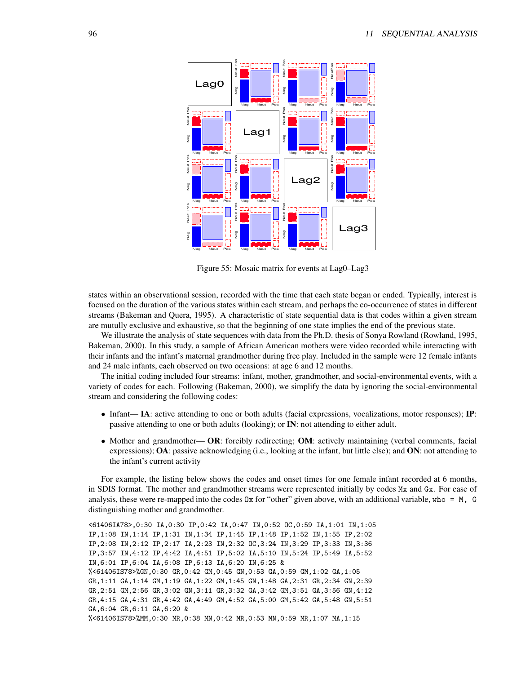

Figure 55: Mosaic matrix for events at Lag0–Lag3

states within an observational session, recorded with the time that each state began or ended. Typically, interest is focused on the duration of the various states within each stream, and perhaps the co-occurrence of states in different streams (Bakeman and Quera, 1995). A characteristic of state sequential data is that codes within a given stream are mutully exclusive and exhaustive, so that the beginning of one state implies the end of the previous state.

We illustrate the analysis of state sequences with data from the Ph.D. thesis of Sonya Rowland (Rowland, 1995, Bakeman, 2000). In this study, a sample of African American mothers were video recorded while interacting with their infants and the infant's maternal grandmother during free play. Included in the sample were 12 female infants and 24 male infants, each observed on two occasions: at age 6 and 12 months.

The initial coding included four streams: infant, mother, grandmother, and social-environmental events, with a variety of codes for each. Following (Bakeman, 2000), we simplify the data by ignoring the social-environmental stream and considering the following codes:

- Infant— **IA**: active attending to one or both adults (facial expressions, vocalizations, motor responses); **IP**: passive attending to one or both adults (looking); or **IN**: not attending to either adult.
- Mother and grandmother— **OR**: forcibly redirecting; **OM**: actively maintaining (verbal comments, facial expressions); **OA**: passive acknowledging (i.e., looking at the infant, but little else); and **ON**: not attending to the infant's current activity

For example, the listing below shows the codes and onset times for one female infant recorded at 6 months, in SDIS format. The mother and grandmother streams were represented initially by codes Mx and Gx. For ease of analysis, these were re-mapped into the codes  $0x$  for "other" given above, with an additional variable, who =  $M$ , G distinguishing mother and grandmother.

<61406IA78>,0:30 IA,0:30 IP,0:42 IA,0:47 IN,0:52 OC,0:59 IA,1:01 IN,1:05 IP,1:08 IN,1:14 IP,1:31 IN,1:34 IP,1:45 IP,1:48 IP,1:52 IN,1:55 IP,2:02 IP,2:08 IN,2:12 IP,2:17 IA,2:23 IN,2:32 OC,3:24 IN,3:29 IP,3:33 IN,3:36 IP,3:57 IN,4:12 IP,4:42 IA,4:51 IP,5:02 IA,5:10 IN,5:24 IP,5:49 IA,5:52 IN,6:01 IP,6:04 IA,6:08 IP,6:13 IA,6:20 IN,6:25 & %<61406IS78>%GN,0:30 GR,0:42 GM,0:45 GN,0:53 GA,0:59 GM,1:02 GA,1:05 GR,1:11 GA,1:14 GM,1:19 GA,1:22 GM,1:45 GN,1:48 GA,2:31 GR,2:34 GN,2:39 GR,2:51 GM,2:56 GR,3:02 GN,3:11 GR,3:32 GA,3:42 GM,3:51 GA,3:56 GN,4:12 GR,4:15 GA,4:31 GR,4:42 GA,4:49 GM,4:52 GA,5:00 GM,5:42 GA,5:48 GN,5:51 GA,6:04 GR,6:11 GA,6:20 & %<61406IS78>%MM,0:30 MR,0:38 MN,0:42 MR,0:53 MN,0:59 MR,1:07 MA,1:15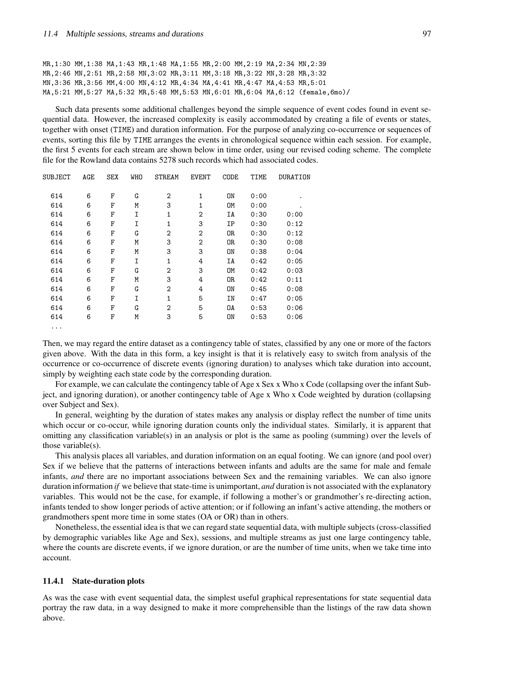MR,1:30 MM,1:38 MA,1:43 MR,1:48 MA,1:55 MR,2:00 MM,2:19 MA,2:34 MN,2:39 MR,2:46 MN,2:51 MR,2:58 MN,3:02 MR,3:11 MM,3:18 MR,3:22 MN,3:28 MR,3:32 MN,3:36 MR,3:56 MM,4:00 MN,4:12 MR,4:34 MA,4:41 MR,4:47 MA,4:53 MR,5:01 MA,5:21 MM,5:27 MA,5:32 MR,5:48 MM,5:53 MN,6:01 MR,6:04 MA,6:12 (female,6mo)/

Such data presents some additional challenges beyond the simple sequence of event codes found in event sequential data. However, the increased complexity is easily accommodated by creating a file of events or states, together with onset (TIME) and duration information. For the purpose of analyzing co-occurrence or sequences of events, sorting this file by TIME arranges the events in chronological sequence within each session. For example, the first 5 events for each stream are shown below in time order, using our revised coding scheme. The complete file for the Rowland data contains 5278 such records which had associated codes.

| SUBJECT  | AGE | <b>SEX</b> | <b>WHO</b> | <b>STREAM</b>  | <b>EVENT</b>   | CODE      | TIME | DURATION |
|----------|-----|------------|------------|----------------|----------------|-----------|------|----------|
| 614      | 6   | F          | G          | 2              | 1              | ON        | 0:00 |          |
| 614      | 6   | F          | M          | 3              | 1              | <b>OM</b> | 0:00 | ٠        |
| 614      | 6   | F          | I          | 1              | 2              | ΙA        | 0:30 | 0:00     |
| 614      | 6   | F          | I          | 1              | 3              | ΙP        | 0:30 | 0:12     |
| 614      | 6   | F          | G          | $\overline{2}$ | 2              | 0R        | 0:30 | 0:12     |
| 614      | 6   | F          | M          | 3              | $\overline{2}$ | OR.       | 0:30 | 0:08     |
| 614      | 6   | F          | M          | 3              | 3              | ON        | 0:38 | 0:04     |
| 614      | 6   | F          | I          | 1              | 4              | ΙA        | 0:42 | 0:05     |
| 614      | 6   | F          | G          | $\overline{2}$ | 3              | <b>OM</b> | 0:42 | 0:03     |
| 614      | 6   | F          | M          | 3              | 4              | 0R        | 0:42 | 0:11     |
| 614      | 6   | F          | G          | $\overline{2}$ | 4              | ON        | 0:45 | 0:08     |
| 614      | 6   | F          | I          | 1              | 5              | IN        | 0:47 | 0:05     |
| 614      | 6   | F          | G          | $\overline{2}$ | 5              | OA        | 0:53 | 0:06     |
| 614      | 6   | F          | Μ          | 3              | 5              | ON        | 0:53 | 0:06     |
| $\cdots$ |     |            |            |                |                |           |      |          |

Then, we may regard the entire dataset as a contingency table of states, classified by any one or more of the factors given above. With the data in this form, a key insight is that it is relatively easy to switch from analysis of the occurrence or co-occurrence of discrete events (ignoring duration) to analyses which take duration into account, simply by weighting each state code by the corresponding duration.

For example, we can calculate the contingency table of Age x Sex x Who x Code (collapsing over the infant Subject, and ignoring duration), or another contingency table of Age x Who x Code weighted by duration (collapsing over Subject and Sex).

In general, weighting by the duration of states makes any analysis or display reflect the number of time units which occur or co-occur, while ignoring duration counts only the individual states. Similarly, it is apparent that omitting any classification variable(s) in an analysis or plot is the same as pooling (summing) over the levels of those variable(s).

This analysis places all variables, and duration information on an equal footing. We can ignore (and pool over) Sex if we believe that the patterns of interactions between infants and adults are the same for male and female infants, *and* there are no important associations between Sex and the remaining variables. We can also ignore duration information *if* we believe that state-time is unimportant, *and* duration is not associated with the explanatory variables. This would not be the case, for example, if following a mother's or grandmother's re-directing action, infants tended to show longer periods of active attention; or if following an infant's active attending, the mothers or grandmothers spent more time in some states (OA or OR) than in others.

Nonetheless, the essential idea is that we can regard state sequential data, with multiple subjects (cross-classified by demographic variables like Age and Sex), sessions, and multiple streams as just one large contingency table, where the counts are discrete events, if we ignore duration, or are the number of time units, when we take time into account.

#### **11.4.1 State-duration plots**

As was the case with event sequential data, the simplest useful graphical representations for state sequential data portray the raw data, in a way designed to make it more comprehensible than the listings of the raw data shown above.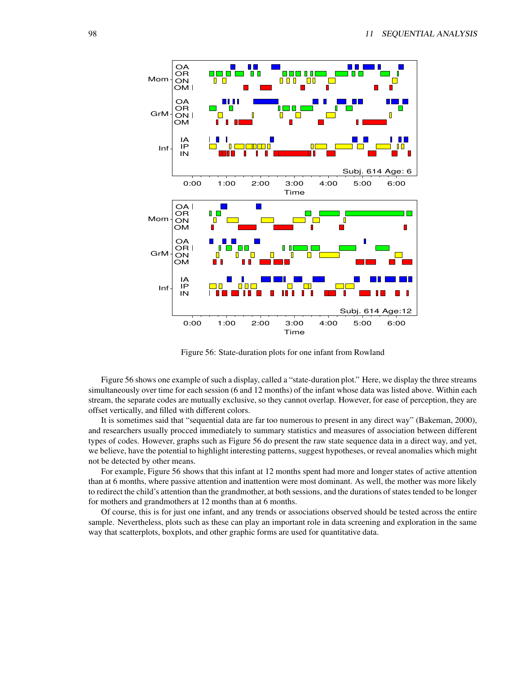

Figure 56: State-duration plots for one infant from Rowland

Figure 56 shows one example of such a display, called a "state-duration plot." Here, we display the three streams simultaneously over time for each session (6 and 12 months) of the infant whose data was listed above. Within each stream, the separate codes are mutually exclusive, so they cannot overlap. However, for ease of perception, they are offset vertically, and filled with different colors.

It is sometimes said that "sequential data are far too numerous to present in any direct way" (Bakeman, 2000), and researchers usually procced immediately to summary statistics and measures of association between different types of codes. However, graphs such as Figure 56 do present the raw state sequence data in a direct way, and yet, we believe, have the potential to highlight interesting patterns, suggest hypotheses, or reveal anomalies which might not be detected by other means.

For example, Figure 56 shows that this infant at 12 months spent had more and longer states of active attention than at 6 months, where passive attention and inattention were most dominant. As well, the mother was more likely to redirect the child's attention than the grandmother, at both sessions, and the durations of states tended to be longer for mothers and grandmothers at 12 months than at 6 months.

Of course, this is for just one infant, and any trends or associations observed should be tested across the entire sample. Nevertheless, plots such as these can play an important role in data screening and exploration in the same way that scatterplots, boxplots, and other graphic forms are used for quantitative data.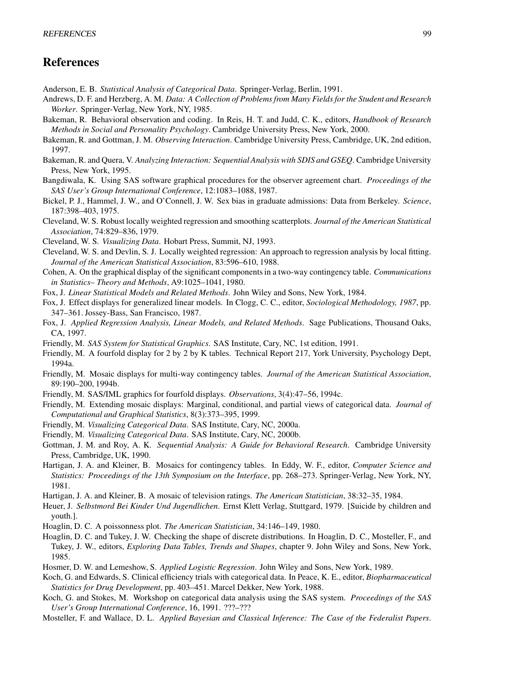# **References**

- Anderson, E. B. *Statistical Analysis of Categorical Data*. Springer-Verlag, Berlin, 1991.
- Andrews, D. F. and Herzberg, A. M. *Data: A Collection of Problems from Many Fields for the Student and Research Worker*. Springer-Verlag, New York, NY, 1985.
- Bakeman, R. Behavioral observation and coding. In Reis, H. T. and Judd, C. K., editors, *Handbook of Research Methods in Social and Personality Psychology*. Cambridge University Press, New York, 2000.
- Bakeman, R. and Gottman, J. M. *Observing Interaction*. Cambridge University Press, Cambridge, UK, 2nd edition, 1997.
- Bakeman, R. and Quera, V. *Analyzing Interaction: Sequential Analysis with SDIS and GSEQ*. Cambridge University Press, New York, 1995.
- Bangdiwala, K. Using SAS software graphical procedures for the observer agreement chart. *Proceedings of the SAS User's Group International Conference*, 12:1083–1088, 1987.
- Bickel, P. J., Hammel, J. W., and O'Connell, J. W. Sex bias in graduate admissions: Data from Berkeley. *Science*, 187:398–403, 1975.
- Cleveland, W. S. Robust locally weighted regression and smoothing scatterplots. *Journal of the American Statistical Association*, 74:829–836, 1979.
- Cleveland, W. S. *Visualizing Data*. Hobart Press, Summit, NJ, 1993.
- Cleveland, W. S. and Devlin, S. J. Locally weighted regression: An approach to regression analysis by local fitting. *Journal of the American Statistical Association*, 83:596–610, 1988.
- Cohen, A. On the graphical display of the significant componentsin a two-way contingency table. *Communications in Statistics– Theory and Methods*, A9:1025–1041, 1980.
- Fox, J. *Linear Statistical Models and Related Methods*. John Wiley and Sons, New York, 1984.
- Fox, J. Effect displays for generalized linear models. In Clogg, C. C., editor, *Sociological Methodology, 1987*, pp. 347–361. Jossey-Bass, San Francisco, 1987.
- Fox, J. *Applied Regression Analysis, Linear Models, and Related Methods*. Sage Publications, Thousand Oaks, CA, 1997.
- Friendly, M. *SAS System for Statistical Graphics*. SAS Institute, Cary, NC, 1st edition, 1991.
- Friendly, M. A fourfold display for 2 by 2 by K tables. Technical Report 217, York University, Psychology Dept, 1994a.
- Friendly, M. Mosaic displays for multi-way contingency tables. *Journal of the American Statistical Association*, 89:190–200, 1994b.
- Friendly, M. SAS/IML graphics for fourfold displays. *Observations*, 3(4):47–56, 1994c.
- Friendly, M. Extending mosaic displays: Marginal, conditional, and partial views of categorical data. *Journal of Computational and Graphical Statistics*, 8(3):373–395, 1999.
- Friendly, M. *Visualizing Categorical Data*. SAS Institute, Cary, NC, 2000a.
- Friendly, M. *Visualizing Categorical Data*. SAS Institute, Cary, NC, 2000b.
- Gottman, J. M. and Roy, A. K. *Sequential Analysis: A Guide for Behavioral Research*. Cambridge University Press, Cambridge, UK, 1990.
- Hartigan, J. A. and Kleiner, B. Mosaics for contingency tables. In Eddy, W. F., editor, *Computer Science and Statistics: Proceedings of the 13th Symposium on the Interface*, pp. 268–273. Springer-Verlag, New York, NY, 1981.
- Hartigan, J. A. and Kleiner, B. A mosaic of television ratings. *The American Statistician*, 38:32–35, 1984.
- Heuer, J. *Selbstmord Bei Kinder Und Jugendlichen*. Ernst Klett Verlag, Stuttgard, 1979. [Suicide by children and youth.].
- Hoaglin, D. C. A poissonness plot. *The American Statistician*, 34:146–149, 1980.
- Hoaglin, D. C. and Tukey, J. W. Checking the shape of discrete distributions. In Hoaglin, D. C., Mosteller, F., and Tukey, J. W., editors, *Exploring Data Tables, Trends and Shapes*, chapter 9. John Wiley and Sons, New York, 1985.
- Hosmer, D. W. and Lemeshow, S. *Applied Logistic Regression*. John Wiley and Sons, New York, 1989.
- Koch, G. and Edwards, S. Clinical efficiency trials with categorical data. In Peace, K. E., editor, *Biopharmaceutical Statistics for Drug Development*, pp. 403–451. Marcel Dekker, New York, 1988.
- Koch, G. and Stokes, M. Workshop on categorical data analysis using the SAS system. *Proceedings of the SAS User's Group International Conference*, 16, 1991. ???–???
- Mosteller, F. and Wallace, D. L. *Applied Bayesian and Classical Inference: The Case of the Federalist Papers*.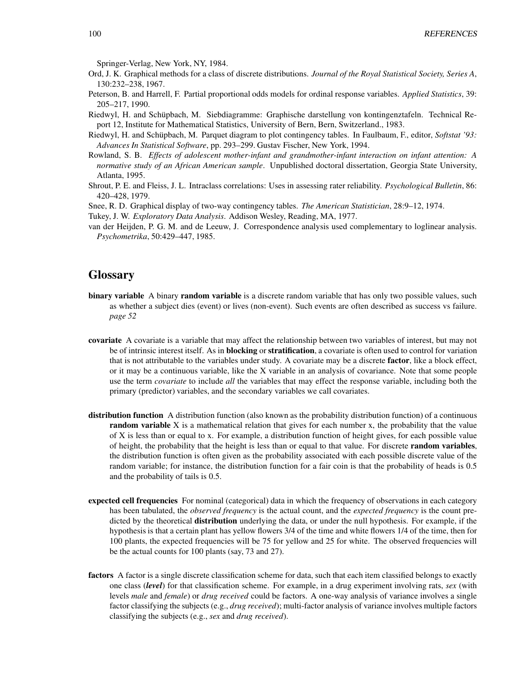Springer-Verlag, New York, NY, 1984.

- Ord, J. K. Graphical methods for a class of discrete distributions. *Journal of the Royal Statistical Society, Series A*, 130:232–238, 1967.
- Peterson, B. and Harrell, F. Partial proportional odds models for ordinal response variables. *Applied Statistics*, 39: 205–217, 1990.
- Riedwyl, H. and Schüpbach, M. Siebdiagramme: Graphische darstellung von kontingenztafeln. Technical Report 12, Institute for Mathematical Statistics, University of Bern, Bern, Switzerland., 1983.
- Riedwyl, H. and Schüpbach, M. Parquet diagram to plot contingency tables. In Faulbaum, F., editor, *Softstat* '93: *Advances In Statistical Software*, pp. 293–299. Gustav Fischer, New York, 1994.
- Rowland, S. B. *Effects of adolescent mother-infant and grandmother-infant interaction on infant attention: A normative study of an African American sample*. Unpublished doctoral dissertation, Georgia State University, Atlanta, 1995.
- Shrout, P. E. and Fleiss, J. L. Intraclass correlations: Uses in assessing rater reliability. *Psychological Bulletin*, 86: 420–428, 1979.
- Snee, R. D. Graphical display of two-way contingency tables. *The American Statistician*, 28:9–12, 1974.

Tukey, J. W. *Exploratory Data Analysis*. Addison Wesley, Reading, MA, 1977.

van der Heijden, P. G. M. and de Leeuw, J. Correspondence analysis used complementary to loglinear analysis. *Psychometrika*, 50:429–447, 1985.

# **Glossary**

- **binary variable** A binary **random variable** is a discrete random variable that has only two possible values, such as whether a subject dies (event) or lives (non-event). Such events are often described as success vs failure. *page 52*
- **covariate** A covariate is a variable that may affect the relationship between two variables of interest, but may not be of intrinsic interest itself. As in **blocking** or **stratification**, a covariate is often used to control for variation that is not attributable to the variables under study. A covariate may be a discrete **factor**, like a block effect, or it may be a continuous variable, like the X variable in an analysis of covariance. Note that some people use the term *covariate* to include *all* the variables that may effect the response variable, including both the primary (predictor) variables, and the secondary variables we call covariates.
- **distribution function** A distribution function (also known as the probability distribution function) of a continuous **random variable** X is a mathematical relation that gives for each number x, the probability that the value of X is less than or equal to x. For example, a distribution function of height gives, for each possible value of height, the probability that the height is less than or equal to that value. For discrete **random variables**, the distribution function is often given as the probability associated with each possible discrete value of the random variable; for instance, the distribution function for a fair coin is that the probability of heads is 0.5 and the probability of tails is 0.5.
- **expected cell frequencies** For nominal (categorical) data in which the frequency of observations in each category has been tabulated, the *observed frequency* is the actual count, and the *expected frequency* is the count predicted by the theoretical **distribution** underlying the data, or under the null hypothesis. For example, if the hypothesis is that a certain plant has yellow flowers 3/4 of the time and white flowers 1/4 of the time, then for 100 plants, the expected frequencies will be 75 for yellow and 25 for white. The observed frequencies will be the actual counts for 100 plants (say, 73 and 27).
- **factors** A factor is a single discrete classification scheme for data, such that each item classified belongs to exactly one class (*level*) for that classification scheme. For example, in a drug experiment involving rats, *sex* (with levels *male* and *female*) or *drug received* could be factors. A one-way analysis of variance involves a single factor classifying the subjects (e.g., *drug received*); multi-factor analysis of variance involves multiple factors classifying the subjects (e.g., *sex* and *drug received*).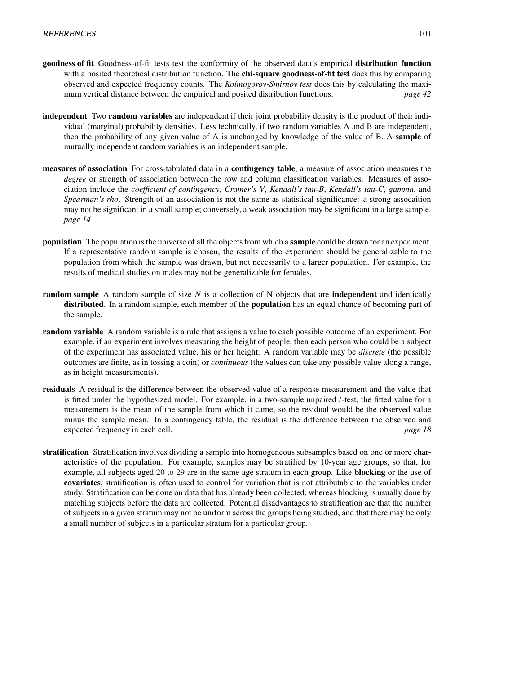- **goodness of fit** Goodness-of-fit tests test the conformity of the observed data's empirical **distribution function** with a posited theoretical distribution function. The **chi-square goodness-of-fit test** does this by comparing observed and expected frequency counts. The *Kolmogorov-Smirnov test* does this by calculating the maximum vertical distance between the empirical and posited distribution functions. *page 42*
- **independent** Two **random variables** are independent if their joint probability density is the product of their individual (marginal) probability densities. Less technically, if two random variables A and B are independent, then the probability of any given value of A is unchanged by knowledge of the value of B. A **sample** of mutually independent random variables is an independent sample.
- **measures of association** For cross-tabulated data in a **contingency table**, a measure of association measures the *degree* or strength of association between the row and column classification variables. Measures of association include the *coefficient of contingency*, *Cramer's V*, *Kendall's tau-B*, *Kendall's tau-C*, *gamma*, and *Spearman's rho*. Strength of an association is not the same as statistical significance: a strong assocaition may not be significant in a small sample; conversely, a weak association may be significant in a large sample. *page 14*
- **population** The population is the universe of all the objects from which a **sample** could be drawn for an experiment. If a representative random sample is chosen, the results of the experiment should be generalizable to the population from which the sample was drawn, but not necessarily to a larger population. For example, the results of medical studies on males may not be generalizable for females.
- **random sample** A random sample of size *N* is a collection of N objects that are **independent** and identically **distributed**. In a random sample, each member of the **population** has an equal chance of becoming part of the sample.
- **random variable** A random variable is a rule that assigns a value to each possible outcome of an experiment. For example, if an experiment involves measuring the height of people, then each person who could be a subject of the experiment has associated value, his or her height. A random variable may be *discrete* (the possible outcomes are finite, as in tossing a coin) or *continuous* (the values can take any possible value along a range, as in height measurements).
- **residuals** A residual is the difference between the observed value of a response measurement and the value that is fitted under the hypothesized model. For example, in a two-sample unpaired t-test, the fitted value for a measurement is the mean of the sample from which it came, so the residual would be the observed value minus the sample mean. In a contingency table, the residual is the difference between the observed and expected frequency in each cell. *page 18*
- **stratification** Stratification involves dividing a sample into homogeneous subsamples based on one or more characteristics of the population. For example, samples may be stratified by 10-year age groups, so that, for example, all subjects aged 20 to 29 are in the same age stratum in each group. Like **blocking** or the use of **covariates**, stratification is often used to control for variation that is not attributable to the variables under study. Stratification can be done on data that has already been collected, whereas blocking is usually done by matching subjects before the data are collected. Potential disadvantages to stratification are that the number of subjects in a given stratum may not be uniform across the groups being studied, and that there may be only a small number of subjects in a particular stratum for a particular group.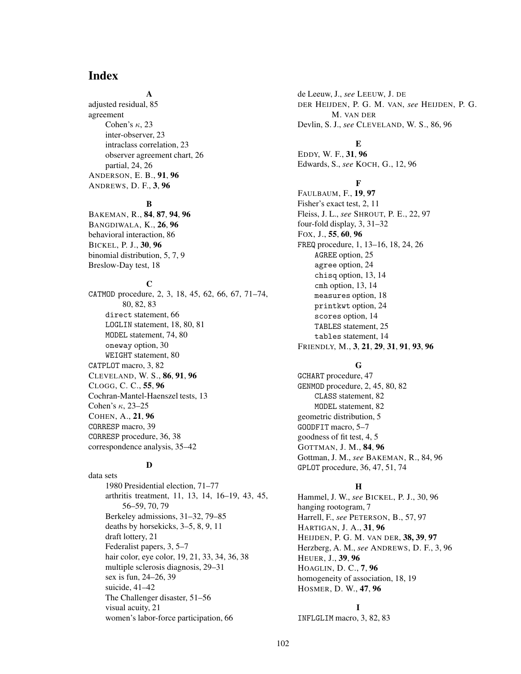# **Index**

# **A**

adjusted residual, 85 agreement Cohen's  $\kappa$ , 23 inter-observer, 23 intraclass correlation, 23 observer agreement chart, 26 partial, 24, 26 ANDERSON, E. B., **91**, **96** ANDREWS, D. F., **3**, **96**

## **B**

BAKEMAN, R., **84**, **87**, **94**, **96** BANGDIWALA, K., **26**, **96** behavioral interaction, 86 BICKEL, P. J., **30**, **96** binomial distribution, 5, 7, 9 Breslow-Day test, 18

## **C**

CATMOD procedure, 2, 3, 18, 45, 62, 66, 67, 71–74, 80, 82, 83 direct statement, 66 LOGLIN statement, 18, 80, 81 MODEL statement, 74, 80 oneway option, 30 WEIGHT statement, 80 CATPLOT macro, 3, 82 CLEVELAND, W. S., **86**, **91**, **96** CLOGG, C. C., **55**, **96** Cochran-Mantel-Haenszel tests, 13 Cohen's  $\kappa$ , 23–25 COHEN, A., **21**, **96** CORRESP macro, 39 CORRESP procedure, 36, 38 correspondence analysis, 35–42

# **D**

data sets 1980 Presidential election, 71–77 arthritis treatment, 11, 13, 14, 16–19, 43, 45, 56–59, 70, 79 Berkeley admissions, 31–32, 79–85 deaths by horsekicks, 3–5, 8, 9, 11 draft lottery, 21 Federalist papers, 3, 5–7 hair color, eye color, 19, 21, 33, 34, 36, 38 multiple sclerosis diagnosis, 29–31 sex is fun, 24–26, 39 suicide, 41–42 The Challenger disaster, 51–56 visual acuity, 21 women's labor-force participation, 66

de Leeuw, J., *see* LEEUW, J. DE DER HEIJDEN, P. G. M. VAN, *see* HEIJDEN, P. G. M. VAN DER Devlin, S. J., *see* CLEVELAND, W. S., 86, 96

EDDY, W. F., **31**, **96** Edwards, S., *see* KOCH, G., 12, 96

**E**

# **F**

FAULBAUM, F., **19**, **97** Fisher's exact test, 2, 11 Fleiss, J. L., *see* SHROUT, P. E., 22, 97 four-fold display, 3, 31–32 FOX, J., **55**, **60**, **96** FREQ procedure, 1, 13–16, 18, 24, 26 AGREE option, 25 agree option, 24 chisq option, 13, 14 cmh option, 13, 14 measures option, 18 printkwt option, 24 scores option, 14 TABLES statement, 25 tables statement, 14 FRIENDLY, M., **3**, **21**, **29**, **31**, **91**, **93**, **96**

# **G**

GCHART procedure, 47 GENMOD procedure, 2, 45, 80, 82 CLASS statement, 82 MODEL statement, 82 geometric distribution, 5 GOODFIT macro, 5–7 goodness of fit test, 4, 5 GOTTMAN, J. M., **84**, **96** Gottman, J. M., *see* BAKEMAN, R., 84, 96 GPLOT procedure, 36, 47, 51, 74

# **H**

Hammel, J. W., *see* BICKEL, P. J., 30, 96 hanging rootogram, 7 Harrell, F., *see* PETERSON, B., 57, 97 HARTIGAN, J. A., **31**, **96** HEIJDEN, P. G. M. VAN DER, **38, 39**, **97** Herzberg, A. M., *see* ANDREWS, D. F., 3, 96 HEUER, J., **39**, **96** HOAGLIN, D. C., **7**, **96** homogeneity of association, 18, 19 HOSMER, D. W., **47**, **96**

#### **I**

INFLGLIM macro, 3, 82, 83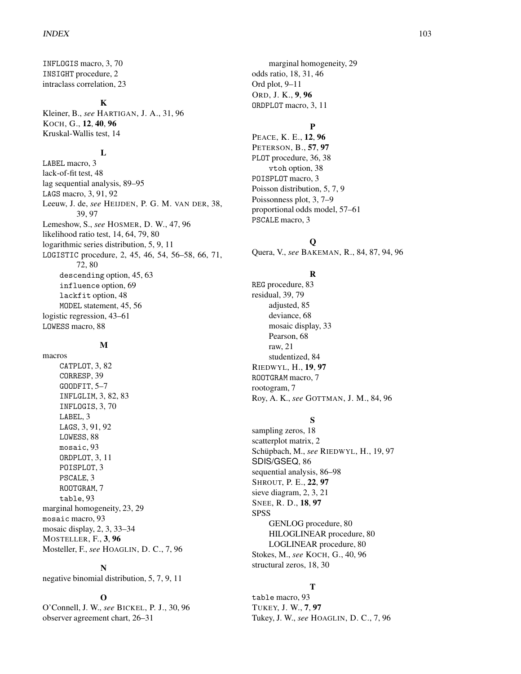INFLOGIS macro, 3, 70 INSIGHT procedure, 2 intraclass correlation, 23

#### **K**

Kleiner, B., *see* HARTIGAN, J. A., 31, 96 KOCH, G., **12**, **40**, **96** Kruskal-Wallis test, 14

# **L**

LABEL macro, 3 lack-of-fit test, 48 lag sequential analysis, 89–95 LAGS macro, 3, 91, 92 Leeuw, J. de, *see* HEIJDEN, P. G. M. VAN DER, 38, 39, 97 Lemeshow, S., *see* HOSMER, D. W., 47, 96 likelihood ratio test, 14, 64, 79, 80 logarithmic series distribution, 5, 9, 11 LOGISTIC procedure, 2, 45, 46, 54, 56–58, 66, 71, 72, 80 descending option, 45, 63 influence option, 69 lackfit option, 48 MODEL statement, 45, 56 logistic regression, 43–61 LOWESS macro, 88

## **M**

macros CATPLOT, 3, 82 CORRESP, 39 GOODFIT, 5–7 INFLGLIM, 3, 82, 83 INFLOGIS, 3, 70 LABEL, 3 LAGS, 3, 91, 92 LOWESS, 88 mosaic, 93 ORDPLOT, 3, 11 POISPLOT, 3 PSCALE, 3 ROOTGRAM, 7 table, 93 marginal homogeneity, 23, 29 mosaic macro, 93 mosaic display, 2, 3, 33–34 MOSTELLER, F., **3**, **96** Mosteller, F., *see* HOAGLIN, D. C., 7, 96

#### **N**

negative binomial distribution, 5, 7, 9, 11

#### **O**

O'Connell, J. W., *see* BICKEL, P. J., 30, 96 observer agreement chart, 26–31

marginal homogeneity, 29 odds ratio, 18, 31, 46 Ord plot, 9–11 ORD, J. K., **9**, **96** ORDPLOT macro, 3, 11

# **P**

PEACE, K. E., **12**, **96** PETERSON, B., **57**, **97** PLOT procedure, 36, 38 vtoh option, 38 POISPLOT macro, 3 Poisson distribution, 5, 7, 9 Poissonness plot, 3, 7–9 proportional odds model, 57–61 PSCALE macro, 3

## **Q**

Quera, V., *see* BAKEMAN, R., 84, 87, 94, 96

# **R**

REG procedure, 83 residual, 39, 79 adjusted, 85 deviance, 68 mosaic display, 33 Pearson, 68 raw, 21 studentized, 84 RIEDWYL, H., **19**, **97** ROOTGRAM macro, 7 rootogram, 7 Roy, A. K., *see* GOTTMAN, J. M., 84, 96

# **S**

sampling zeros, 18 scatterplot matrix, 2 Schüpbach, M., see RIEDWYL, H., 19, 97 SDIS/GSEQ, 86 sequential analysis, 86–98 SHROUT, P. E., **22**, **97** sieve diagram, 2, 3, 21 SNEE, R. D., **18**, **97** SPSS GENLOG procedure, 80 HILOGLINEAR procedure, 80 LOGLINEAR procedure, 80 Stokes, M., *see* KOCH, G., 40, 96 structural zeros, 18, 30

## **T**

table macro, 93 TUKEY, J. W., **7**, **97** Tukey, J. W., *see* HOAGLIN, D. C., 7, 96